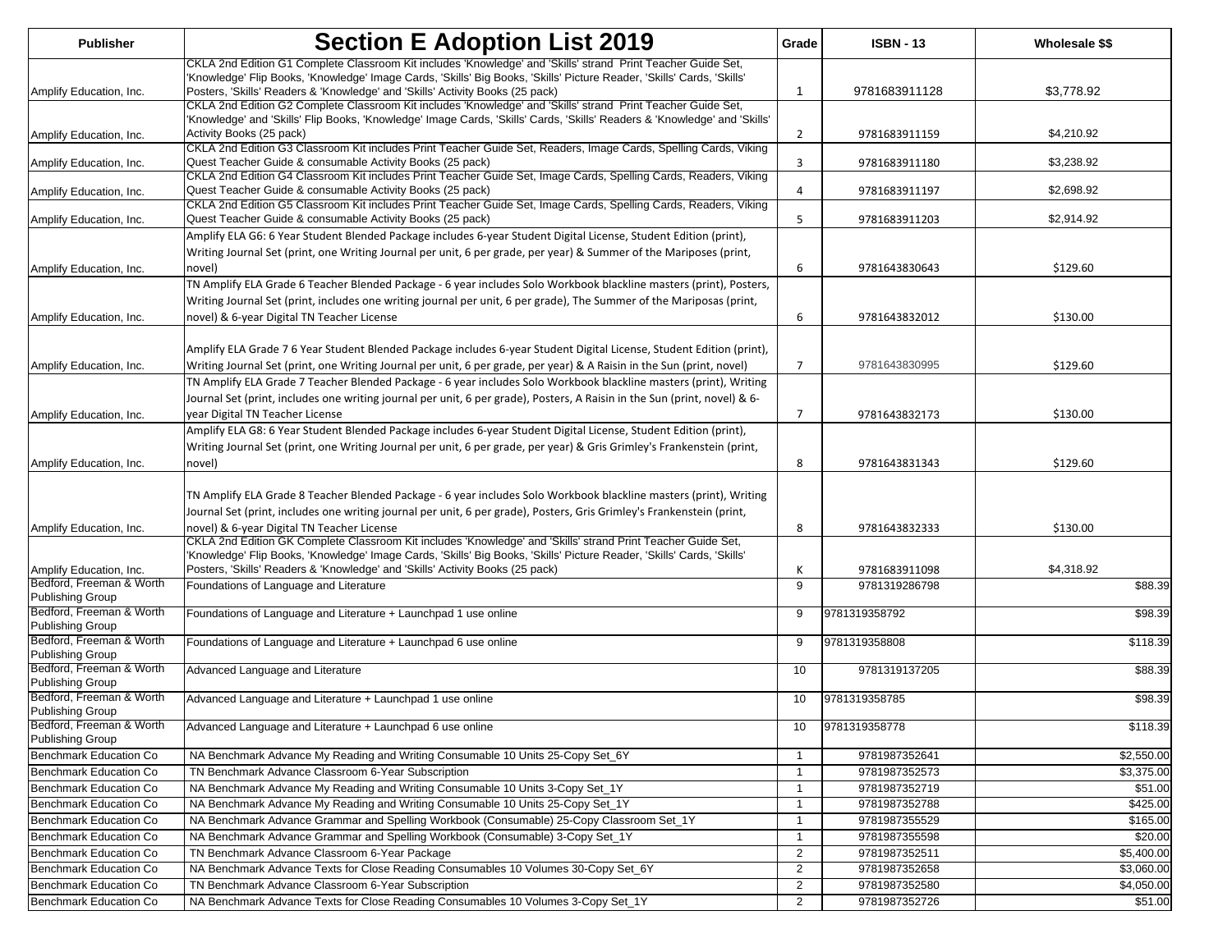| <b>Publisher</b>                                    | <b>Section E Adoption List 2019</b>                                                                                                                                                                                                                                                                                     | Grade                            | <b>ISBN - 13</b>               | Wholesale \$\$        |
|-----------------------------------------------------|-------------------------------------------------------------------------------------------------------------------------------------------------------------------------------------------------------------------------------------------------------------------------------------------------------------------------|----------------------------------|--------------------------------|-----------------------|
| Amplify Education, Inc.                             | CKLA 2nd Edition G1 Complete Classroom Kit includes 'Knowledge' and 'Skills' strand Print Teacher Guide Set,<br>'Knowledge' Flip Books, 'Knowledge' Image Cards, 'Skills' Big Books, 'Skills' Picture Reader, 'Skills' Cards, 'Skills'<br>Posters, 'Skills' Readers & 'Knowledge' and 'Skills' Activity Books (25 pack) | -1                               | 9781683911128                  | \$3,778.92            |
| Amplify Education, Inc.                             | CKLA 2nd Edition G2 Complete Classroom Kit includes 'Knowledge' and 'Skills' strand Print Teacher Guide Set,<br>'Knowledge' and 'Skills' Flip Books, 'Knowledge' Image Cards, 'Skills' Cards, 'Skills' Readers & 'Knowledge' and 'Skills'<br>Activity Books (25 pack)                                                   | $\overline{2}$                   | 9781683911159                  | \$4,210.92            |
| Amplify Education, Inc.                             | CKLA 2nd Edition G3 Classroom Kit includes Print Teacher Guide Set, Readers, Image Cards, Spelling Cards, Viking<br>Quest Teacher Guide & consumable Activity Books (25 pack)                                                                                                                                           | 3                                | 9781683911180                  | \$3,238.92            |
| Amplify Education, Inc.                             | CKLA 2nd Edition G4 Classroom Kit includes Print Teacher Guide Set, Image Cards, Spelling Cards, Readers, Viking<br>Quest Teacher Guide & consumable Activity Books (25 pack)                                                                                                                                           | 4                                | 9781683911197                  | \$2,698.92            |
| Amplify Education, Inc.                             | CKLA 2nd Edition G5 Classroom Kit includes Print Teacher Guide Set, Image Cards, Spelling Cards, Readers, Viking<br>Quest Teacher Guide & consumable Activity Books (25 pack)                                                                                                                                           | 5                                | 9781683911203                  | \$2,914.92            |
|                                                     | Amplify ELA G6: 6 Year Student Blended Package includes 6-year Student Digital License, Student Edition (print),<br>Writing Journal Set (print, one Writing Journal per unit, 6 per grade, per year) & Summer of the Mariposes (print,                                                                                  | 6                                |                                |                       |
| Amplify Education, Inc.                             | novel)<br>TN Amplify ELA Grade 6 Teacher Blended Package - 6 year includes Solo Workbook blackline masters (print), Posters,                                                                                                                                                                                            |                                  | 9781643830643                  | \$129.60              |
| Amplify Education, Inc.                             | Writing Journal Set (print, includes one writing journal per unit, 6 per grade), The Summer of the Mariposas (print,<br>novel) & 6-year Digital TN Teacher License                                                                                                                                                      | 6                                | 9781643832012                  | \$130.00              |
| Amplify Education, Inc.                             | Amplify ELA Grade 76 Year Student Blended Package includes 6-year Student Digital License, Student Edition (print),<br>Writing Journal Set (print, one Writing Journal per unit, 6 per grade, per year) & A Raisin in the Sun (print, novel)                                                                            | $\overline{7}$                   | 9781643830995                  | \$129.60              |
|                                                     | TN Amplify ELA Grade 7 Teacher Blended Package - 6 year includes Solo Workbook blackline masters (print), Writing<br>Journal Set (print, includes one writing journal per unit, 6 per grade), Posters, A Raisin in the Sun (print, novel) & 6-                                                                          |                                  |                                |                       |
| Amplify Education, Inc.                             | year Digital TN Teacher License<br>Amplify ELA G8: 6 Year Student Blended Package includes 6-year Student Digital License, Student Edition (print),<br>Writing Journal Set (print, one Writing Journal per unit, 6 per grade, per year) & Gris Grimley's Frankenstein (print,                                           | $\overline{7}$                   | 9781643832173                  | \$130.00              |
| Amplify Education, Inc.                             | novel)                                                                                                                                                                                                                                                                                                                  | 8                                | 9781643831343                  | \$129.60              |
|                                                     | TN Amplify ELA Grade 8 Teacher Blended Package - 6 year includes Solo Workbook blackline masters (print), Writing<br>Journal Set (print, includes one writing journal per unit, 6 per grade), Posters, Gris Grimley's Frankenstein (print,                                                                              |                                  |                                |                       |
| Amplify Education, Inc.                             | novel) & 6-year Digital TN Teacher License<br>CKLA 2nd Edition GK Complete Classroom Kit includes 'Knowledge' and 'Skills' strand Print Teacher Guide Set,<br>'Knowledge' Flip Books, 'Knowledge' Image Cards, 'Skills' Big Books, 'Skills' Picture Reader, 'Skills' Cards, 'Skills'                                    | 8                                | 9781643832333                  | \$130.00              |
| Amplify Education, Inc.                             | Posters, 'Skills' Readers & 'Knowledge' and 'Skills' Activity Books (25 pack)                                                                                                                                                                                                                                           | К                                | 9781683911098                  | \$4,318.92            |
| Bedford, Freeman & Worth<br><b>Publishing Group</b> | Foundations of Language and Literature                                                                                                                                                                                                                                                                                  | 9                                | 9781319286798                  | \$88.39               |
| Bedford, Freeman & Worth<br>Publishing Group        | Foundations of Language and Literature + Launchpad 1 use online                                                                                                                                                                                                                                                         | 9                                | 9781319358792                  | \$98.39               |
| Bedford, Freeman & Worth<br><b>Publishing Group</b> | Foundations of Language and Literature + Launchpad 6 use online                                                                                                                                                                                                                                                         | 9                                | 9781319358808                  | \$118.39              |
| Bedford, Freeman & Worth<br><b>Publishing Group</b> | Advanced Language and Literature                                                                                                                                                                                                                                                                                        | 10                               | 9781319137205                  | $\overline{$88.39}$   |
| Bedford, Freeman & Worth<br><b>Publishing Group</b> | Advanced Language and Literature + Launchpad 1 use online                                                                                                                                                                                                                                                               | 10                               | 9781319358785                  | \$98.39               |
| Bedford, Freeman & Worth<br><b>Publishing Group</b> | Advanced Language and Literature + Launchpad 6 use online                                                                                                                                                                                                                                                               | 10                               | 9781319358778                  | \$118.39              |
| Benchmark Education Co                              | NA Benchmark Advance My Reading and Writing Consumable 10 Units 25-Copy Set 6Y                                                                                                                                                                                                                                          | 1                                | 9781987352641                  | \$2,550.00            |
| Benchmark Education Co                              | TN Benchmark Advance Classroom 6-Year Subscription                                                                                                                                                                                                                                                                      | $\mathbf{1}$                     | 9781987352573                  | \$3,375.00            |
| Benchmark Education Co                              | NA Benchmark Advance My Reading and Writing Consumable 10 Units 3-Copy Set_1Y                                                                                                                                                                                                                                           | $\mathbf 1$                      | 9781987352719                  | \$51.00               |
| Benchmark Education Co                              | NA Benchmark Advance My Reading and Writing Consumable 10 Units 25-Copy Set_1Y                                                                                                                                                                                                                                          | $\mathbf{1}$                     | 9781987352788                  | \$425.00              |
| Benchmark Education Co                              | NA Benchmark Advance Grammar and Spelling Workbook (Consumable) 25-Copy Classroom Set_1Y                                                                                                                                                                                                                                | -1                               | 9781987355529                  | \$165.00              |
| Benchmark Education Co                              | NA Benchmark Advance Grammar and Spelling Workbook (Consumable) 3-Copy Set_1Y                                                                                                                                                                                                                                           | $\mathbf{1}$                     | 9781987355598                  | \$20.00               |
| Benchmark Education Co                              | TN Benchmark Advance Classroom 6-Year Package                                                                                                                                                                                                                                                                           | $\overline{2}$                   | 9781987352511                  | \$5,400.00            |
| Benchmark Education Co                              | NA Benchmark Advance Texts for Close Reading Consumables 10 Volumes 30-Copy Set_6Y<br>TN Benchmark Advance Classroom 6-Year Subscription                                                                                                                                                                                | $\overline{2}$                   | 9781987352658<br>9781987352580 | \$3,060.00            |
| Benchmark Education Co<br>Benchmark Education Co    | NA Benchmark Advance Texts for Close Reading Consumables 10 Volumes 3-Copy Set_1Y                                                                                                                                                                                                                                       | $\overline{2}$<br>$\overline{2}$ | 9781987352726                  | \$4,050.00<br>\$51.00 |
|                                                     |                                                                                                                                                                                                                                                                                                                         |                                  |                                |                       |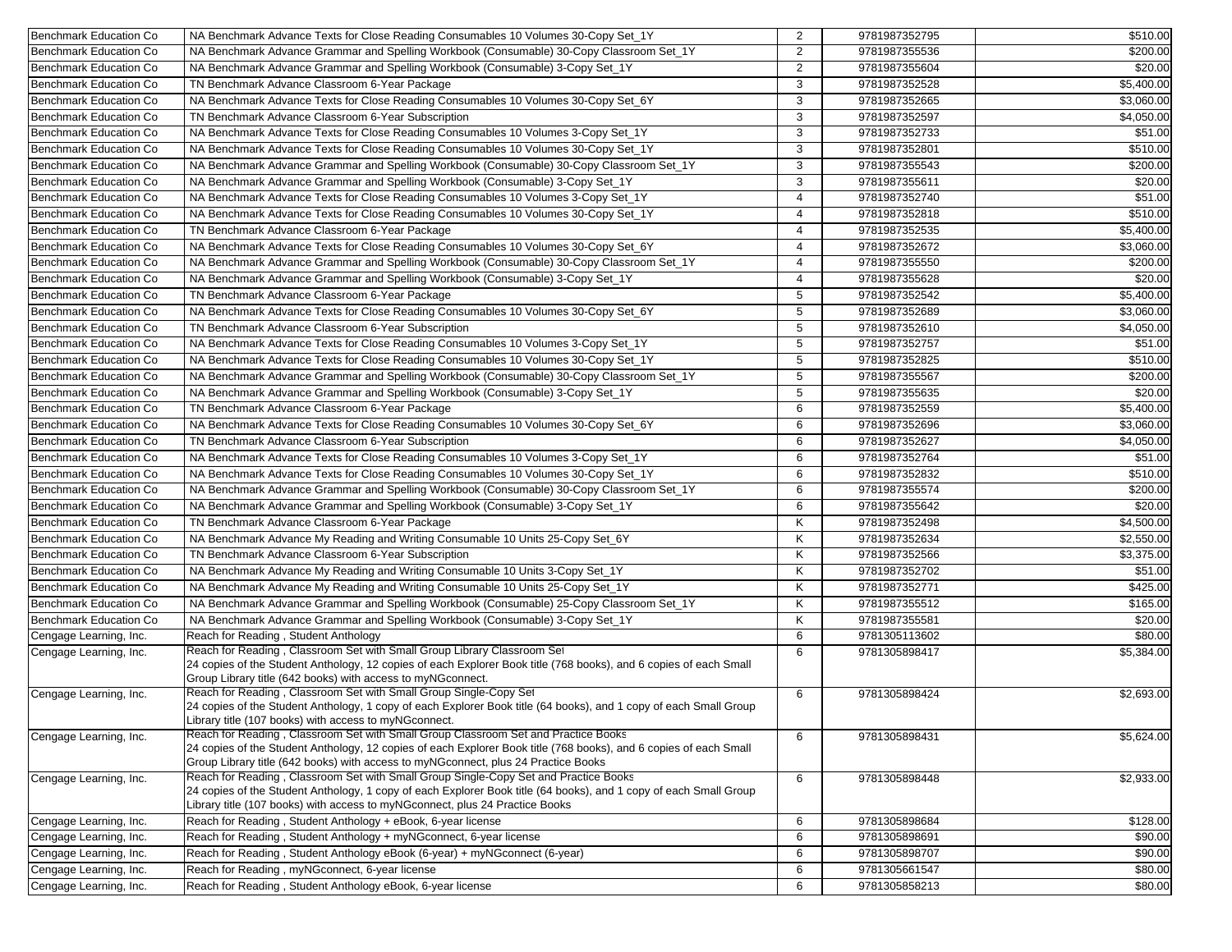| Benchmark Education Co        | NA Benchmark Advance Texts for Close Reading Consumables 10 Volumes 30-Copy Set_1Y                                                                                                                                                                               | 2              | 9781987352795                  | \$510.00   |
|-------------------------------|------------------------------------------------------------------------------------------------------------------------------------------------------------------------------------------------------------------------------------------------------------------|----------------|--------------------------------|------------|
| <b>Benchmark Education Co</b> | NA Benchmark Advance Grammar and Spelling Workbook (Consumable) 30-Copy Classroom Set_1Y                                                                                                                                                                         | $\overline{2}$ | 9781987355536                  | \$200.00   |
| <b>Benchmark Education Co</b> | NA Benchmark Advance Grammar and Spelling Workbook (Consumable) 3-Copy Set_1Y                                                                                                                                                                                    | 2              | 9781987355604                  | \$20.00    |
| <b>Benchmark Education Co</b> | TN Benchmark Advance Classroom 6-Year Package                                                                                                                                                                                                                    | 3              | 9781987352528                  | \$5,400.00 |
| <b>Benchmark Education Co</b> | NA Benchmark Advance Texts for Close Reading Consumables 10 Volumes 30-Copy Set_6Y                                                                                                                                                                               | 3              | 9781987352665                  | \$3,060.00 |
| <b>Benchmark Education Co</b> | TN Benchmark Advance Classroom 6-Year Subscription                                                                                                                                                                                                               | 3              | 9781987352597                  | \$4,050.00 |
| <b>Benchmark Education Co</b> | NA Benchmark Advance Texts for Close Reading Consumables 10 Volumes 3-Copy Set_1Y                                                                                                                                                                                | 3              | 9781987352733                  | \$51.00    |
| <b>Benchmark Education Co</b> | NA Benchmark Advance Texts for Close Reading Consumables 10 Volumes 30-Copy Set_1Y                                                                                                                                                                               | 3              | 9781987352801                  | \$510.00   |
| <b>Benchmark Education Co</b> | NA Benchmark Advance Grammar and Spelling Workbook (Consumable) 30-Copy Classroom Set_1Y                                                                                                                                                                         | 3              | 9781987355543                  | \$200.00   |
| <b>Benchmark Education Co</b> | NA Benchmark Advance Grammar and Spelling Workbook (Consumable) 3-Copy Set_1Y                                                                                                                                                                                    | 3              | 9781987355611                  | \$20.00    |
| <b>Benchmark Education Co</b> | NA Benchmark Advance Texts for Close Reading Consumables 10 Volumes 3-Copy Set 1Y                                                                                                                                                                                | $\overline{4}$ | 9781987352740                  | \$51.00    |
| <b>Benchmark Education Co</b> | NA Benchmark Advance Texts for Close Reading Consumables 10 Volumes 30-Copy Set_1Y                                                                                                                                                                               | $\overline{4}$ | 9781987352818                  | \$510.00   |
| Benchmark Education Co        | TN Benchmark Advance Classroom 6-Year Package                                                                                                                                                                                                                    | $\overline{4}$ | 9781987352535                  | \$5,400.00 |
| <b>Benchmark Education Co</b> | NA Benchmark Advance Texts for Close Reading Consumables 10 Volumes 30-Copy Set 6Y                                                                                                                                                                               | $\overline{4}$ | 9781987352672                  | \$3,060.00 |
| <b>Benchmark Education Co</b> | NA Benchmark Advance Grammar and Spelling Workbook (Consumable) 30-Copy Classroom Set_1Y                                                                                                                                                                         | 4              | 9781987355550                  | \$200.00   |
| <b>Benchmark Education Co</b> | NA Benchmark Advance Grammar and Spelling Workbook (Consumable) 3-Copy Set_1Y                                                                                                                                                                                    | 4              | 9781987355628                  | \$20.00    |
| <b>Benchmark Education Co</b> | TN Benchmark Advance Classroom 6-Year Package                                                                                                                                                                                                                    | 5              | 9781987352542                  | \$5,400.00 |
| <b>Benchmark Education Co</b> | NA Benchmark Advance Texts for Close Reading Consumables 10 Volumes 30-Copy Set_6Y                                                                                                                                                                               | 5              | 9781987352689                  | \$3,060.00 |
| <b>Benchmark Education Co</b> | TN Benchmark Advance Classroom 6-Year Subscription                                                                                                                                                                                                               | 5              | 9781987352610                  | \$4,050.00 |
| <b>Benchmark Education Co</b> | NA Benchmark Advance Texts for Close Reading Consumables 10 Volumes 3-Copy Set_1Y                                                                                                                                                                                | 5              | 9781987352757                  | \$51.00    |
| <b>Benchmark Education Co</b> | NA Benchmark Advance Texts for Close Reading Consumables 10 Volumes 30-Copy Set_1Y                                                                                                                                                                               | 5              | 9781987352825                  | \$510.00   |
| <b>Benchmark Education Co</b> | NA Benchmark Advance Grammar and Spelling Workbook (Consumable) 30-Copy Classroom Set_1Y                                                                                                                                                                         | 5              | 9781987355567                  | \$200.00   |
| <b>Benchmark Education Co</b> | NA Benchmark Advance Grammar and Spelling Workbook (Consumable) 3-Copy Set_1Y                                                                                                                                                                                    | 5              | 9781987355635                  | \$20.00    |
| <b>Benchmark Education Co</b> | TN Benchmark Advance Classroom 6-Year Package                                                                                                                                                                                                                    | 6              | 9781987352559                  | \$5,400.00 |
| Benchmark Education Co        | NA Benchmark Advance Texts for Close Reading Consumables 10 Volumes 30-Copy Set_6Y                                                                                                                                                                               | 6              | 9781987352696                  | \$3,060.00 |
| <b>Benchmark Education Co</b> | TN Benchmark Advance Classroom 6-Year Subscription                                                                                                                                                                                                               | 6              | 9781987352627                  | \$4,050.00 |
|                               |                                                                                                                                                                                                                                                                  |                |                                |            |
| <b>Benchmark Education Co</b> | NA Benchmark Advance Texts for Close Reading Consumables 10 Volumes 3-Copy Set_1Y                                                                                                                                                                                | 6              | 9781987352764<br>9781987352832 | \$51.00    |
| Benchmark Education Co        | NA Benchmark Advance Texts for Close Reading Consumables 10 Volumes 30-Copy Set_1Y                                                                                                                                                                               | 6              |                                | \$510.00   |
| <b>Benchmark Education Co</b> | NA Benchmark Advance Grammar and Spelling Workbook (Consumable) 30-Copy Classroom Set_1Y                                                                                                                                                                         | 6              | 9781987355574                  | \$200.00   |
| <b>Benchmark Education Co</b> | NA Benchmark Advance Grammar and Spelling Workbook (Consumable) 3-Copy Set_1Y                                                                                                                                                                                    | 6              | 9781987355642                  | \$20.00    |
| <b>Benchmark Education Co</b> | TN Benchmark Advance Classroom 6-Year Package                                                                                                                                                                                                                    | K              | 9781987352498                  | \$4,500.00 |
| <b>Benchmark Education Co</b> | NA Benchmark Advance My Reading and Writing Consumable 10 Units 25-Copy Set_6Y                                                                                                                                                                                   | K              | 9781987352634                  | \$2,550.00 |
| <b>Benchmark Education Co</b> | TN Benchmark Advance Classroom 6-Year Subscription                                                                                                                                                                                                               | K              | 9781987352566                  | \$3,375.00 |
| <b>Benchmark Education Co</b> | NA Benchmark Advance My Reading and Writing Consumable 10 Units 3-Copy Set_1Y                                                                                                                                                                                    | K              | 9781987352702                  | \$51.00    |
| <b>Benchmark Education Co</b> | NA Benchmark Advance My Reading and Writing Consumable 10 Units 25-Copy Set_1Y                                                                                                                                                                                   | Κ              | 9781987352771                  | \$425.00   |
| Benchmark Education Co        | NA Benchmark Advance Grammar and Spelling Workbook (Consumable) 25-Copy Classroom Set_1Y                                                                                                                                                                         | K              | 9781987355512                  | \$165.00   |
| <b>Benchmark Education Co</b> | NA Benchmark Advance Grammar and Spelling Workbook (Consumable) 3-Copy Set_1Y                                                                                                                                                                                    | K              | 9781987355581                  | \$20.00    |
| Cengage Learning, Inc.        | Reach for Reading, Student Anthology                                                                                                                                                                                                                             | 6              | 9781305113602                  | \$80.00    |
| Cengage Learning, Inc.        | Reach for Reading, Classroom Set with Small Group Library Classroom Set<br>24 copies of the Student Anthology, 12 copies of each Explorer Book title (768 books), and 6 copies of each Small<br>Group Library title (642 books) with access to myNGconnect.      | 6              | 9781305898417                  | \$5,384.00 |
| Cengage Learning, Inc.        | Reach for Reading, Classroom Set with Small Group Single-Copy Set<br>24 copies of the Student Anthology, 1 copy of each Explorer Book title (64 books), and 1 copy of each Small Group                                                                           | 6              | 9781305898424                  | \$2,693.00 |
| Cengage Learning, Inc.        | Library title (107 books) with access to myNGconnect.<br>Reach for Reading, Classroom Set with Small Group Classroom Set and Practice Books<br>24 copies of the Student Anthology, 12 copies of each Explorer Book title (768 books), and 6 copies of each Small | 6              | 9781305898431                  | \$5,624.00 |
|                               | Group Library title (642 books) with access to myNGconnect, plus 24 Practice Books<br>Reach for Reading, Classroom Set with Small Group Single-Copy Set and Practice Books                                                                                       |                |                                |            |
| Cengage Learning, Inc.        | 24 copies of the Student Anthology, 1 copy of each Explorer Book title (64 books), and 1 copy of each Small Group<br>Library title (107 books) with access to myNGconnect, plus 24 Practice Books                                                                | 6              | 9781305898448                  | \$2,933.00 |
| Cengage Learning, Inc.        | Reach for Reading, Student Anthology + eBook, 6-year license                                                                                                                                                                                                     | 6              | 9781305898684                  | \$128.00   |
| Cengage Learning, Inc.        | Reach for Reading, Student Anthology + myNGconnect, 6-year license                                                                                                                                                                                               | 6              | 9781305898691                  | \$90.00    |
| Cengage Learning, Inc.        | Reach for Reading, Student Anthology eBook (6-year) + myNGconnect (6-year)                                                                                                                                                                                       | 6              | 9781305898707                  | \$90.00    |
| Cengage Learning, Inc.        | Reach for Reading, myNGconnect, 6-year license                                                                                                                                                                                                                   | 6              | 9781305661547                  | \$80.00    |
| Cengage Learning, Inc.        | Reach for Reading, Student Anthology eBook, 6-year license                                                                                                                                                                                                       |                | 9781305858213                  | \$80.00    |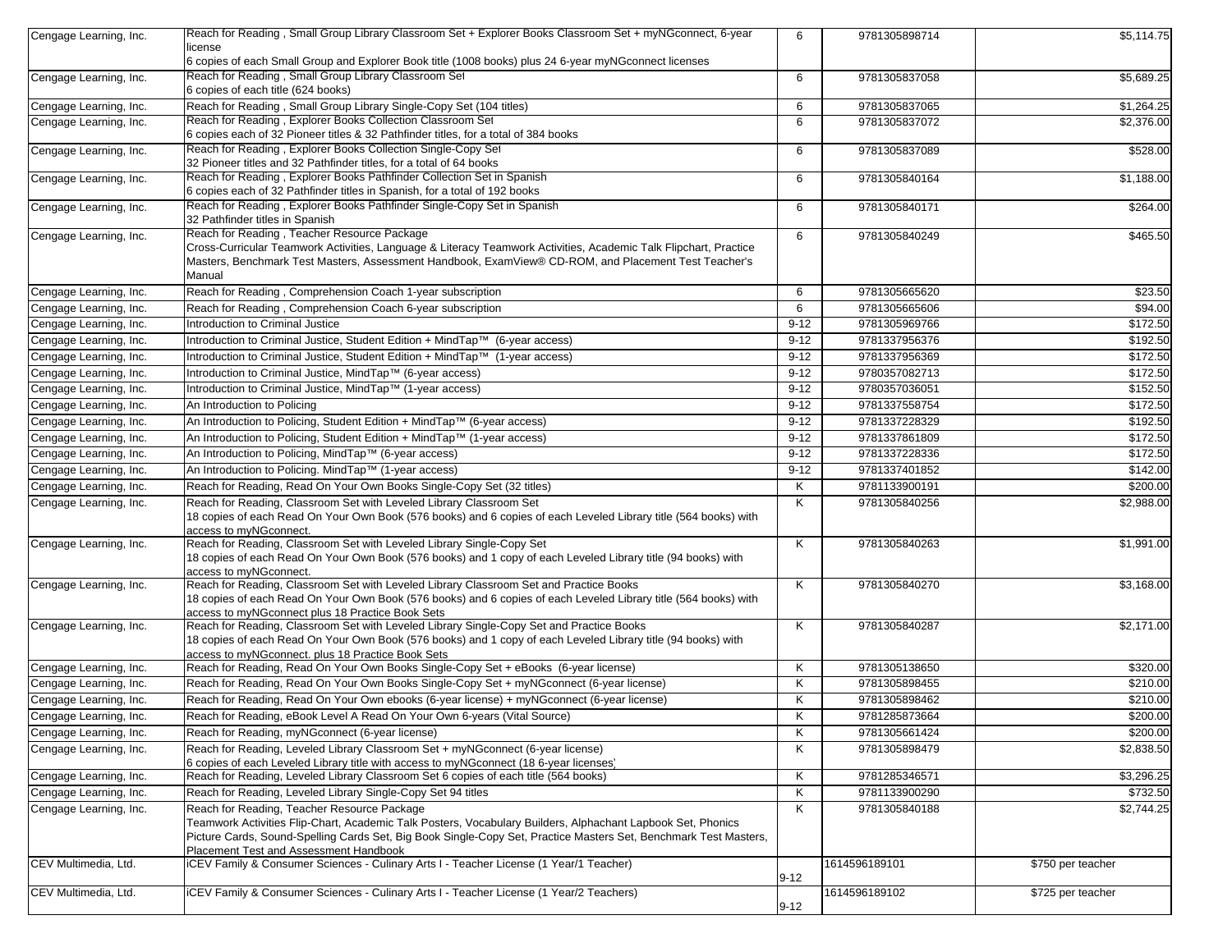| Cengage Learning, Inc.                           | Reach for Reading, Small Group Library Classroom Set + Explorer Books Classroom Set + myNGconnect, 6-year<br>license                                                                                                            | 6        | 9781305898714 | \$5,114.75        |
|--------------------------------------------------|---------------------------------------------------------------------------------------------------------------------------------------------------------------------------------------------------------------------------------|----------|---------------|-------------------|
|                                                  | 6 copies of each Small Group and Explorer Book title (1008 books) plus 24 6-year myNGconnect licenses                                                                                                                           |          |               |                   |
| Cengage Learning, Inc.                           | Reach for Reading, Small Group Library Classroom Set<br>6 copies of each title (624 books)                                                                                                                                      | 6        | 9781305837058 | \$5,689.25        |
| Cengage Learning, Inc.                           | Reach for Reading, Small Group Library Single-Copy Set (104 titles)                                                                                                                                                             | 6        | 9781305837065 | \$1,264.25        |
| Cengage Learning, Inc.                           | Reach for Reading, Explorer Books Collection Classroom Set                                                                                                                                                                      | 6        | 9781305837072 | \$2,376.00        |
|                                                  | 6 copies each of 32 Pioneer titles & 32 Pathfinder titles, for a total of 384 books<br>Reach for Reading, Explorer Books Collection Single-Copy Set                                                                             |          |               |                   |
| Cengage Learning, Inc.                           | 32 Pioneer titles and 32 Pathfinder titles, for a total of 64 books                                                                                                                                                             | 6        | 9781305837089 | \$528.00          |
| Cengage Learning, Inc.                           | Reach for Reading, Explorer Books Pathfinder Collection Set in Spanish<br>6 copies each of 32 Pathfinder titles in Spanish, for a total of 192 books                                                                            | 6        | 9781305840164 | \$1,188.00        |
| Cengage Learning, Inc.                           | Reach for Reading, Explorer Books Pathfinder Single-Copy Set in Spanish<br>32 Pathfinder titles in Spanish                                                                                                                      | 6        | 9781305840171 | \$264.00          |
| Cengage Learning, Inc.                           | Reach for Reading, Teacher Resource Package                                                                                                                                                                                     | 6        | 9781305840249 | \$465.50          |
|                                                  | Cross-Curricular Teamwork Activities, Language & Literacy Teamwork Activities, Academic Talk Flipchart, Practice                                                                                                                |          |               |                   |
|                                                  | Masters, Benchmark Test Masters, Assessment Handbook, ExamView® CD-ROM, and Placement Test Teacher's                                                                                                                            |          |               |                   |
|                                                  | Manual                                                                                                                                                                                                                          |          | 9781305665620 | \$23.50           |
| Cengage Learning, Inc.<br>Cengage Learning, Inc. | Reach for Reading, Comprehension Coach 1-year subscription<br>Reach for Reading, Comprehension Coach 6-year subscription                                                                                                        | 6<br>6   | 9781305665606 | \$94.00           |
| Cengage Learning, Inc.                           | <b>Introduction to Criminal Justice</b>                                                                                                                                                                                         | $9 - 12$ | 9781305969766 | \$172.50          |
| Cengage Learning, Inc.                           | Introduction to Criminal Justice, Student Edition + MindTap™ (6-year access)                                                                                                                                                    | $9 - 12$ | 9781337956376 | \$192.50          |
| Cengage Learning, Inc.                           | Introduction to Criminal Justice, Student Edition + MindTap™ (1-year access)                                                                                                                                                    | $9 - 12$ | 9781337956369 | \$172.50          |
| Cengage Learning, Inc.                           | Introduction to Criminal Justice, MindTap™ (6-year access)                                                                                                                                                                      | $9 - 12$ | 9780357082713 | \$172.50          |
| Cengage Learning, Inc.                           | Introduction to Criminal Justice, MindTap™ (1-year access)                                                                                                                                                                      | $9 - 12$ | 9780357036051 | \$152.50          |
| Cengage Learning, Inc.                           | An Introduction to Policing                                                                                                                                                                                                     | $9 - 12$ | 9781337558754 | \$172.50          |
| Cengage Learning, Inc.                           | An Introduction to Policing, Student Edition + MindTap™ (6-year access)                                                                                                                                                         | $9 - 12$ | 9781337228329 | \$192.50          |
| Cengage Learning, Inc.                           | An Introduction to Policing, Student Edition + MindTap™ (1-year access)                                                                                                                                                         | $9 - 12$ | 9781337861809 | \$172.50          |
| Cengage Learning, Inc.                           | An Introduction to Policing, MindTap™ (6-year access)                                                                                                                                                                           | $9 - 12$ | 9781337228336 | \$172.50          |
| Cengage Learning, Inc.                           | An Introduction to Policing. MindTap™ (1-year access)                                                                                                                                                                           | $9-12$   | 9781337401852 | \$142.00          |
| Cengage Learning, Inc.                           | Reach for Reading, Read On Your Own Books Single-Copy Set (32 titles)                                                                                                                                                           | Κ        | 9781133900191 | \$200.00          |
| Cengage Learning, Inc.                           | Reach for Reading, Classroom Set with Leveled Library Classroom Set                                                                                                                                                             | Κ        | 9781305840256 | \$2,988.00        |
|                                                  | 18 copies of each Read On Your Own Book (576 books) and 6 copies of each Leveled Library title (564 books) with<br>access to myNGconnect.                                                                                       |          |               |                   |
| Cengage Learning, Inc.                           | Reach for Reading, Classroom Set with Leveled Library Single-Copy Set                                                                                                                                                           | Κ        | 9781305840263 | \$1,991.00        |
|                                                  | 18 copies of each Read On Your Own Book (576 books) and 1 copy of each Leveled Library title (94 books) with                                                                                                                    |          |               |                   |
|                                                  | access to myNGconnect.                                                                                                                                                                                                          |          |               |                   |
| Cengage Learning, Inc.                           | Reach for Reading, Classroom Set with Leveled Library Classroom Set and Practice Books<br>18 copies of each Read On Your Own Book (576 books) and 6 copies of each Leveled Library title (564 books) with                       | Κ        | 9781305840270 | \$3,168.00        |
|                                                  | access to myNGconnect plus 18 Practice Book Sets                                                                                                                                                                                |          |               |                   |
| Cengage Learning, Inc.                           | Reach for Reading, Classroom Set with Leveled Library Single-Copy Set and Practice Books                                                                                                                                        | Κ        | 9781305840287 | \$2,171.00        |
|                                                  | 18 copies of each Read On Your Own Book (576 books) and 1 copy of each Leveled Library title (94 books) with<br>access to myNGconnect. plus 18 Practice Book Sets                                                               |          |               |                   |
| Cengage Learning, Inc.                           | Reach for Reading, Read On Your Own Books Single-Copy Set + eBooks (6-year license)                                                                                                                                             | Κ        | 9781305138650 | \$320.00          |
| Cengage Learning, Inc.                           | Reach for Reading, Read On Your Own Books Single-Copy Set + myNGconnect (6-year license)                                                                                                                                        | Κ        | 9781305898455 | \$210.00          |
| Cengage Learning, Inc.                           | Reach for Reading, Read On Your Own ebooks (6-year license) + myNGconnect (6-year license)                                                                                                                                      | Κ        | 9781305898462 | \$210.00          |
| Cengage Learning, Inc.                           | Reach for Reading, eBook Level A Read On Your Own 6-years (Vital Source)                                                                                                                                                        | Κ        | 9781285873664 | \$200.00          |
| Cengage Learning, Inc.                           | Reach for Reading, myNGconnect (6-year license)                                                                                                                                                                                 | Κ        | 9781305661424 | \$200.00          |
| Cengage Learning, Inc.                           | Reach for Reading, Leveled Library Classroom Set + myNGconnect (6-year license)                                                                                                                                                 | Κ        | 9781305898479 | \$2,838.50        |
|                                                  | 6 copies of each Leveled Library title with access to myNGconnect (18 6-year licenses)                                                                                                                                          |          |               |                   |
| Cengage Learning, Inc.                           | Reach for Reading, Leveled Library Classroom Set 6 copies of each title (564 books)                                                                                                                                             | Κ        | 9781285346571 | \$3,296.25        |
| Cengage Learning, Inc.                           | Reach for Reading, Leveled Library Single-Copy Set 94 titles                                                                                                                                                                    | Κ        | 9781133900290 | \$732.50          |
| Cengage Learning, Inc.                           | Reach for Reading, Teacher Resource Package                                                                                                                                                                                     | Κ        | 9781305840188 | \$2,744.25        |
|                                                  | Teamwork Activities Flip-Chart, Academic Talk Posters, Vocabulary Builders, Alphachant Lapbook Set, Phonics<br>Picture Cards, Sound-Spelling Cards Set, Big Book Single-Copy Set, Practice Masters Set, Benchmark Test Masters, |          |               |                   |
|                                                  | Placement Test and Assessment Handbook                                                                                                                                                                                          |          |               |                   |
| CEV Multimedia, Ltd.                             | iCEV Family & Consumer Sciences - Culinary Arts I - Teacher License (1 Year/1 Teacher)                                                                                                                                          | $9 - 12$ | 1614596189101 | \$750 per teacher |
| CEV Multimedia, Ltd.                             | iCEV Family & Consumer Sciences - Culinary Arts I - Teacher License (1 Year/2 Teachers)                                                                                                                                         |          | 1614596189102 | \$725 per teacher |
|                                                  |                                                                                                                                                                                                                                 | $9 - 12$ |               |                   |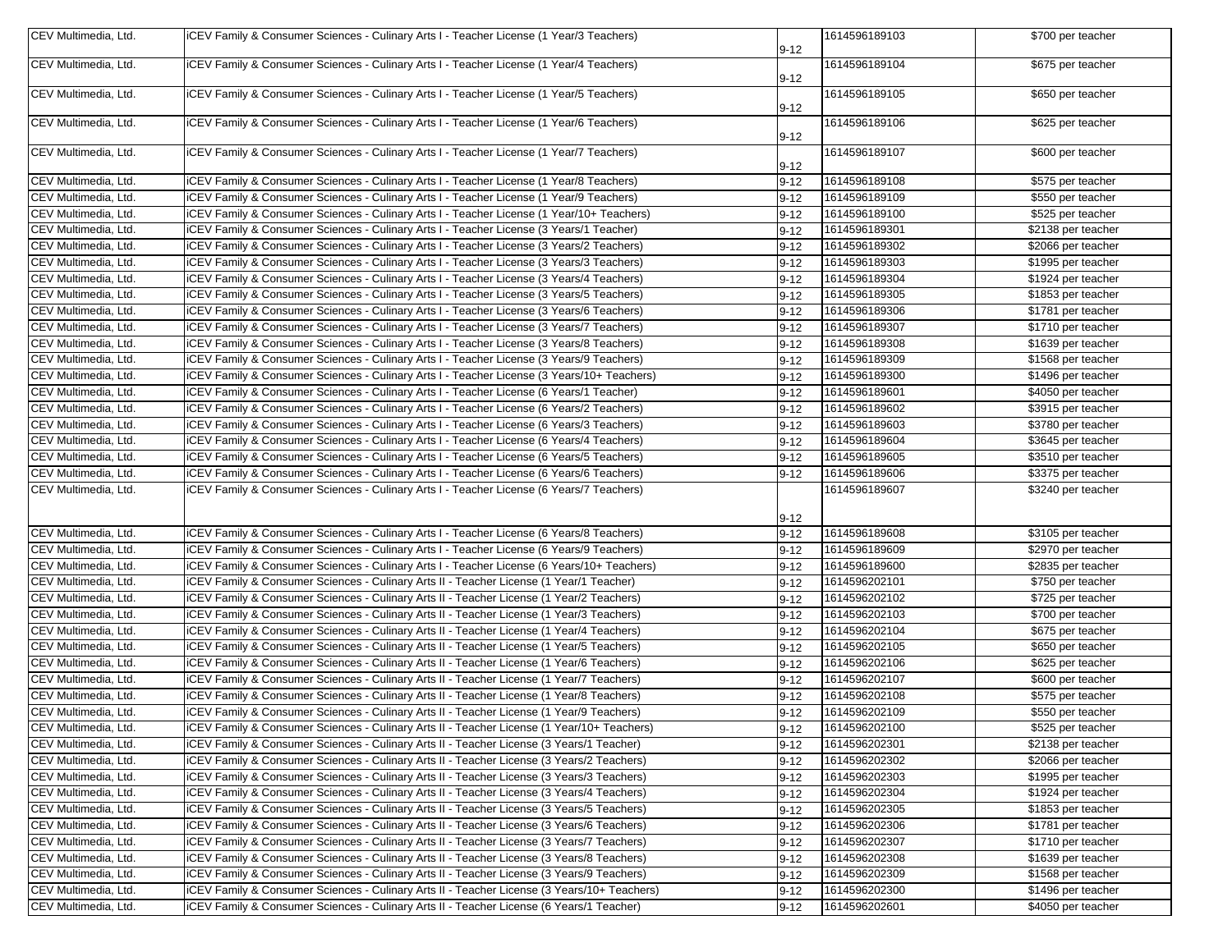| CEV Multimedia, Ltd.                         | ICEV Family & Consumer Sciences - Culinary Arts I - Teacher License (1 Year/3 Teachers)                                                                                              | $9 - 12$ | 1614596189103                  | \$700 per teacher                        |
|----------------------------------------------|--------------------------------------------------------------------------------------------------------------------------------------------------------------------------------------|----------|--------------------------------|------------------------------------------|
| CEV Multimedia, Ltd.                         | (ICEV Family & Consumer Sciences - Culinary Arts I - Teacher License (1 Year/4 Teachers)                                                                                             |          | 1614596189104                  | \$675 per teacher                        |
|                                              |                                                                                                                                                                                      | $9 - 12$ |                                |                                          |
| CEV Multimedia, Ltd.                         | ICEV Family & Consumer Sciences - Culinary Arts I - Teacher License (1 Year/5 Teachers)                                                                                              | $9 - 12$ | 1614596189105                  | \$650 per teacher                        |
| CEV Multimedia, Ltd.                         | ICEV Family & Consumer Sciences - Culinary Arts I - Teacher License (1 Year/6 Teachers)                                                                                              | $9 - 12$ | 1614596189106                  | \$625 per teacher                        |
| CEV Multimedia, Ltd.                         | ICEV Family & Consumer Sciences - Culinary Arts I - Teacher License (1 Year/7 Teachers)                                                                                              | $9 - 12$ | 1614596189107                  | \$600 per teacher                        |
| CEV Multimedia, Ltd.                         | ICEV Family & Consumer Sciences - Culinary Arts I - Teacher License (1 Year/8 Teachers)                                                                                              | $9 - 12$ | 1614596189108                  | \$575 per teacher                        |
| CEV Multimedia, Ltd.                         | ICEV Family & Consumer Sciences - Culinary Arts I - Teacher License (1 Year/9 Teachers)                                                                                              | $9 - 12$ | 1614596189109                  | \$550 per teacher                        |
| CEV Multimedia, Ltd.                         | ICEV Family & Consumer Sciences - Culinary Arts I - Teacher License (1 Year/10+ Teachers)                                                                                            | $9 - 12$ | 1614596189100                  | \$525 per teacher                        |
| CEV Multimedia, Ltd.                         | iCEV Family & Consumer Sciences - Culinary Arts I - Teacher License (3 Years/1 Teacher)                                                                                              | $9 - 12$ | 1614596189301                  | \$2138 per teacher                       |
| CEV Multimedia, Ltd.                         | iCEV Family & Consumer Sciences - Culinary Arts I - Teacher License (3 Years/2 Teachers)                                                                                             | $9 - 12$ | 1614596189302                  | \$2066 per teacher                       |
| CEV Multimedia, Ltd.                         | ICEV Family & Consumer Sciences - Culinary Arts I - Teacher License (3 Years/3 Teachers)                                                                                             | $9 - 12$ | 1614596189303                  | \$1995 per teacher                       |
| CEV Multimedia, Ltd.                         | iCEV Family & Consumer Sciences - Culinary Arts I - Teacher License (3 Years/4 Teachers)                                                                                             | $9 - 12$ | 1614596189304                  | \$1924 per teacher                       |
| CEV Multimedia, Ltd.                         | iCEV Family & Consumer Sciences - Culinary Arts I - Teacher License (3 Years/5 Teachers)                                                                                             | $9 - 12$ | 1614596189305                  | \$1853 per teacher                       |
| CEV Multimedia, Ltd.                         | iCEV Family & Consumer Sciences - Culinary Arts I - Teacher License (3 Years/6 Teachers)                                                                                             | $9 - 12$ | 1614596189306                  | \$1781 per teacher                       |
| CEV Multimedia, Ltd.                         | ICEV Family & Consumer Sciences - Culinary Arts I - Teacher License (3 Years/7 Teachers)                                                                                             | $9 - 12$ | 1614596189307                  | \$1710 per teacher                       |
| CEV Multimedia, Ltd.                         | ICEV Family & Consumer Sciences - Culinary Arts I - Teacher License (3 Years/8 Teachers)                                                                                             | $9 - 12$ | 1614596189308                  | \$1639 per teacher                       |
| CEV Multimedia, Ltd.                         | ICEV Family & Consumer Sciences - Culinary Arts I - Teacher License (3 Years/9 Teachers)                                                                                             | $9 - 12$ | 1614596189309                  | \$1568 per teacher                       |
| CEV Multimedia, Ltd.                         | ICEV Family & Consumer Sciences - Culinary Arts I - Teacher License (3 Years/10+ Teachers)                                                                                           | $9 - 12$ | 1614596189300                  | \$1496 per teacher                       |
| CEV Multimedia, Ltd.                         | ICEV Family & Consumer Sciences - Culinary Arts I - Teacher License (6 Years/1 Teacher)                                                                                              | $9 - 12$ | 1614596189601                  | \$4050 per teacher                       |
| CEV Multimedia, Ltd.                         | ICEV Family & Consumer Sciences - Culinary Arts I - Teacher License (6 Years/2 Teachers)                                                                                             | $9 - 12$ | 1614596189602                  | \$3915 per teacher                       |
| CEV Multimedia, Ltd.                         | ICEV Family & Consumer Sciences - Culinary Arts I - Teacher License (6 Years/3 Teachers)                                                                                             |          | 1614596189603                  | \$3780 per teacher                       |
| CEV Multimedia, Ltd.                         | ICEV Family & Consumer Sciences - Culinary Arts I - Teacher License (6 Years/4 Teachers)                                                                                             | $9 - 12$ | 1614596189604                  | \$3645 per teacher                       |
| CEV Multimedia, Ltd.                         | ICEV Family & Consumer Sciences - Culinary Arts I - Teacher License (6 Years/5 Teachers)                                                                                             | $9 - 12$ | 1614596189605                  | \$3510 per teacher                       |
|                                              |                                                                                                                                                                                      | $9 - 12$ |                                |                                          |
| CEV Multimedia, Ltd.<br>CEV Multimedia, Ltd. | ICEV Family & Consumer Sciences - Culinary Arts I - Teacher License (6 Years/6 Teachers)<br>ICEV Family & Consumer Sciences - Culinary Arts I - Teacher License (6 Years/7 Teachers) | $9 - 12$ | 1614596189606<br>1614596189607 | \$3375 per teacher<br>\$3240 per teacher |
|                                              |                                                                                                                                                                                      |          |                                |                                          |
|                                              |                                                                                                                                                                                      | $9 - 12$ |                                |                                          |
| CEV Multimedia, Ltd.                         | (GEV Family & Consumer Sciences - Culinary Arts I - Teacher License (6 Years/8 Teachers)                                                                                             | $9 - 12$ | 1614596189608                  | \$3105 per teacher                       |
| CEV Multimedia, Ltd.                         | ICEV Family & Consumer Sciences - Culinary Arts I - Teacher License (6 Years/9 Teachers)                                                                                             | $9 - 12$ | 1614596189609                  | \$2970 per teacher                       |
| CEV Multimedia, Ltd.                         | ICEV Family & Consumer Sciences - Culinary Arts I - Teacher License (6 Years/10+ Teachers)                                                                                           | $9 - 12$ | 1614596189600                  | \$2835 per teacher                       |
| CEV Multimedia, Ltd.                         | ICEV Family & Consumer Sciences - Culinary Arts II - Teacher License (1 Year/1 Teacher)                                                                                              | $9 - 12$ | 1614596202101                  | \$750 per teacher                        |
| CEV Multimedia, Ltd.                         | ICEV Family & Consumer Sciences - Culinary Arts II - Teacher License (1 Year/2 Teachers)                                                                                             | $9 - 12$ | 1614596202102                  | \$725 per teacher                        |
| CEV Multimedia, Ltd.                         | ICEV Family & Consumer Sciences - Culinary Arts II - Teacher License (1 Year/3 Teachers)                                                                                             | $9 - 12$ | 1614596202103                  | \$700 per teacher                        |
| CEV Multimedia, Ltd.                         | ICEV Family & Consumer Sciences - Culinary Arts II - Teacher License (1 Year/4 Teachers)                                                                                             | $9 - 12$ | 1614596202104                  | \$675 per teacher                        |
| CEV Multimedia, Ltd.                         | ICEV Family & Consumer Sciences - Culinary Arts II - Teacher License (1 Year/5 Teachers)                                                                                             | $9 - 12$ | 1614596202105                  | \$650 per teacher                        |
| CEV Multimedia, Ltd.                         | ICEV Family & Consumer Sciences - Culinary Arts II - Teacher License (1 Year/6 Teachers)                                                                                             | $9 - 12$ | 1614596202106                  | \$625 per teacher                        |
| CEV Multimedia, Ltd.                         | ICEV Family & Consumer Sciences - Culinary Arts II - Teacher License (1 Year/7 Teachers)                                                                                             | $9 - 12$ | 1614596202107                  | \$600 per teacher                        |
| CEV Multimedia, Ltd.                         | ICEV Family & Consumer Sciences - Culinary Arts II - Teacher License (1 Year/8 Teachers)                                                                                             | $9 - 12$ | 1614596202108                  | \$575 per teacher                        |
| CEV Multimedia, Ltd.                         | ICEV Family & Consumer Sciences - Culinary Arts II - Teacher License (1 Year/9 Teachers)                                                                                             | $9 - 12$ | 1614596202109                  | \$550 per teacher                        |
| CEV Multimedia, Ltd.                         | iCEV Family & Consumer Sciences - Culinary Arts II - Teacher License (1 Year/10+ Teachers)                                                                                           | $9 - 12$ | 1614596202100                  | \$525 per teacher                        |
| CEV Multimedia, Ltd.                         | (GEV Family & Consumer Sciences - Culinary Arts II - Teacher License (3 Years/1 Teacher)                                                                                             | $9 - 12$ | 1614596202301                  | \$2138 per teacher                       |
| CEV Multimedia, Ltd.                         | iCEV Family & Consumer Sciences - Culinary Arts II - Teacher License (3 Years/2 Teachers)                                                                                            | $9 - 12$ | 1614596202302                  | \$2066 per teacher                       |
| CEV Multimedia, Ltd.                         | ICEV Family & Consumer Sciences - Culinary Arts II - Teacher License (3 Years/3 Teachers)                                                                                            | $9 - 12$ | 1614596202303                  | \$1995 per teacher                       |
| CEV Multimedia, Ltd.                         | ICEV Family & Consumer Sciences - Culinary Arts II - Teacher License (3 Years/4 Teachers)                                                                                            | $9 - 12$ | 1614596202304                  | \$1924 per teacher                       |
| CEV Multimedia, Ltd.                         | (GEV Family & Consumer Sciences - Culinary Arts II - Teacher License (3 Years/5 Teachers)                                                                                            | $9 - 12$ | 1614596202305                  | \$1853 per teacher                       |
| CEV Multimedia, Ltd.                         | (iCEV Family & Consumer Sciences - Culinary Arts II - Teacher License (3 Years/6 Teachers)                                                                                           | $9 - 12$ | 1614596202306                  | \$1781 per teacher                       |
| CEV Multimedia, Ltd.                         | ICEV Family & Consumer Sciences - Culinary Arts II - Teacher License (3 Years/7 Teachers)                                                                                            | $9 - 12$ | 1614596202307                  | \$1710 per teacher                       |
| CEV Multimedia, Ltd.                         | (iCEV Family & Consumer Sciences - Culinary Arts II - Teacher License (3 Years/8 Teachers)                                                                                           | $9 - 12$ | 1614596202308                  | \$1639 per teacher                       |
| CEV Multimedia, Ltd.                         | (iCEV Family & Consumer Sciences - Culinary Arts II - Teacher License (3 Years/9 Teachers)                                                                                           | $9 - 12$ | 1614596202309                  | \$1568 per teacher                       |
| CEV Multimedia, Ltd.                         | iCEV Family & Consumer Sciences - Culinary Arts II - Teacher License (3 Years/10+ Teachers)                                                                                          | $9 - 12$ | 1614596202300                  | \$1496 per teacher                       |
| CEV Multimedia, Ltd.                         | ICEV Family & Consumer Sciences - Culinary Arts II - Teacher License (6 Years/1 Teacher)                                                                                             | $9 - 12$ | 1614596202601                  | \$4050 per teacher                       |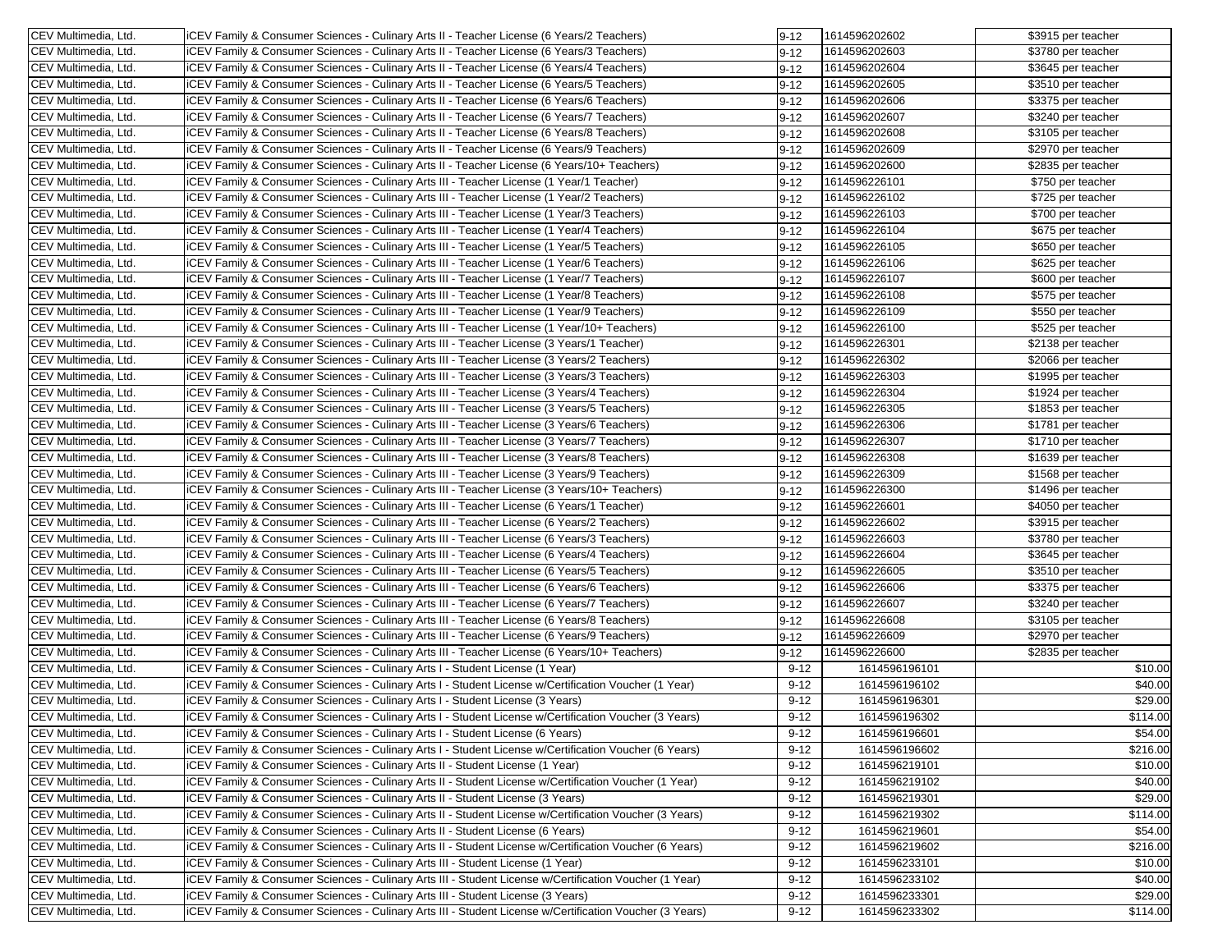| CEV Multimedia, Ltd.                                 | iCEV Family & Consumer Sciences - Culinary Arts II - Teacher License (6 Years/2 Teachers)                                                                                             | $9 - 12$             | 1614596202602                  | \$3915 per teacher  |
|------------------------------------------------------|---------------------------------------------------------------------------------------------------------------------------------------------------------------------------------------|----------------------|--------------------------------|---------------------|
| CEV Multimedia, Ltd.                                 | iCEV Family & Consumer Sciences - Culinary Arts II - Teacher License (6 Years/3 Teachers)                                                                                             | $9 - 12$             | 1614596202603                  | \$3780 per teacher  |
| CEV Multimedia, Ltd.                                 | iCEV Family & Consumer Sciences - Culinary Arts II - Teacher License (6 Years/4 Teachers)                                                                                             | $9 - 12$             | 1614596202604                  | \$3645 per teacher  |
| CEV Multimedia, Ltd.                                 | iCEV Family & Consumer Sciences - Culinary Arts II - Teacher License (6 Years/5 Teachers)                                                                                             | $9 - 12$             | 1614596202605                  | \$3510 per teacher  |
| CEV Multimedia, Ltd.                                 | iCEV Family & Consumer Sciences - Culinary Arts II - Teacher License (6 Years/6 Teachers)                                                                                             | $9 - 12$             | 1614596202606                  | \$3375 per teacher  |
| CEV Multimedia, Ltd.                                 | iCEV Family & Consumer Sciences - Culinary Arts II - Teacher License (6 Years/7 Teachers)                                                                                             | $9 - 12$             | 1614596202607                  | \$3240 per teacher  |
| CEV Multimedia, Ltd.                                 | iCEV Family & Consumer Sciences - Culinary Arts II - Teacher License (6 Years/8 Teachers)                                                                                             | $9 - 12$             | 1614596202608                  | \$3105 per teacher  |
| CEV Multimedia, Ltd.                                 | iCEV Family & Consumer Sciences - Culinary Arts II - Teacher License (6 Years/9 Teachers)                                                                                             | $9 - 12$             | 1614596202609                  | \$2970 per teacher  |
| CEV Multimedia, Ltd.                                 | iCEV Family & Consumer Sciences - Culinary Arts II - Teacher License (6 Years/10+ Teachers)                                                                                           | $9 - 12$             | 1614596202600                  | \$2835 per teacher  |
| CEV Multimedia, Ltd.                                 | iCEV Family & Consumer Sciences - Culinary Arts III - Teacher License (1 Year/1 Teacher)                                                                                              | $9 - 12$             | 1614596226101                  | \$750 per teacher   |
| CEV Multimedia, Ltd.                                 | iCEV Family & Consumer Sciences - Culinary Arts III - Teacher License (1 Year/2 Teachers)                                                                                             | $9 - 12$             | 1614596226102                  | \$725 per teacher   |
| CEV Multimedia, Ltd.                                 | iCEV Family & Consumer Sciences - Culinary Arts III - Teacher License (1 Year/3 Teachers)                                                                                             | 9-12                 | 1614596226103                  | \$700 per teacher   |
| CEV Multimedia, Ltd.                                 | iCEV Family & Consumer Sciences - Culinary Arts III - Teacher License (1 Year/4 Teachers)                                                                                             | $9 - 12$             | 1614596226104                  | \$675 per teacher   |
| CEV Multimedia, Ltd.                                 | iCEV Family & Consumer Sciences - Culinary Arts III - Teacher License (1 Year/5 Teachers)                                                                                             | $9 - 12$             | 1614596226105                  | \$650 per teacher   |
| CEV Multimedia, Ltd.                                 | iCEV Family & Consumer Sciences - Culinary Arts III - Teacher License (1 Year/6 Teachers)                                                                                             | $9 - 12$             | 1614596226106                  | \$625 per teacher   |
| CEV Multimedia, Ltd.                                 | iCEV Family & Consumer Sciences - Culinary Arts III - Teacher License (1 Year/7 Teachers)                                                                                             | $9 - 12$             | 1614596226107                  | \$600 per teacher   |
| CEV Multimedia, Ltd.                                 | iCEV Family & Consumer Sciences - Culinary Arts III - Teacher License (1 Year/8 Teachers)                                                                                             | $9 - 12$             | 1614596226108                  | \$575 per teacher   |
| CEV Multimedia, Ltd.                                 | iCEV Family & Consumer Sciences - Culinary Arts III - Teacher License (1 Year/9 Teachers)                                                                                             | $9 - 12$             | 1614596226109                  | \$550 per teacher   |
| CEV Multimedia, Ltd.                                 | iCEV Family & Consumer Sciences - Culinary Arts III - Teacher License (1 Year/10+ Teachers)                                                                                           | $9 - 12$             | 1614596226100                  | \$525 per teacher   |
| CEV Multimedia, Ltd.                                 | iCEV Family & Consumer Sciences - Culinary Arts III - Teacher License (3 Years/1 Teacher)                                                                                             | $9 - 12$             | 1614596226301                  | \$2138 per teacher  |
| CEV Multimedia, Ltd.                                 | iCEV Family & Consumer Sciences - Culinary Arts III - Teacher License (3 Years/2 Teachers)                                                                                            | $9 - 12$             | 1614596226302                  | \$2066 per teacher  |
| CEV Multimedia, Ltd.                                 | iCEV Family & Consumer Sciences - Culinary Arts III - Teacher License (3 Years/3 Teachers)                                                                                            | $9 - 12$             | 1614596226303                  | \$1995 per teacher  |
| CEV Multimedia, Ltd.                                 | iCEV Family & Consumer Sciences - Culinary Arts III - Teacher License (3 Years/4 Teachers)                                                                                            | $9 - 12$             | 1614596226304                  | \$1924 per teacher  |
| CEV Multimedia, Ltd.                                 | iCEV Family & Consumer Sciences - Culinary Arts III - Teacher License (3 Years/5 Teachers)                                                                                            | $9 - 12$             | 1614596226305                  | \$1853 per teacher  |
| CEV Multimedia, Ltd.                                 | <b>ICEV Family &amp; Consumer Sciences - Culinary Arts III - Teacher License (3 Years/6 Teachers)</b>                                                                                 | $9 - 12$             | 1614596226306                  | \$1781 per teacher  |
| CEV Multimedia, Ltd.                                 | iCEV Family & Consumer Sciences - Culinary Arts III - Teacher License (3 Years/7 Teachers)                                                                                            | $9 - 12$             | 1614596226307                  | \$1710 per teacher  |
| CEV Multimedia, Ltd.                                 | iCEV Family & Consumer Sciences - Culinary Arts III - Teacher License (3 Years/8 Teachers)                                                                                            | $9 - 12$             | 1614596226308                  | \$1639 per teacher  |
| CEV Multimedia, Ltd.                                 | iCEV Family & Consumer Sciences - Culinary Arts III - Teacher License (3 Years/9 Teachers)                                                                                            | $9 - 12$             | 1614596226309                  | \$1568 per teacher  |
| CEV Multimedia, Ltd.                                 | iCEV Family & Consumer Sciences - Culinary Arts III - Teacher License (3 Years/10+ Teachers)                                                                                          | $9 - 12$             | 1614596226300                  | \$1496 per teacher  |
| CEV Multimedia, Ltd.                                 | iCEV Family & Consumer Sciences - Culinary Arts III - Teacher License (6 Years/1 Teacher)                                                                                             | $9 - 12$             | 1614596226601                  | \$4050 per teacher  |
| CEV Multimedia, Ltd.                                 | iCEV Family & Consumer Sciences - Culinary Arts III - Teacher License (6 Years/2 Teachers)                                                                                            | $9 - 12$             | 1614596226602                  | \$3915 per teacher  |
| CEV Multimedia, Ltd.                                 | iCEV Family & Consumer Sciences - Culinary Arts III - Teacher License (6 Years/3 Teachers)                                                                                            | $9 - 12$             | 1614596226603                  | \$3780 per teacher  |
| CEV Multimedia, Ltd.                                 | iCEV Family & Consumer Sciences - Culinary Arts III - Teacher License (6 Years/4 Teachers)                                                                                            | $9 - 12$             | 1614596226604                  | \$3645 per teacher  |
| CEV Multimedia, Ltd.                                 | iCEV Family & Consumer Sciences - Culinary Arts III - Teacher License (6 Years/5 Teachers)                                                                                            | 9-12                 | 1614596226605                  | \$3510 per teacher  |
| CEV Multimedia, Ltd.                                 | iCEV Family & Consumer Sciences - Culinary Arts III - Teacher License (6 Years/6 Teachers)                                                                                            | $9 - 12$             | 1614596226606                  | \$3375 per teacher  |
| CEV Multimedia, Ltd.                                 | iCEV Family & Consumer Sciences - Culinary Arts III - Teacher License (6 Years/7 Teachers)                                                                                            | $9 - 12$             | 1614596226607                  | \$3240 per teacher  |
| CEV Multimedia, Ltd.                                 | iCEV Family & Consumer Sciences - Culinary Arts III - Teacher License (6 Years/8 Teachers)                                                                                            | $9 - 12$             | 1614596226608                  | \$3105 per teacher  |
| CEV Multimedia, Ltd.                                 | iCEV Family & Consumer Sciences - Culinary Arts III - Teacher License (6 Years/9 Teachers)                                                                                            |                      | 1614596226609                  | \$2970 per teacher  |
| CEV Multimedia, Ltd.                                 | iCEV Family & Consumer Sciences - Culinary Arts III - Teacher License (6 Years/10+ Teachers)                                                                                          | $9 - 12$             | 1614596226600                  | \$2835 per teacher  |
| CEV Multimedia, Ltd.                                 | iCEV Family & Consumer Sciences - Culinary Arts I - Student License (1 Year)                                                                                                          | $9 - 12$<br>$9 - 12$ | 1614596196101                  | \$10.00             |
| CEV Multimedia, Ltd.                                 | (1 Year) CEV Family & Consumer Sciences - Culinary Arts I - Student License w/Certification Voucher                                                                                   | $9 - 12$             | 1614596196102                  | \$40.00             |
| CEV Multimedia, Ltd.                                 | iCEV Family & Consumer Sciences - Culinary Arts I - Student License (3 Years)                                                                                                         | $9 - 12$             | 1614596196301                  | \$29.00             |
| CEV Multimedia, Ltd.                                 | (CEV Family & Consumer Sciences - Culinary Arts I - Student License w/Certification Voucher (3 Years)                                                                                 | $9 - 12$             | 1614596196302                  | \$114.00            |
| CEV Multimedia, Ltd.                                 | iCEV Family & Consumer Sciences - Culinary Arts I - Student License (6 Years)                                                                                                         | $9 - 12$             |                                |                     |
|                                                      | iCEV Family & Consumer Sciences - Culinary Arts I - Student License w/Certification Voucher (6 Years)                                                                                 |                      | 1614596196601<br>1614596196602 | \$54.00<br>\$216.00 |
| CEV Multimedia, Ltd.<br><b>ICEV Multimedia, Ltd.</b> |                                                                                                                                                                                       | $9 - 12$             |                                |                     |
|                                                      | iCEV Family & Consumer Sciences - Culinary Arts II - Student License (1 Year)<br>CEV Family & Consumer Sciences - Culinary Arts II - Student License w/Certification Voucher (1 Year) | $9 - 12$             | 1614596219101                  | \$10.00             |
| CEV Multimedia, Ltd.                                 |                                                                                                                                                                                       | $9 - 12$             | 1614596219102                  | \$40.00<br>\$29.00  |
| CEV Multimedia, Ltd.                                 | iCEV Family & Consumer Sciences - Culinary Arts II - Student License (3 Years)                                                                                                        | $9 - 12$             | 1614596219301<br>1614596219302 |                     |
| CEV Multimedia, Ltd.                                 | (CEV Family & Consumer Sciences - Culinary Arts II - Student License w/Certification Voucher (3 Years)                                                                                | $9 - 12$             |                                | \$114.00            |
| CEV Multimedia, Ltd.                                 | <b>ICEV Family &amp; Consumer Sciences - Culinary Arts II - Student License (6 Years)</b>                                                                                             | $9 - 12$             | 1614596219601                  | \$54.00             |
| CEV Multimedia, Ltd.                                 | iCEV Family & Consumer Sciences - Culinary Arts II - Student License w/Certification Voucher (6 Years)                                                                                | $9 - 12$             | 1614596219602                  | \$216.00            |
| CEV Multimedia, Ltd.                                 | iCEV Family & Consumer Sciences - Culinary Arts III - Student License (1 Year)                                                                                                        | $9 - 12$             | 1614596233101                  | \$10.00             |
| CEV Multimedia, Ltd.                                 | CEV Family & Consumer Sciences - Culinary Arts III - Student License w/Certification Voucher (1 Year)                                                                                 | $9 - 12$             | 1614596233102                  | \$40.00             |
| CEV Multimedia, Ltd.                                 | iCEV Family & Consumer Sciences - Culinary Arts III - Student License (3 Years)                                                                                                       | $9 - 12$             | 1614596233301                  | \$29.00             |
| CEV Multimedia, Ltd.                                 | (CEV Family & Consumer Sciences - Culinary Arts III - Student License w/Certification Voucher (3 Years)                                                                               | $9 - 12$             | 1614596233302                  | \$114.00            |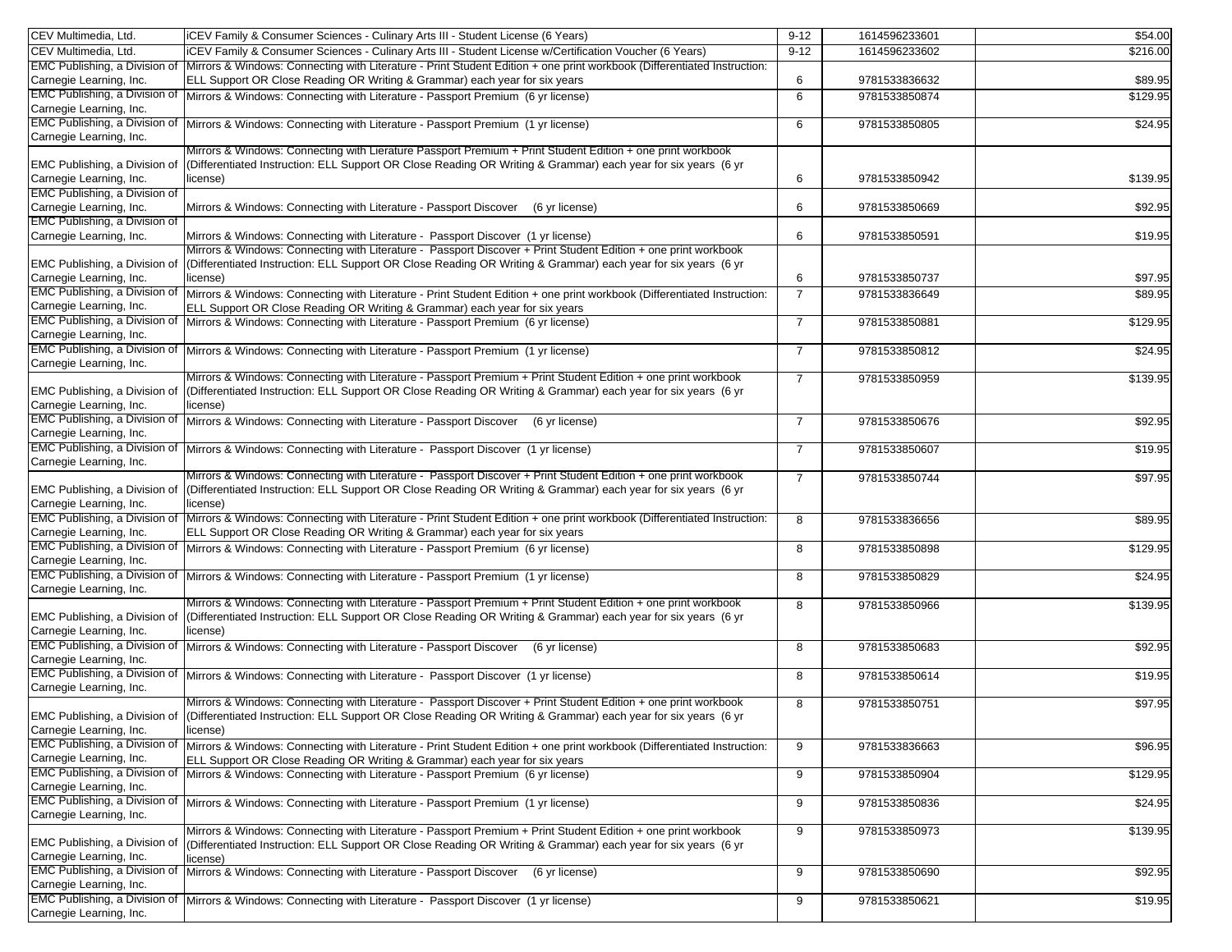| CEV Multimedia, Ltd.                 | iCEV Family & Consumer Sciences - Culinary Arts III - Student License (6 Years)                                                             | $9 - 12$       | 1614596233601 | \$54.00  |
|--------------------------------------|---------------------------------------------------------------------------------------------------------------------------------------------|----------------|---------------|----------|
| CEV Multimedia, Ltd.                 | iCEV Family & Consumer Sciences - Culinary Arts III - Student License w/Certification Voucher (6 Years)                                     | $9 - 12$       | 1614596233602 | \$216.00 |
| EMC Publishing, a Division of        | Mirrors & Windows: Connecting with Literature - Print Student Edition + one print workbook (Differentiated Instruction:                     |                |               |          |
| Carnegie Learning, Inc.              | ELL Support OR Close Reading OR Writing & Grammar) each year for six years                                                                  | 6              | 9781533836632 | \$89.95  |
| EMC Publishing, a Division of        |                                                                                                                                             |                | 9781533850874 |          |
| Carnegie Learning, Inc.              | Mirrors & Windows: Connecting with Literature - Passport Premium (6 yr license)                                                             | 6              |               | \$129.95 |
| EMC Publishing, a Division of        |                                                                                                                                             |                |               |          |
|                                      | Mirrors & Windows: Connecting with Literature - Passport Premium (1 yr license)                                                             | 6              | 9781533850805 | \$24.95  |
| Carnegie Learning, Inc.              |                                                                                                                                             |                |               |          |
|                                      | Mirrors & Windows: Connecting with Lierature Passport Premium + Print Student Edition + one print workbook                                  |                |               |          |
| EMC Publishing, a Division of        | (Differentiated Instruction: ELL Support OR Close Reading OR Writing & Grammar) each year for six years (6 yr                               |                |               |          |
| Carnegie Learning, Inc.              | license)                                                                                                                                    | 6              | 9781533850942 | \$139.95 |
| EMC Publishing, a Division of        |                                                                                                                                             |                |               |          |
| Carnegie Learning, Inc.              | Mirrors & Windows: Connecting with Literature - Passport Discover<br>(6 yr license)                                                         | 6              | 9781533850669 | \$92.95  |
| EMC Publishing, a Division of        |                                                                                                                                             |                |               |          |
| Carnegie Learning, Inc.              | Mirrors & Windows: Connecting with Literature - Passport Discover (1 yr license)                                                            | 6              | 9781533850591 | \$19.95  |
|                                      | Mirrors & Windows: Connecting with Literature - Passport Discover + Print Student Edition + one print workbook                              |                |               |          |
| EMC Publishing, a Division of        | (Differentiated Instruction: ELL Support OR Close Reading OR Writing & Grammar) each year for six years (6 yr                               |                |               |          |
| Carnegie Learning, Inc.              | license)                                                                                                                                    | 6              | 9781533850737 | \$97.95  |
| EMC Publishing, a Division of        | Mirrors & Windows: Connecting with Literature - Print Student Edition + one print workbook (Differentiated Instruction:                     | $\overline{7}$ | 9781533836649 | \$89.95  |
| Carnegie Learning, Inc.              | ELL Support OR Close Reading OR Writing & Grammar) each year for six years                                                                  |                |               |          |
| EMC Publishing, a Division of        | Mirrors & Windows: Connecting with Literature - Passport Premium (6 yr license)                                                             | $\overline{7}$ | 9781533850881 | \$129.95 |
| Carnegie Learning, Inc.              |                                                                                                                                             |                |               |          |
| EMC Publishing, a Division of        | Mirrors & Windows: Connecting with Literature - Passport Premium (1 yr license)                                                             | $\overline{7}$ | 9781533850812 | \$24.95  |
| Carnegie Learning, Inc.              |                                                                                                                                             |                |               |          |
|                                      | Mirrors & Windows: Connecting with Literature - Passport Premium + Print Student Edition + one print workbook                               |                |               |          |
|                                      | (Differentiated Instruction: ELL Support OR Close Reading OR Writing & Grammar) each year for six years (6 yr                               | $\overline{7}$ | 9781533850959 | \$139.95 |
| EMC Publishing, a Division of        |                                                                                                                                             |                |               |          |
| Carnegie Learning, Inc.              | license)                                                                                                                                    |                |               |          |
| EMC Publishing, a Division of        | Mirrors & Windows: Connecting with Literature - Passport Discover<br>(6 yr license)                                                         | $\overline{7}$ | 9781533850676 | \$92.95  |
| Carnegie Learning, Inc.              |                                                                                                                                             |                |               |          |
| <b>EMC Publishing, a Division of</b> | Mirrors & Windows: Connecting with Literature - Passport Discover (1 yr license)                                                            | $\overline{7}$ | 9781533850607 | \$19.95  |
| Carnegie Learning, Inc.              |                                                                                                                                             |                |               |          |
|                                      | Mirrors & Windows: Connecting with Literature - Passport Discover + Print Student Edition + one print workbook                              | $\overline{7}$ | 9781533850744 | \$97.95  |
| EMC Publishing, a Division of        | (Differentiated Instruction: ELL Support OR Close Reading OR Writing & Grammar) each year for six years (6 yr                               |                |               |          |
| Carnegie Learning, Inc.              | license)                                                                                                                                    |                |               |          |
| EMC Publishing, a Division of        | Mirrors & Windows: Connecting with Literature - Print Student Edition + one print workbook (Differentiated Instruction:                     | 8              | 9781533836656 | \$89.95  |
| Carnegie Learning, Inc.              | ELL Support OR Close Reading OR Writing & Grammar) each year for six years                                                                  |                |               |          |
| EMC Publishing, a Division of        | Mirrors & Windows: Connecting with Literature - Passport Premium (6 yr license)                                                             | 8              | 9781533850898 | \$129.95 |
| Carnegie Learning, Inc.              |                                                                                                                                             |                |               |          |
| <b>EMC Publishing, a Division of</b> | Mirrors & Windows: Connecting with Literature - Passport Premium (1 yr license)                                                             | 8              | 9781533850829 | \$24.95  |
| Carnegie Learning, Inc.              |                                                                                                                                             |                |               |          |
|                                      | Mirrors & Windows: Connecting with Literature - Passport Premium + Print Student Edition + one print workbook                               | 8              | 9781533850966 | \$139.95 |
| EMC Publishing, a Division of        | (Differentiated Instruction: ELL Support OR Close Reading OR Writing & Grammar) each year for six years (6 yr                               |                |               |          |
| Carnegie Learning, Inc.              | license)                                                                                                                                    |                |               |          |
| EMC Publishing, a Division of        |                                                                                                                                             |                |               |          |
|                                      | Mirrors & Windows: Connecting with Literature - Passport Discover<br>(6 yr license)                                                         | 8              | 9781533850683 | \$92.95  |
| Carnegie Learning, Inc.              |                                                                                                                                             |                |               |          |
| EMC Publishing, a Division of        | Mirrors & Windows: Connecting with Literature - Passport Discover (1 yr license)                                                            | 8              | 9781533850614 | \$19.95  |
| Carnegie Learning, Inc.              |                                                                                                                                             |                |               |          |
|                                      | Mirrors & Windows: Connecting with Literature - Passport Discover + Print Student Edition + one print workbook                              | 8              | 9781533850751 | \$97.95  |
|                                      | EMC Publishing, a Division of (Differentiated Instruction: ELL Support OR Close Reading OR Writing & Grammar) each year for six years (6 yr |                |               |          |
| Carnegie Learning, Inc.              | license)                                                                                                                                    |                |               |          |
| EMC Publishing, a Division of        | Mirrors & Windows: Connecting with Literature - Print Student Edition + one print workbook (Differentiated Instruction:                     | 9              | 9781533836663 | \$96.95  |
| Carnegie Learning, Inc.              | ELL Support OR Close Reading OR Writing & Grammar) each year for six years                                                                  |                |               |          |
| EMC Publishing, a Division of        | Mirrors & Windows: Connecting with Literature - Passport Premium (6 yr license)                                                             | 9              | 9781533850904 | \$129.95 |
| Carnegie Learning, Inc.              |                                                                                                                                             |                |               |          |
| <b>EMC Publishing, a Division of</b> | Mirrors & Windows: Connecting with Literature - Passport Premium (1 yr license)                                                             | 9              | 9781533850836 | \$24.95  |
| Carnegie Learning, Inc.              |                                                                                                                                             |                |               |          |
|                                      | Mirrors & Windows: Connecting with Literature - Passport Premium + Print Student Edition + one print workbook                               | 9              | 9781533850973 | \$139.95 |
| EMC Publishing, a Division of        |                                                                                                                                             |                |               |          |
| Carnegie Learning, Inc.              | (Differentiated Instruction: ELL Support OR Close Reading OR Writing & Grammar) each year for six years (6 yr                               |                |               |          |
| EMC Publishing, a Division of        | license)<br>Mirrors & Windows: Connecting with Literature - Passport Discover<br>(6 vr license)                                             |                | 9781533850690 | \$92.95  |
| Carnegie Learning, Inc.              |                                                                                                                                             | 9              |               |          |
| EMC Publishing, a Division of        |                                                                                                                                             |                |               |          |
|                                      | Mirrors & Windows: Connecting with Literature - Passport Discover (1 yr license)                                                            | 9              | 9781533850621 | \$19.95  |
| Carnegie Learning, Inc.              |                                                                                                                                             |                |               |          |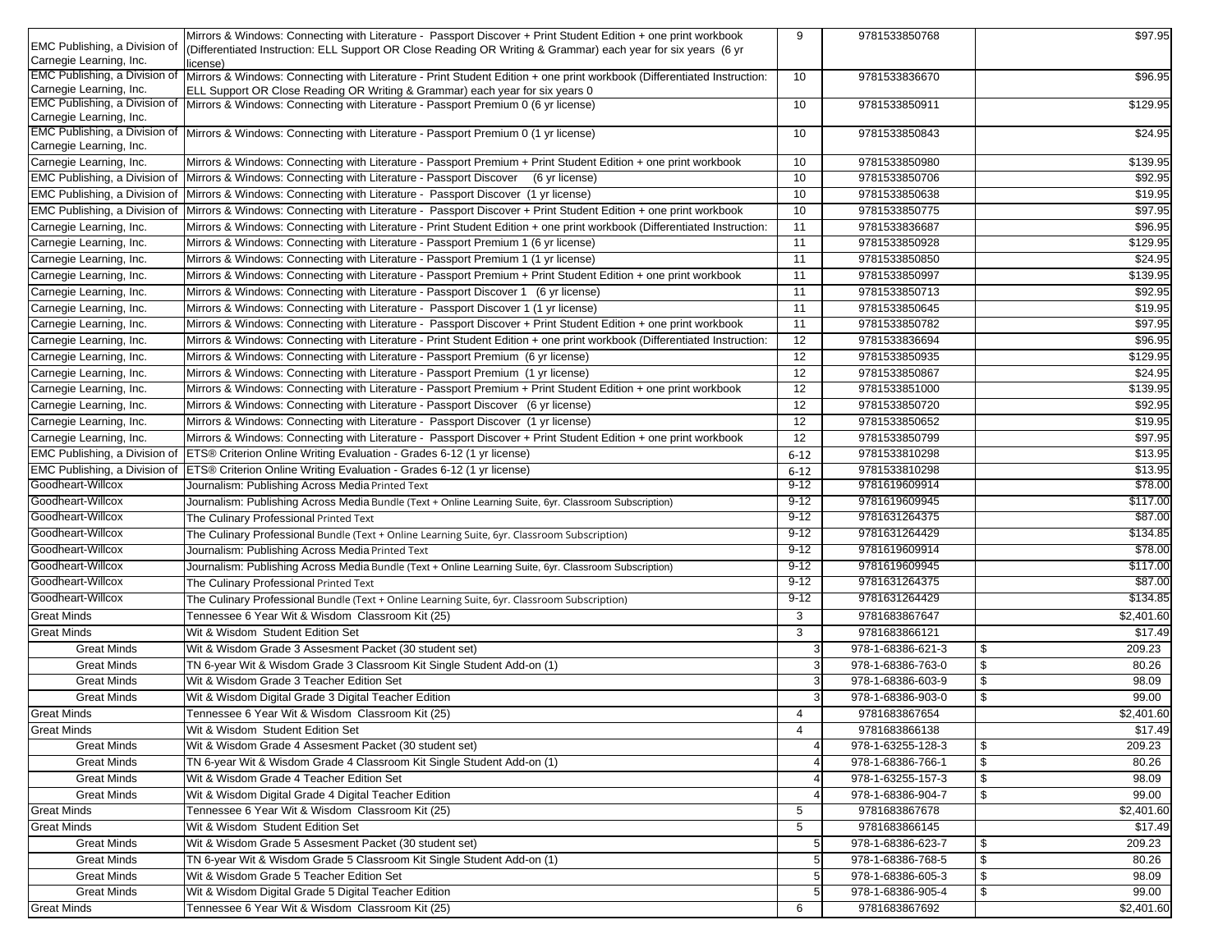|                                                          | Mirrors & Windows: Connecting with Literature - Passport Discover + Print Student Edition + one print workbook                               | 9                       | 9781533850768     | \$97.95      |
|----------------------------------------------------------|----------------------------------------------------------------------------------------------------------------------------------------------|-------------------------|-------------------|--------------|
| EMC Publishing, a Division of                            | (Differentiated Instruction: ELL Support OR Close Reading OR Writing & Grammar) each year for six years (6 yr                                |                         |                   |              |
| Carnegie Learning, Inc.                                  | license)                                                                                                                                     |                         |                   |              |
| <b>EMC Publishing, a Division of</b>                     | Mirrors & Windows: Connecting with Literature - Print Student Edition + one print workbook (Differentiated Instruction:                      | 10                      | 9781533836670     | \$96.95      |
| Carnegie Learning, Inc.                                  | ELL Support OR Close Reading OR Writing & Grammar) each year for six years 0                                                                 |                         |                   |              |
| EMC Publishing, a Division of                            | Mirrors & Windows: Connecting with Literature - Passport Premium 0 (6 yr license)                                                            | 10                      | 9781533850911     | \$129.95     |
| Carnegie Learning, Inc.<br>EMC Publishing, a Division of |                                                                                                                                              |                         |                   |              |
| Carnegie Learning, Inc.                                  | Mirrors & Windows: Connecting with Literature - Passport Premium 0 (1 yr license)                                                            | 10                      | 9781533850843     | \$24.95      |
| Carnegie Learning, Inc.                                  | Mirrors & Windows: Connecting with Literature - Passport Premium + Print Student Edition + one print workbook                                | 10                      | 9781533850980     | \$139.95     |
|                                                          | EMC Publishing, a Division of Mirrors & Windows: Connecting with Literature - Passport Discover                                              | 10                      | 9781533850706     | \$92.95      |
|                                                          | (6 yr license)                                                                                                                               |                         |                   |              |
|                                                          | EMC Publishing, a Division of Mirrors & Windows: Connecting with Literature - Passport Discover (1 yr license)                               | 10                      | 9781533850638     | \$19.95      |
|                                                          | EMC Publishing, a Division of Mirrors & Windows: Connecting with Literature - Passport Discover + Print Student Edition + one print workbook | 10                      | 9781533850775     | \$97.95      |
| Carnegie Learning, Inc.                                  | Mirrors & Windows: Connecting with Literature - Print Student Edition + one print workbook (Differentiated Instruction:                      | 11                      | 9781533836687     | \$96.95      |
| Carnegie Learning, Inc.                                  | Mirrors & Windows: Connecting with Literature - Passport Premium 1 (6 yr license)                                                            | 11                      | 9781533850928     | \$129.95     |
| Carnegie Learning, Inc.                                  | Mirrors & Windows: Connecting with Literature - Passport Premium 1 (1 yr license)                                                            | 11                      | 9781533850850     | \$24.95      |
| Carnegie Learning, Inc.                                  | Mirrors & Windows: Connecting with Literature - Passport Premium + Print Student Edition + one print workbook                                | 11                      | 9781533850997     | \$139.95     |
| Carnegie Learning, Inc.                                  | Mirrors & Windows: Connecting with Literature - Passport Discover 1 (6 yr license)                                                           | 11                      | 9781533850713     | \$92.95      |
| Carnegie Learning, Inc.                                  | Mirrors & Windows: Connecting with Literature - Passport Discover 1 (1 yr license)                                                           | 11                      | 9781533850645     | \$19.95      |
| Carnegie Learning, Inc.                                  | Mirrors & Windows: Connecting with Literature - Passport Discover + Print Student Edition + one print workbook                               | 11                      | 9781533850782     | \$97.95      |
| Carnegie Learning, Inc.                                  | Mirrors & Windows: Connecting with Literature - Print Student Edition + one print workbook (Differentiated Instruction:                      | 12                      | 9781533836694     | \$96.95      |
| Carnegie Learning, Inc.                                  | Mirrors & Windows: Connecting with Literature - Passport Premium (6 yr license)                                                              | 12                      | 9781533850935     | \$129.95     |
| Carnegie Learning, Inc.                                  | Mirrors & Windows: Connecting with Literature - Passport Premium (1 yr license)                                                              | 12                      | 9781533850867     | \$24.95      |
| Carnegie Learning, Inc.                                  | Mirrors & Windows: Connecting with Literature - Passport Premium + Print Student Edition + one print workbook                                | 12                      | 9781533851000     | \$139.95     |
| Carnegie Learning, Inc.                                  | Mirrors & Windows: Connecting with Literature - Passport Discover (6 yr license)                                                             | 12                      | 9781533850720     | \$92.95      |
| Carnegie Learning, Inc.                                  | Mirrors & Windows: Connecting with Literature - Passport Discover (1 yr license)                                                             | 12                      | 9781533850652     | \$19.95      |
| Carnegie Learning, Inc.                                  | Mirrors & Windows: Connecting with Literature - Passport Discover + Print Student Edition + one print workbook                               | 12                      | 9781533850799     | \$97.95      |
| EMC Publishing, a Division of                            | ETS® Criterion Online Writing Evaluation - Grades 6-12 (1 yr license)                                                                        |                         | 9781533810298     | \$13.95      |
|                                                          |                                                                                                                                              | $6 - 12$                | 9781533810298     | \$13.95      |
| EMC Publishing, a Division of<br>Goodheart-Willcox       | ETS® Criterion Online Writing Evaluation - Grades 6-12 (1 yr license)                                                                        | $6 - 12$<br>$9 - 12$    | 9781619609914     | \$78.00      |
| Goodheart-Willcox                                        | Journalism: Publishing Across Media Printed Text                                                                                             | $9-12$                  | 9781619609945     |              |
|                                                          | Journalism: Publishing Across Media Bundle (Text + Online Learning Suite, 6yr. Classroom Subscription)                                       |                         |                   | \$117.00     |
| Goodheart-Willcox                                        | The Culinary Professional Printed Text                                                                                                       | $9-12$                  | 9781631264375     | \$87.00      |
| Goodheart-Willcox                                        | The Culinary Professional Bundle (Text + Online Learning Suite, 6yr. Classroom Subscription)                                                 | $9-12$                  | 9781631264429     | \$134.85     |
| Goodheart-Willcox                                        | Journalism: Publishing Across Media Printed Text                                                                                             | $9-12$                  | 9781619609914     | \$78.00      |
| Goodheart-Willcox                                        | Journalism: Publishing Across Media Bundle (Text + Online Learning Suite, 6yr. Classroom Subscription)                                       | $9 - 12$                | 9781619609945     | \$117.00     |
| Goodheart-Willcox                                        | The Culinary Professional Printed Text                                                                                                       | $9 - 12$                | 9781631264375     | \$87.00      |
| Goodheart-Willcox                                        | The Culinary Professional Bundle (Text + Online Learning Suite, 6yr. Classroom Subscription)                                                 | $9 - 12$                | 9781631264429     | \$134.85     |
| <b>Great Minds</b>                                       | Tennessee 6 Year Wit & Wisdom Classroom Kit (25)                                                                                             | 3                       | 9781683867647     | \$2,401.60   |
| <b>Great Minds</b>                                       | Wit & Wisdom Student Edition Set                                                                                                             | 3                       | 9781683866121     | \$17.49      |
| <b>Great Minds</b>                                       | Wit & Wisdom Grade 3 Assesment Packet (30 student set)                                                                                       | 3                       | 978-1-68386-621-3 | 209.23<br>\$ |
| <b>Great Minds</b>                                       | TN 6-year Wit & Wisdom Grade 3 Classroom Kit Single Student Add-on (1)                                                                       | 3                       | 978-1-68386-763-0 | \$<br>80.26  |
| <b>Great Minds</b>                                       | Wit & Wisdom Grade 3 Teacher Edition Set                                                                                                     | 3                       | 978-1-68386-603-9 | \$<br>98.09  |
| <b>Great Minds</b>                                       | Wit & Wisdom Digital Grade 3 Digital Teacher Edition                                                                                         |                         | 978-1-68386-903-0 | \$<br>99.00  |
| <b>Great Minds</b>                                       | Tennessee 6 Year Wit & Wisdom Classroom Kit (25)                                                                                             | $\overline{4}$          | 9781683867654     | \$2,401.60   |
| <b>Great Minds</b>                                       | Wit & Wisdom Student Edition Set                                                                                                             | $\overline{\mathbf{4}}$ | 9781683866138     | \$17.49      |
| <b>Great Minds</b>                                       | Wit & Wisdom Grade 4 Assesment Packet (30 student set)                                                                                       |                         | 978-1-63255-128-3 | 209.23<br>\$ |
| <b>Great Minds</b>                                       | TN 6-year Wit & Wisdom Grade 4 Classroom Kit Single Student Add-on (1)                                                                       |                         | 978-1-68386-766-1 | \$<br>80.26  |
| <b>Great Minds</b>                                       | Wit & Wisdom Grade 4 Teacher Edition Set                                                                                                     | 4                       | 978-1-63255-157-3 | \$<br>98.09  |
| <b>Great Minds</b>                                       | Wit & Wisdom Digital Grade 4 Digital Teacher Edition                                                                                         |                         | 978-1-68386-904-7 | 99.00<br>\$  |
|                                                          |                                                                                                                                              |                         |                   |              |
| <b>Great Minds</b>                                       | Tennessee 6 Year Wit & Wisdom Classroom Kit (25)                                                                                             | 5                       | 9781683867678     | \$2,401.60   |
| <b>Great Minds</b>                                       | Wit & Wisdom Student Edition Set                                                                                                             | 5                       | 9781683866145     | \$17.49      |
| <b>Great Minds</b>                                       | Wit & Wisdom Grade 5 Assesment Packet (30 student set)                                                                                       | 5                       | 978-1-68386-623-7 | 209.23<br>\$ |
| <b>Great Minds</b>                                       | TN 6-year Wit & Wisdom Grade 5 Classroom Kit Single Student Add-on (1)                                                                       | 5                       | 978-1-68386-768-5 | \$<br>80.26  |
| <b>Great Minds</b>                                       | Wit & Wisdom Grade 5 Teacher Edition Set                                                                                                     | 5                       | 978-1-68386-605-3 | 98.09<br>\$  |
| <b>Great Minds</b>                                       | Wit & Wisdom Digital Grade 5 Digital Teacher Edition                                                                                         | 5                       | 978-1-68386-905-4 | 99.00<br>\$  |
| <b>Great Minds</b>                                       | Tennessee 6 Year Wit & Wisdom Classroom Kit (25)                                                                                             | 6                       | 9781683867692     | \$2,401.60   |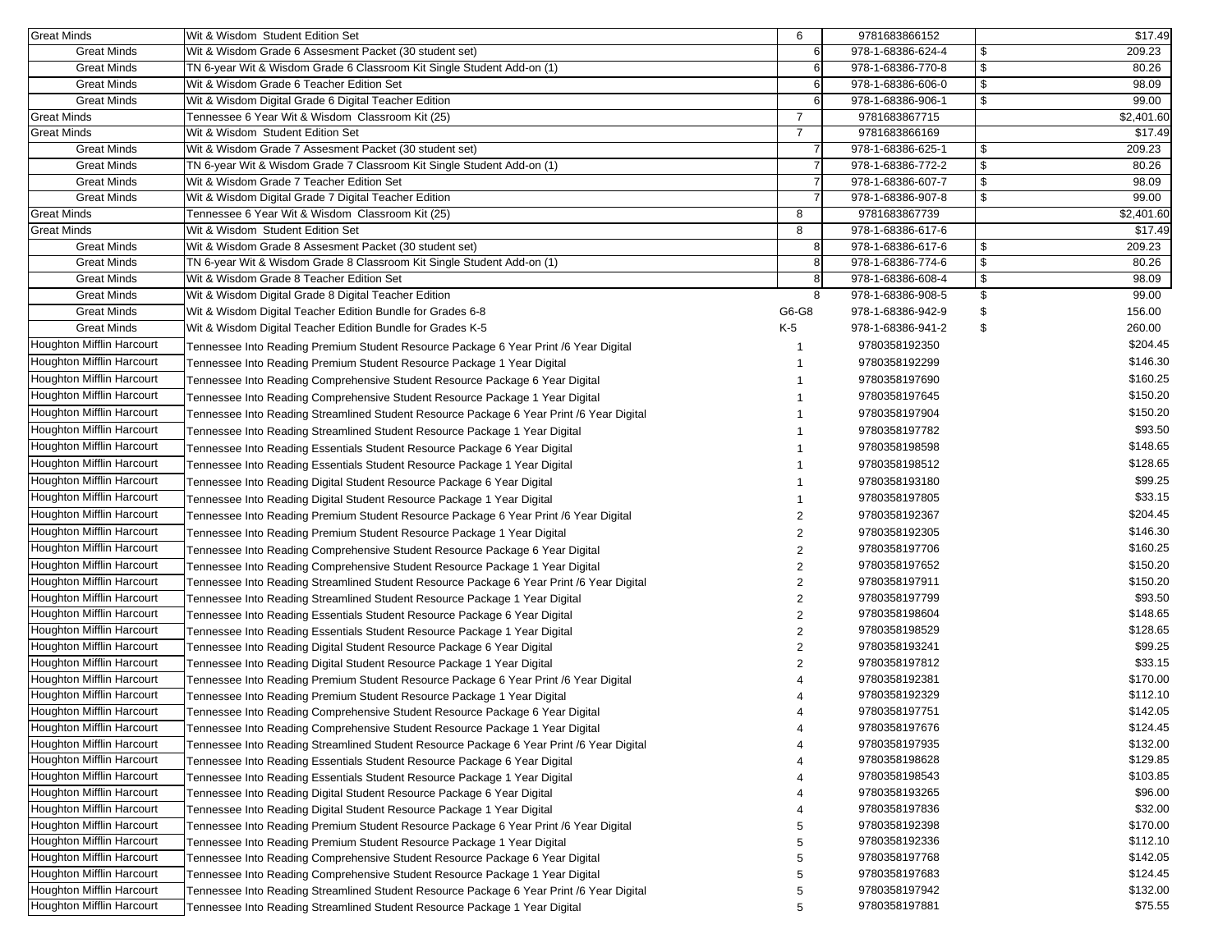| <b>Great Minds</b>               | Wit & Wisdom Student Edition Set                                                         | 6              | 9781683866152     | \$17.49      |
|----------------------------------|------------------------------------------------------------------------------------------|----------------|-------------------|--------------|
| <b>Great Minds</b>               | Wit & Wisdom Grade 6 Assesment Packet (30 student set)                                   | 6              | 978-1-68386-624-4 | \$<br>209.23 |
| <b>Great Minds</b>               | TN 6-year Wit & Wisdom Grade 6 Classroom Kit Single Student Add-on (1)                   | 6              | 978-1-68386-770-8 | \$<br>80.26  |
| <b>Great Minds</b>               | Wit & Wisdom Grade 6 Teacher Edition Set                                                 | 6              | 978-1-68386-606-0 | \$<br>98.09  |
| <b>Great Minds</b>               | Wit & Wisdom Digital Grade 6 Digital Teacher Edition                                     | 6              | 978-1-68386-906-1 | \$<br>99.00  |
| <b>Great Minds</b>               | Tennessee 6 Year Wit & Wisdom Classroom Kit (25)                                         | $\overline{7}$ | 9781683867715     | \$2,401.60   |
| <b>Great Minds</b>               | Wit & Wisdom Student Edition Set                                                         | $\overline{7}$ | 9781683866169     | \$17.49      |
| <b>Great Minds</b>               | Wit & Wisdom Grade 7 Assesment Packet (30 student set)                                   |                | 978-1-68386-625-1 | \$<br>209.23 |
| <b>Great Minds</b>               | TN 6-year Wit & Wisdom Grade 7 Classroom Kit Single Student Add-on (1)                   | 7              | 978-1-68386-772-2 | \$<br>80.26  |
| <b>Great Minds</b>               | Wit & Wisdom Grade 7 Teacher Edition Set                                                 |                | 978-1-68386-607-7 | \$<br>98.09  |
| <b>Great Minds</b>               | Wit & Wisdom Digital Grade 7 Digital Teacher Edition                                     |                | 978-1-68386-907-8 | \$<br>99.00  |
| <b>Great Minds</b>               | Tennessee 6 Year Wit & Wisdom Classroom Kit (25)                                         | 8              | 9781683867739     | \$2,401.60   |
| <b>Great Minds</b>               | Wit & Wisdom Student Edition Set                                                         | 8              | 978-1-68386-617-6 | \$17.49      |
| <b>Great Minds</b>               | Wit & Wisdom Grade 8 Assesment Packet (30 student set)                                   | 8              | 978-1-68386-617-6 | \$<br>209.23 |
| <b>Great Minds</b>               | TN 6-year Wit & Wisdom Grade 8 Classroom Kit Single Student Add-on (1)                   | 8              | 978-1-68386-774-6 | \$<br>80.26  |
| <b>Great Minds</b>               | Wit & Wisdom Grade 8 Teacher Edition Set                                                 | 8              | 978-1-68386-608-4 | \$<br>98.09  |
| <b>Great Minds</b>               | Wit & Wisdom Digital Grade 8 Digital Teacher Edition                                     | 8              | 978-1-68386-908-5 | \$<br>99.00  |
| <b>Great Minds</b>               | Wit & Wisdom Digital Teacher Edition Bundle for Grades 6-8                               | G6-G8          | 978-1-68386-942-9 | \$<br>156.00 |
| <b>Great Minds</b>               | Wit & Wisdom Digital Teacher Edition Bundle for Grades K-5                               | K-5            | 978-1-68386-941-2 | \$<br>260.00 |
| Houghton Mifflin Harcourt        | Tennessee Into Reading Premium Student Resource Package 6 Year Print /6 Year Digital     |                | 9780358192350     | \$204.45     |
| Houghton Mifflin Harcourt        | Tennessee Into Reading Premium Student Resource Package 1 Year Digital                   |                | 9780358192299     | \$146.30     |
| Houghton Mifflin Harcourt        | Tennessee Into Reading Comprehensive Student Resource Package 6 Year Digital             |                | 9780358197690     | \$160.25     |
| <b>Houghton Mifflin Harcourt</b> | Tennessee Into Reading Comprehensive Student Resource Package 1 Year Digital             |                | 9780358197645     | \$150.20     |
| Houghton Mifflin Harcourt        | Tennessee Into Reading Streamlined Student Resource Package 6 Year Print /6 Year Digital |                | 9780358197904     | \$150.20     |
| Houghton Mifflin Harcourt        | Tennessee Into Reading Streamlined Student Resource Package 1 Year Digital               |                | 9780358197782     | \$93.50      |
| <b>Houghton Mifflin Harcourt</b> | Tennessee Into Reading Essentials Student Resource Package 6 Year Digital                |                | 9780358198598     | \$148.65     |
| Houghton Mifflin Harcourt        | Tennessee Into Reading Essentials Student Resource Package 1 Year Digital                |                | 9780358198512     | \$128.65     |
| Houghton Mifflin Harcourt        | Tennessee Into Reading Digital Student Resource Package 6 Year Digital                   |                | 9780358193180     | \$99.25      |
| Houghton Mifflin Harcourt        | Tennessee Into Reading Digital Student Resource Package 1 Year Digital                   |                | 9780358197805     | \$33.15      |
| Houghton Mifflin Harcourt        | Tennessee Into Reading Premium Student Resource Package 6 Year Print /6 Year Digital     | 2              | 9780358192367     | \$204.45     |
| Houghton Mifflin Harcourt        | Tennessee Into Reading Premium Student Resource Package 1 Year Digital                   | 2              | 9780358192305     | \$146.30     |
| Houghton Mifflin Harcourt        | Tennessee Into Reading Comprehensive Student Resource Package 6 Year Digital             | 2              | 9780358197706     | \$160.25     |
| Houghton Mifflin Harcourt        | Tennessee Into Reading Comprehensive Student Resource Package 1 Year Digital             | 2              | 9780358197652     | \$150.20     |
| Houghton Mifflin Harcourt        | Tennessee Into Reading Streamlined Student Resource Package 6 Year Print /6 Year Digital | 2              | 9780358197911     | \$150.20     |
| Houghton Mifflin Harcourt        | Tennessee Into Reading Streamlined Student Resource Package 1 Year Digital               | 2              | 9780358197799     | \$93.50      |
| Houghton Mifflin Harcourt        | Tennessee Into Reading Essentials Student Resource Package 6 Year Digital                | 2              | 9780358198604     | \$148.65     |
| <b>Houghton Mifflin Harcourt</b> | Tennessee Into Reading Essentials Student Resource Package 1 Year Digital                | 2              | 9780358198529     | \$128.65     |
| Houghton Mifflin Harcourt        | Tennessee Into Reading Digital Student Resource Package 6 Year Digital                   | 2              | 9780358193241     | \$99.25      |
| Houghton Mifflin Harcourt        | Tennessee Into Reading Digital Student Resource Package 1 Year Digital                   |                | 9780358197812     | \$33.15      |
| Houghton Mifflin Harcourt        | Tennessee Into Reading Premium Student Resource Package 6 Year Print /6 Year Digital     |                | 9780358192381     | \$170.00     |
| Houghton Mifflin Harcourt        | Tennessee Into Reading Premium Student Resource Package 1 Year Digital                   |                | 9780358192329     | \$112.10     |
| <b>Houghton Mifflin Harcourt</b> | Tennessee Into Reading Comprehensive Student Resource Package 6 Year Digital             |                | 9780358197751     | \$142.05     |
| Houghton Mifflin Harcourt        | Tennessee Into Reading Comprehensive Student Resource Package 1 Year Digital             |                | 9780358197676     | \$124.45     |
| Houghton Mifflin Harcourt        | Tennessee Into Reading Streamlined Student Resource Package 6 Year Print /6 Year Digital |                | 9780358197935     | \$132.00     |
| <b>Houghton Mifflin Harcourt</b> | Tennessee Into Reading Essentials Student Resource Package 6 Year Digital                |                | 9780358198628     | \$129.85     |
| <b>Houghton Mifflin Harcourt</b> | Tennessee Into Reading Essentials Student Resource Package 1 Year Digital                | 4              | 9780358198543     | \$103.85     |
| Houghton Mifflin Harcourt        | Tennessee Into Reading Digital Student Resource Package 6 Year Digital                   | 4              | 9780358193265     | \$96.00      |
| Houghton Mifflin Harcourt        | Tennessee Into Reading Digital Student Resource Package 1 Year Digital                   |                | 9780358197836     | \$32.00      |
| <b>Houghton Mifflin Harcourt</b> | Tennessee Into Reading Premium Student Resource Package 6 Year Print /6 Year Digital     | 5              | 9780358192398     | \$170.00     |
| Houghton Mifflin Harcourt        | Tennessee Into Reading Premium Student Resource Package 1 Year Digital                   | 5              | 9780358192336     | \$112.10     |
| Houghton Mifflin Harcourt        | Tennessee Into Reading Comprehensive Student Resource Package 6 Year Digital             | 5              | 9780358197768     | \$142.05     |
| Houghton Mifflin Harcourt        | Tennessee Into Reading Comprehensive Student Resource Package 1 Year Digital             | 5              | 9780358197683     | \$124.45     |
| <b>Houghton Mifflin Harcourt</b> | Tennessee Into Reading Streamlined Student Resource Package 6 Year Print /6 Year Digital | 5              | 9780358197942     | \$132.00     |
| Houghton Mifflin Harcourt        | Tennessee Into Reading Streamlined Student Resource Package 1 Year Digital               | 5              | 9780358197881     | \$75.55      |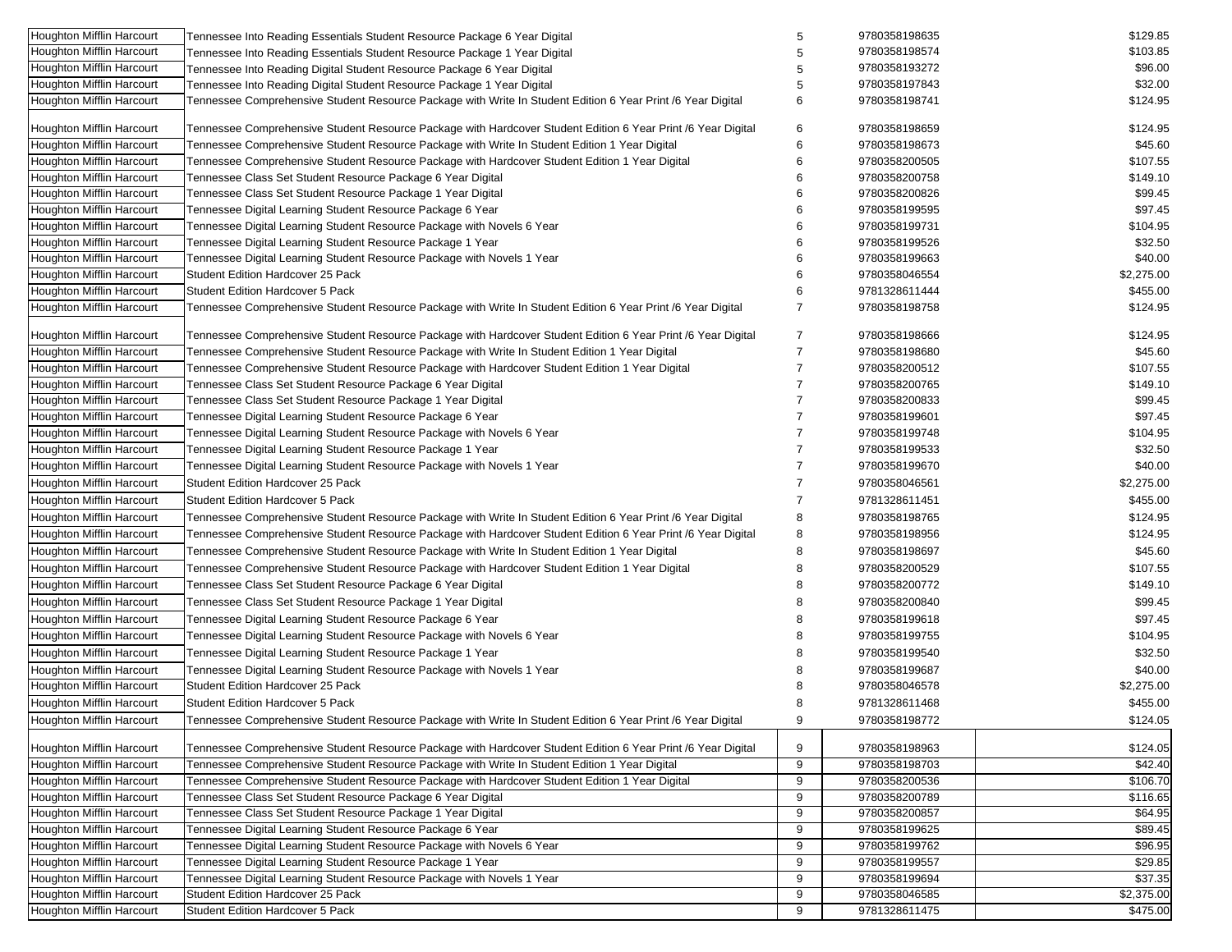| Houghton Mifflin Harcourt        | Tennessee Into Reading Essentials Student Resource Package 6 Year Digital                                    | 5              | 9780358198635 | \$129.85   |
|----------------------------------|--------------------------------------------------------------------------------------------------------------|----------------|---------------|------------|
| <b>Houghton Mifflin Harcourt</b> | Tennessee Into Reading Essentials Student Resource Package 1 Year Digital                                    | 5              | 9780358198574 | \$103.85   |
| Houghton Mifflin Harcourt        | Tennessee Into Reading Digital Student Resource Package 6 Year Digital                                       | 5              | 9780358193272 | \$96.00    |
| <b>Houghton Mifflin Harcourt</b> | Tennessee Into Reading Digital Student Resource Package 1 Year Digital                                       | 5              | 9780358197843 | \$32.00    |
| Houghton Mifflin Harcourt        | Tennessee Comprehensive Student Resource Package with Write In Student Edition 6 Year Print /6 Year Digital  | 6              | 9780358198741 | \$124.95   |
| <b>Houghton Mifflin Harcourt</b> | Tennessee Comprehensive Student Resource Package with Hardcover Student Edition 6 Year Print /6 Year Digital | 6              | 9780358198659 | \$124.95   |
| <b>Houghton Mifflin Harcourt</b> | Tennessee Comprehensive Student Resource Package with Write In Student Edition 1 Year Digital                | 6              | 9780358198673 | \$45.60    |
| Houghton Mifflin Harcourt        | Tennessee Comprehensive Student Resource Package with Hardcover Student Edition 1 Year Digital               | 6              | 9780358200505 | \$107.55   |
| Houghton Mifflin Harcourt        | Tennessee Class Set Student Resource Package 6 Year Digital                                                  | 6              | 9780358200758 | \$149.10   |
| <b>Houghton Mifflin Harcourt</b> | Tennessee Class Set Student Resource Package 1 Year Digital                                                  | 6              | 9780358200826 | \$99.45    |
| <b>Houghton Mifflin Harcourt</b> | Tennessee Digital Learning Student Resource Package 6 Year                                                   | 6              | 9780358199595 | \$97.45    |
| <b>Houghton Mifflin Harcourt</b> | Tennessee Digital Learning Student Resource Package with Novels 6 Year                                       | 6              | 9780358199731 | \$104.95   |
| Houghton Mifflin Harcourt        | Tennessee Digital Learning Student Resource Package 1 Year                                                   | 6              | 9780358199526 | \$32.50    |
| <b>Houghton Mifflin Harcourt</b> | Tennessee Digital Learning Student Resource Package with Novels 1 Year                                       | 6              | 9780358199663 | \$40.00    |
| <b>Houghton Mifflin Harcourt</b> | <b>Student Edition Hardcover 25 Pack</b>                                                                     | 6              | 9780358046554 | \$2,275.00 |
| Houghton Mifflin Harcourt        | <b>Student Edition Hardcover 5 Pack</b>                                                                      | 6              | 9781328611444 | \$455.00   |
| <b>Houghton Mifflin Harcourt</b> | Tennessee Comprehensive Student Resource Package with Write In Student Edition 6 Year Print /6 Year Digital  | $\overline{7}$ | 9780358198758 | \$124.95   |
|                                  |                                                                                                              |                |               |            |
| <b>Houghton Mifflin Harcourt</b> | Tennessee Comprehensive Student Resource Package with Hardcover Student Edition 6 Year Print /6 Year Digital | $\overline{7}$ | 9780358198666 | \$124.95   |
| Houghton Mifflin Harcourt        | Tennessee Comprehensive Student Resource Package with Write In Student Edition 1 Year Digital                | $\overline{7}$ | 9780358198680 | \$45.60    |
| <b>Houghton Mifflin Harcourt</b> | Tennessee Comprehensive Student Resource Package with Hardcover Student Edition 1 Year Digital               | $\overline{7}$ | 9780358200512 | \$107.55   |
| Houghton Mifflin Harcourt        | Tennessee Class Set Student Resource Package 6 Year Digital                                                  |                | 9780358200765 | \$149.10   |
| Houghton Mifflin Harcourt        | Tennessee Class Set Student Resource Package 1 Year Digital                                                  | 7              | 9780358200833 | \$99.45    |
| Houghton Mifflin Harcourt        | Tennessee Digital Learning Student Resource Package 6 Year                                                   | 7              | 9780358199601 | \$97.45    |
| Houghton Mifflin Harcourt        | Tennessee Digital Learning Student Resource Package with Novels 6 Year                                       | $\overline{7}$ | 9780358199748 | \$104.95   |
| Houghton Mifflin Harcourt        | Tennessee Digital Learning Student Resource Package 1 Year                                                   | $\overline{7}$ | 9780358199533 | \$32.50    |
| Houghton Mifflin Harcourt        | Tennessee Digital Learning Student Resource Package with Novels 1 Year                                       | 7              | 9780358199670 | \$40.00    |
| <b>Houghton Mifflin Harcourt</b> | <b>Student Edition Hardcover 25 Pack</b>                                                                     | 7              | 9780358046561 | \$2,275.00 |
| Houghton Mifflin Harcourt        | <b>Student Edition Hardcover 5 Pack</b>                                                                      | $\overline{7}$ | 9781328611451 | \$455.00   |
| Houghton Mifflin Harcourt        | Tennessee Comprehensive Student Resource Package with Write In Student Edition 6 Year Print /6 Year Digital  | 8              | 9780358198765 | \$124.95   |
| <b>Houghton Mifflin Harcourt</b> | Tennessee Comprehensive Student Resource Package with Hardcover Student Edition 6 Year Print /6 Year Digital | 8              | 9780358198956 | \$124.95   |
| <b>Houghton Mifflin Harcourt</b> | Tennessee Comprehensive Student Resource Package with Write In Student Edition 1 Year Digital                | 8              | 9780358198697 | \$45.60    |
| <b>Houghton Mifflin Harcourt</b> | Tennessee Comprehensive Student Resource Package with Hardcover Student Edition 1 Year Digital               | 8              | 9780358200529 | \$107.55   |
| Houghton Mifflin Harcourt        | Tennessee Class Set Student Resource Package 6 Year Digital                                                  | 8              | 9780358200772 | \$149.10   |
| <b>Houghton Mifflin Harcourt</b> | Tennessee Class Set Student Resource Package 1 Year Digital                                                  | 8              | 9780358200840 | \$99.45    |
| Houghton Mifflin Harcourt        | Tennessee Digital Learning Student Resource Package 6 Year                                                   | 8              | 9780358199618 | \$97.45    |
| Houghton Mifflin Harcourt        | Tennessee Digital Learning Student Resource Package with Novels 6 Year                                       | 8              | 9780358199755 | \$104.95   |
| Houghton Mifflin Harcourt        | Tennessee Digital Learning Student Resource Package 1 Year                                                   | 8              | 9780358199540 | \$32.50    |
| Houghton Mifflin Harcourt        | Tennessee Digital Learning Student Resource Package with Novels 1 Year                                       | 8              | 9780358199687 | \$40.00    |
| <b>Houghton Mifflin Harcourt</b> | <b>Student Edition Hardcover 25 Pack</b>                                                                     | 8              | 9780358046578 | \$2,275.00 |
|                                  | <b>Student Edition Hardcover 5 Pack</b>                                                                      | 8              | 9781328611468 | \$455.00   |
| <b>Houghton Mifflin Harcourt</b> |                                                                                                              | 9              | 9780358198772 | \$124.05   |
| Houghton Mifflin Harcourt        | Tennessee Comprehensive Student Resource Package with Write In Student Edition 6 Year Print /6 Year Digital  |                |               |            |
| Houghton Mifflin Harcourt        | Tennessee Comprehensive Student Resource Package with Hardcover Student Edition 6 Year Print /6 Year Digital | 9              | 9780358198963 | \$124.05   |
| <b>Houghton Mifflin Harcourt</b> | Tennessee Comprehensive Student Resource Package with Write In Student Edition 1 Year Digital                | 9              | 9780358198703 | \$42.40    |
| <b>Houghton Mifflin Harcourt</b> | Tennessee Comprehensive Student Resource Package with Hardcover Student Edition 1 Year Digital               | 9              | 9780358200536 | \$106.70   |
| <b>Houghton Mifflin Harcourt</b> | Tennessee Class Set Student Resource Package 6 Year Digital                                                  | 9              | 9780358200789 | \$116.65   |
| Houghton Mifflin Harcourt        | Tennessee Class Set Student Resource Package 1 Year Digital                                                  | 9              | 9780358200857 | \$64.95    |
| <b>Houghton Mifflin Harcourt</b> | Tennessee Digital Learning Student Resource Package 6 Year                                                   | 9              | 9780358199625 | \$89.45    |
| Houghton Mifflin Harcourt        | Tennessee Digital Learning Student Resource Package with Novels 6 Year                                       | 9              | 9780358199762 | \$96.95    |
| <b>Houghton Mifflin Harcourt</b> | Tennessee Digital Learning Student Resource Package 1 Year                                                   | 9              | 9780358199557 | \$29.85    |
| <b>Houghton Mifflin Harcourt</b> | Tennessee Digital Learning Student Resource Package with Novels 1 Year                                       | 9              | 9780358199694 | \$37.35    |
| <b>Houghton Mifflin Harcourt</b> | Student Edition Hardcover 25 Pack                                                                            | 9              | 9780358046585 | \$2,375.00 |
| Houghton Mifflin Harcourt        | Student Edition Hardcover 5 Pack                                                                             | 9              | 9781328611475 | \$475.00   |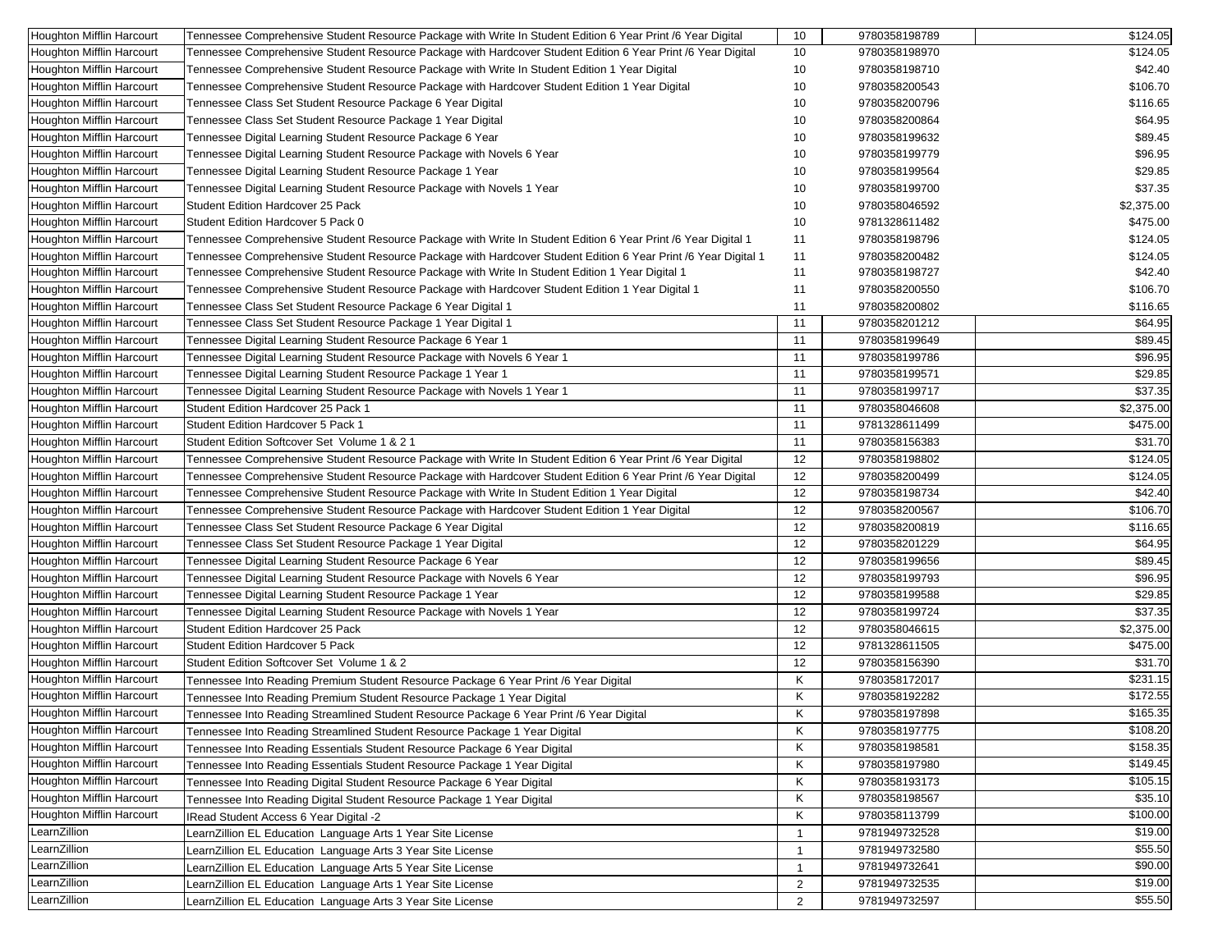| Houghton Mifflin Harcourt        | Tennessee Comprehensive Student Resource Package with Write In Student Edition 6 Year Print /6 Year Digital    | 10             | 9780358198789 | \$124.05   |
|----------------------------------|----------------------------------------------------------------------------------------------------------------|----------------|---------------|------------|
| <b>Houghton Mifflin Harcourt</b> | Tennessee Comprehensive Student Resource Package with Hardcover Student Edition 6 Year Print /6 Year Digital   | 10             | 9780358198970 | \$124.05   |
| Houghton Mifflin Harcourt        | Tennessee Comprehensive Student Resource Package with Write In Student Edition 1 Year Digital                  | 10             | 9780358198710 | \$42.40    |
| Houghton Mifflin Harcourt        | Tennessee Comprehensive Student Resource Package with Hardcover Student Edition 1 Year Digital                 | 10             | 9780358200543 | \$106.70   |
| Houghton Mifflin Harcourt        | Tennessee Class Set Student Resource Package 6 Year Digital                                                    | 10             | 9780358200796 | \$116.65   |
| Houghton Mifflin Harcourt        | Tennessee Class Set Student Resource Package 1 Year Digital                                                    | 10             | 9780358200864 | \$64.95    |
| <b>Houghton Mifflin Harcourt</b> | Tennessee Digital Learning Student Resource Package 6 Year                                                     | 10             | 9780358199632 | \$89.45    |
| Houghton Mifflin Harcourt        | Tennessee Digital Learning Student Resource Package with Novels 6 Year                                         | 10             | 9780358199779 | \$96.95    |
| Houghton Mifflin Harcourt        | Tennessee Digital Learning Student Resource Package 1 Year                                                     | 10             | 9780358199564 | \$29.85    |
| Houghton Mifflin Harcourt        | Tennessee Digital Learning Student Resource Package with Novels 1 Year                                         | 10             | 9780358199700 | \$37.35    |
| Houghton Mifflin Harcourt        | <b>Student Edition Hardcover 25 Pack</b>                                                                       | 10             | 9780358046592 | \$2,375.00 |
| Houghton Mifflin Harcourt        | Student Edition Hardcover 5 Pack 0                                                                             | 10             | 9781328611482 | \$475.00   |
| Houghton Mifflin Harcourt        | Tennessee Comprehensive Student Resource Package with Write In Student Edition 6 Year Print /6 Year Digital 1  | 11             | 9780358198796 | \$124.05   |
| Houghton Mifflin Harcourt        | Tennessee Comprehensive Student Resource Package with Hardcover Student Edition 6 Year Print /6 Year Digital 1 | 11             | 9780358200482 | \$124.05   |
| Houghton Mifflin Harcourt        | Tennessee Comprehensive Student Resource Package with Write In Student Edition 1 Year Digital 1                | 11             | 9780358198727 | \$42.40    |
| Houghton Mifflin Harcourt        | 1 Tennessee Comprehensive Student Resource Package with Hardcover Student Edition 1 Year Digital               | 11             | 9780358200550 | \$106.70   |
| Houghton Mifflin Harcourt        | Tennessee Class Set Student Resource Package 6 Year Digital 1                                                  | 11             | 9780358200802 | \$116.65   |
| Houghton Mifflin Harcourt        | Tennessee Class Set Student Resource Package 1 Year Digital 1                                                  | 11             | 9780358201212 | \$64.95    |
| <b>Houghton Mifflin Harcourt</b> | Tennessee Digital Learning Student Resource Package 6 Year 1                                                   | 11             | 9780358199649 | \$89.45    |
| Houghton Mifflin Harcourt        | Tennessee Digital Learning Student Resource Package with Novels 6 Year 1                                       | 11             | 9780358199786 | \$96.95    |
| Houghton Mifflin Harcourt        | Tennessee Digital Learning Student Resource Package 1 Year 1                                                   | 11             | 9780358199571 | \$29.85    |
| Houghton Mifflin Harcourt        | Tennessee Digital Learning Student Resource Package with Novels 1 Year 1                                       | 11             | 9780358199717 | \$37.35    |
| Houghton Mifflin Harcourt        | Student Edition Hardcover 25 Pack 1                                                                            | 11             | 9780358046608 | \$2,375.00 |
| Houghton Mifflin Harcourt        | Student Edition Hardcover 5 Pack 1                                                                             | 11             | 9781328611499 | \$475.00   |
| Houghton Mifflin Harcourt        | Student Edition Softcover Set Volume 1 & 2 1                                                                   | 11             | 9780358156383 | \$31.70    |
| <b>Houghton Mifflin Harcourt</b> | Tennessee Comprehensive Student Resource Package with Write In Student Edition 6 Year Print /6 Year Digital    | 12             | 9780358198802 | \$124.05   |
| Houghton Mifflin Harcourt        | Tennessee Comprehensive Student Resource Package with Hardcover Student Edition 6 Year Print /6 Year Digital   | 12             | 9780358200499 | \$124.05   |
| Houghton Mifflin Harcourt        | Tennessee Comprehensive Student Resource Package with Write In Student Edition 1 Year Digital                  | 12             | 9780358198734 | \$42.40    |
| Houghton Mifflin Harcourt        | Tennessee Comprehensive Student Resource Package with Hardcover Student Edition 1 Year Digital                 | 12             | 9780358200567 | \$106.70   |
| Houghton Mifflin Harcourt        | Tennessee Class Set Student Resource Package 6 Year Digital                                                    | 12             | 9780358200819 | \$116.65   |
| Houghton Mifflin Harcourt        | Tennessee Class Set Student Resource Package 1 Year Digital                                                    | 12             | 9780358201229 | \$64.95    |
| Houghton Mifflin Harcourt        | Fennessee Digital Learning Student Resource Package 6 Year                                                     | 12             | 9780358199656 | \$89.45    |
| Houghton Mifflin Harcourt        | Tennessee Digital Learning Student Resource Package with Novels 6 Year                                         | 12             | 9780358199793 | \$96.95    |
| Houghton Mifflin Harcourt        | Tennessee Digital Learning Student Resource Package 1 Year                                                     | 12             | 9780358199588 | \$29.85    |
| <b>Houghton Mifflin Harcourt</b> | Tennessee Digital Learning Student Resource Package with Novels 1 Year                                         | 12             | 9780358199724 | \$37.35    |
| Houghton Mifflin Harcourt        | Student Edition Hardcover 25 Pack                                                                              | 12             | 9780358046615 | \$2,375.00 |
| Houghton Mifflin Harcourt        | <b>Student Edition Hardcover 5 Pack</b>                                                                        | 12             | 9781328611505 | \$475.00   |
| <b>Houghton Mifflin Harcourt</b> | Student Edition Softcover Set Volume 1 & 2                                                                     | 12             | 9780358156390 | \$31.70    |
| Houghton Mifflin Harcourt        | Tennessee Into Reading Premium Student Resource Package 6 Year Print /6 Year Digital                           | Κ              | 9780358172017 | \$231.15   |
| Houghton Mifflin Harcourt        | Tennessee Into Reading Premium Student Resource Package 1 Year Digital                                         | Κ              | 9780358192282 | \$172.55   |
| <b>Houghton Mifflin Harcourt</b> | Tennessee Into Reading Streamlined Student Resource Package 6 Year Print /6 Year Digital                       | Κ              | 9780358197898 | \$165.35   |
| Houghton Mifflin Harcourt        | Tennessee Into Reading Streamlined Student Resource Package 1 Year Digital                                     | Κ              | 9780358197775 | \$108.20   |
| <b>Houghton Mifflin Harcourt</b> | Tennessee Into Reading Essentials Student Resource Package 6 Year Digital                                      | Κ              | 9780358198581 | \$158.35   |
| Houghton Mifflin Harcourt        | Tennessee Into Reading Essentials Student Resource Package 1 Year Digital                                      | Κ              | 9780358197980 | \$149.45   |
| Houghton Mifflin Harcourt        | Tennessee Into Reading Digital Student Resource Package 6 Year Digital                                         | Κ              | 9780358193173 | \$105.15   |
| Houghton Mifflin Harcourt        | Tennessee Into Reading Digital Student Resource Package 1 Year Digital                                         | Κ              | 9780358198567 | \$35.10    |
| Houghton Mifflin Harcourt        | IRead Student Access 6 Year Digital -2                                                                         | Κ              | 9780358113799 | \$100.00   |
| LearnZillion                     | LearnZillion EL Education Language Arts 1 Year Site License                                                    | $\overline{1}$ | 9781949732528 | \$19.00    |
| LearnZillion                     | LearnZillion EL Education Language Arts 3 Year Site License                                                    | $\overline{1}$ | 9781949732580 | \$55.50    |
| LearnZillion                     | LearnZillion EL Education Language Arts 5 Year Site License                                                    | $\overline{1}$ | 9781949732641 | \$90.00    |
| LearnZillion                     | LearnZillion EL Education Language Arts 1 Year Site License                                                    | $\overline{2}$ | 9781949732535 | \$19.00    |
| LearnZillion                     | LearnZillion EL Education Language Arts 3 Year Site License                                                    | 2              | 9781949732597 | \$55.50    |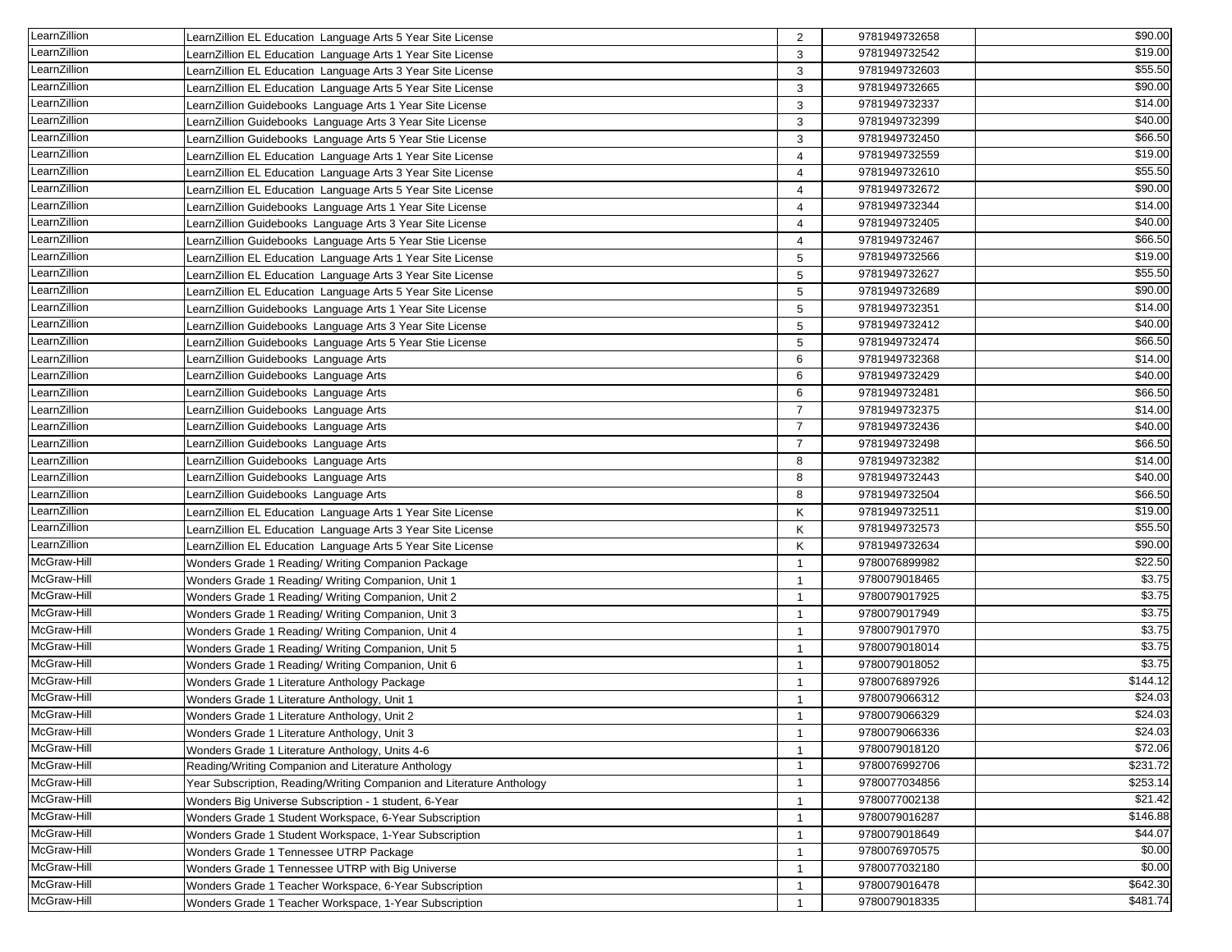| LearnZillion | LearnZillion EL Education Language Arts 5 Year Site License           | 2                       | 9781949732658 | \$90.00  |
|--------------|-----------------------------------------------------------------------|-------------------------|---------------|----------|
| LearnZillion | LearnZillion EL Education Language Arts 1 Year Site License           | 3                       | 9781949732542 | \$19.00  |
| LearnZillion | LearnZillion EL Education Language Arts 3 Year Site License           | 3                       | 9781949732603 | \$55.50  |
| LearnZillion | LearnZillion EL Education Language Arts 5 Year Site License           | 3                       | 9781949732665 | \$90.00  |
| LearnZillion | LearnZillion Guidebooks Language Arts 1 Year Site License             | 3                       | 9781949732337 | \$14.00  |
| LearnZillion | LearnZillion Guidebooks Language Arts 3 Year Site License             | 3                       | 9781949732399 | \$40.00  |
| LearnZillion | LearnZillion Guidebooks Language Arts 5 Year Stie License             | 3                       | 9781949732450 | \$66.50  |
| LearnZillion | LearnZillion EL Education Language Arts 1 Year Site License           | $\overline{4}$          | 9781949732559 | \$19.00  |
| LearnZillion | LearnZillion EL Education Language Arts 3 Year Site License           | 4                       | 9781949732610 | \$55.50  |
| LearnZillion | LearnZillion EL Education Language Arts 5 Year Site License           | $\overline{4}$          | 9781949732672 | \$90.00  |
| LearnZillion | LearnZillion Guidebooks Language Arts 1 Year Site License             | 4                       | 9781949732344 | \$14.00  |
| LearnZillion | LearnZillion Guidebooks Language Arts 3 Year Site License             | $\overline{4}$          | 9781949732405 | \$40.00  |
| LearnZillion | LearnZillion Guidebooks Language Arts 5 Year Stie License             | $\overline{4}$          | 9781949732467 | \$66.50  |
| LearnZillion | LearnZillion EL Education Language Arts 1 Year Site License           | $\sqrt{5}$              | 9781949732566 | \$19.00  |
| LearnZillion | LearnZillion EL Education Language Arts 3 Year Site License           | 5                       | 9781949732627 | \$55.50  |
| LearnZillion | LearnZillion EL Education Language Arts 5 Year Site License           | 5                       | 9781949732689 | \$90.00  |
| LearnZillion | LearnZillion Guidebooks Language Arts 1 Year Site License             | $\sqrt{5}$              | 9781949732351 | \$14.00  |
| LearnZillion | LearnZillion Guidebooks Language Arts 3 Year Site License             | 5                       | 9781949732412 | \$40.00  |
| LearnZillion | LearnZillion Guidebooks Language Arts 5 Year Stie License             | $\overline{5}$          | 9781949732474 | \$66.50  |
| LearnZillion | LearnZillion Guidebooks Language Arts                                 | 6                       | 9781949732368 | \$14.00  |
| LearnZillion | LearnZillion Guidebooks Language Arts                                 | 6                       | 9781949732429 | \$40.00  |
| _earnZillion | LearnZillion Guidebooks Language Arts                                 | 6                       | 9781949732481 | \$66.50  |
| LearnZillion | LearnZillion Guidebooks Language Arts                                 | $\overline{7}$          | 9781949732375 | \$14.00  |
| LearnZillion | LearnZillion Guidebooks Language Arts                                 | $\overline{7}$          | 9781949732436 | \$40.00  |
| LearnZillion | LearnZillion Guidebooks Language Arts                                 | $\overline{7}$          | 9781949732498 | \$66.50  |
| LearnZillion | LearnZillion Guidebooks Language Arts                                 | 8                       | 9781949732382 | \$14.00  |
| _earnZillion | LearnZillion Guidebooks Language Arts                                 | 8                       | 9781949732443 | \$40.00  |
| LearnZillion | LearnZillion Guidebooks Language Arts                                 | 8                       | 9781949732504 | \$66.50  |
| LearnZillion | LearnZillion EL Education Language Arts 1 Year Site License           | K                       | 9781949732511 | \$19.00  |
| LearnZillion | LearnZillion EL Education Language Arts 3 Year Site License           | K                       | 9781949732573 | \$55.50  |
| LearnZillion | LearnZillion EL Education Language Arts 5 Year Site License           | K                       | 9781949732634 | \$90.00  |
| McGraw-Hill  | Wonders Grade 1 Reading/ Writing Companion Package                    | $\overline{1}$          | 9780076899982 | \$22.50  |
| McGraw-Hill  | Wonders Grade 1 Reading/ Writing Companion, Unit 1                    | $\overline{1}$          | 9780079018465 | \$3.75   |
| McGraw-Hill  | Wonders Grade 1 Reading/ Writing Companion, Unit 2                    | $\mathbf{1}$            | 9780079017925 | \$3.75   |
| McGraw-Hill  | Wonders Grade 1 Reading/ Writing Companion, Unit 3                    | $\overline{1}$          | 9780079017949 | \$3.75   |
| McGraw-Hill  | Wonders Grade 1 Reading/ Writing Companion, Unit 4                    | $\overline{1}$          | 9780079017970 | \$3.75   |
| McGraw-Hill  | Wonders Grade 1 Reading/ Writing Companion, Unit 5                    | $\overline{1}$          | 9780079018014 | \$3.75   |
| McGraw-Hill  | Wonders Grade 1 Reading/ Writing Companion, Unit 6                    | $\overline{1}$          | 9780079018052 | \$3.75   |
| McGraw-Hill  | Wonders Grade 1 Literature Anthology Package                          | $\overline{1}$          | 9780076897926 | \$144.12 |
| McGraw-Hill  | Wonders Grade 1 Literature Anthology, Unit 1                          | $\mathbf{1}$            | 9780079066312 | \$24.03  |
| McGraw-Hill  | Wonders Grade 1 Literature Anthology, Unit 2                          | $\overline{\mathbf{1}}$ | 9780079066329 | \$24.03  |
| McGraw-Hill  | Wonders Grade 1 Literature Anthology, Unit 3                          | $\overline{1}$          | 9780079066336 | \$24.03  |
| McGraw-Hill  | Wonders Grade 1 Literature Anthology, Units 4-6                       | $\overline{1}$          | 9780079018120 | \$72.06  |
| McGraw-Hill  | Reading/Writing Companion and Literature Anthology                    | $\overline{1}$          | 9780076992706 | \$231.72 |
| McGraw-Hill  | Year Subscription, Reading/Writing Companion and Literature Anthology | -1                      | 9780077034856 | \$253.14 |
| McGraw-Hill  | Wonders Big Universe Subscription - 1 student, 6-Year                 | -1                      | 9780077002138 | \$21.42  |
| McGraw-Hill  | Wonders Grade 1 Student Workspace, 6-Year Subscription                | -1                      | 9780079016287 | \$146.88 |
| McGraw-Hill  | Wonders Grade 1 Student Workspace, 1-Year Subscription                | $\overline{1}$          | 9780079018649 | \$44.07  |
| McGraw-Hill  | Wonders Grade 1 Tennessee UTRP Package                                | -1                      | 9780076970575 | \$0.00   |
| McGraw-Hill  | Wonders Grade 1 Tennessee UTRP with Big Universe                      | -1                      | 9780077032180 | \$0.00   |
| McGraw-Hill  | Wonders Grade 1 Teacher Workspace, 6-Year Subscription                | $\overline{1}$          | 9780079016478 | \$642.30 |
| McGraw-Hill  | Wonders Grade 1 Teacher Workspace, 1-Year Subscription                |                         | 9780079018335 | \$481.74 |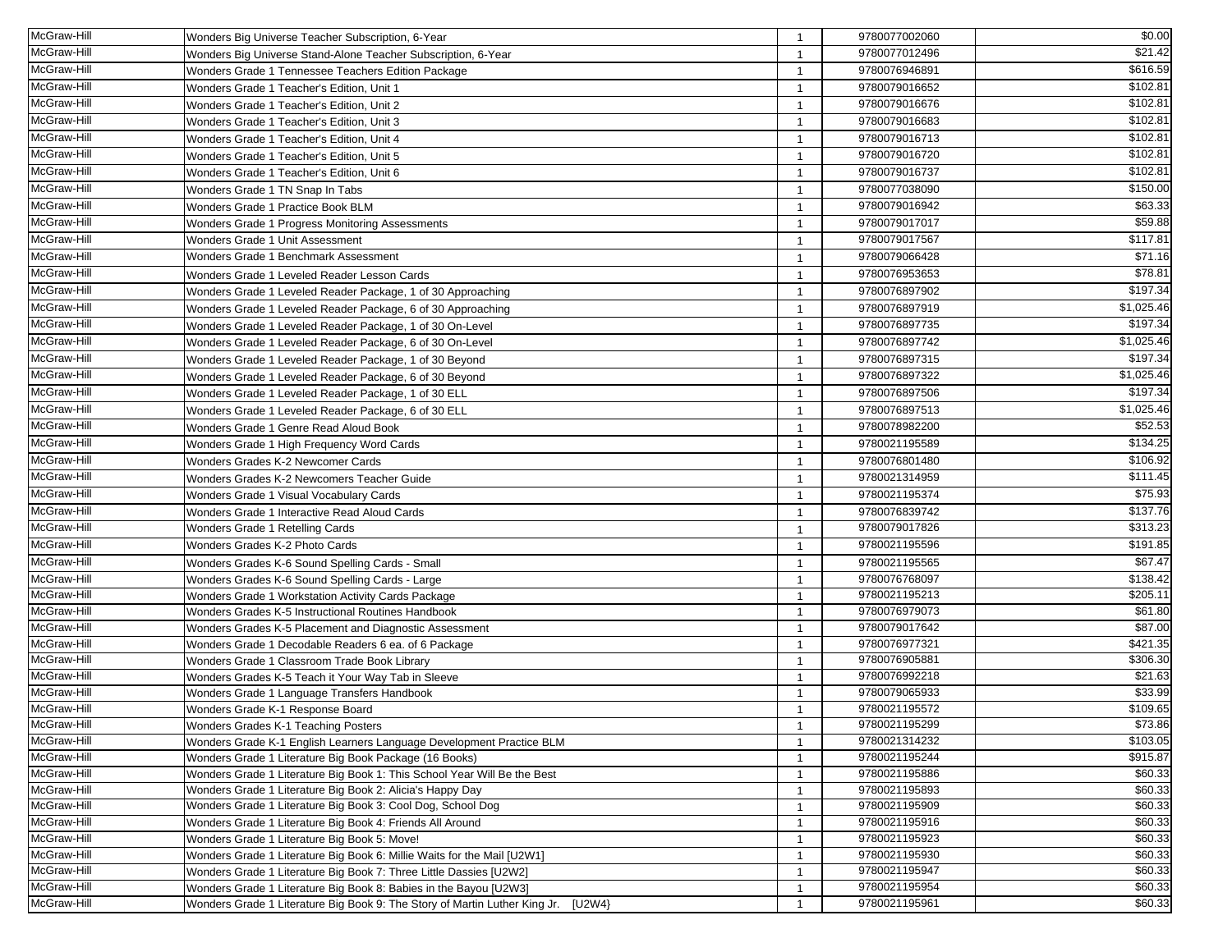| McGraw-Hill | Wonders Big Universe Teacher Subscription, 6-Year                                                        | $\overline{1}$          | 9780077002060 | \$0.00              |
|-------------|----------------------------------------------------------------------------------------------------------|-------------------------|---------------|---------------------|
| McGraw-Hill | Wonders Big Universe Stand-Alone Teacher Subscription, 6-Year                                            | -1                      | 9780077012496 | \$21.42             |
| McGraw-Hill | Wonders Grade 1 Tennessee Teachers Edition Package                                                       | $\overline{1}$          | 9780076946891 | \$616.59            |
| McGraw-Hill | Wonders Grade 1 Teacher's Edition, Unit 1                                                                | $\mathbf{1}$            | 9780079016652 | \$102.81            |
| McGraw-Hill | Wonders Grade 1 Teacher's Edition, Unit 2                                                                | -1                      | 9780079016676 | \$102.81            |
| McGraw-Hill | Wonders Grade 1 Teacher's Edition, Unit 3                                                                | $\mathbf{1}$            | 9780079016683 | \$102.81            |
| McGraw-Hill | Wonders Grade 1 Teacher's Edition, Unit 4                                                                | -1                      | 9780079016713 | \$102.81            |
| McGraw-Hill | Wonders Grade 1 Teacher's Edition, Unit 5                                                                | -1                      | 9780079016720 | \$102.81            |
| McGraw-Hill | Wonders Grade 1 Teacher's Edition, Unit 6                                                                | $\overline{1}$          | 9780079016737 | \$102.81            |
| McGraw-Hill | Wonders Grade 1 TN Snap In Tabs                                                                          | -1                      | 9780077038090 | \$150.00            |
| McGraw-Hill | Wonders Grade 1 Practice Book BLM                                                                        | -1                      | 9780079016942 | \$63.33             |
| McGraw-Hill | Wonders Grade 1 Progress Monitoring Assessments                                                          | $\mathbf{1}$            | 9780079017017 | \$59.88             |
| McGraw-Hill | Wonders Grade 1 Unit Assessment                                                                          | $\overline{1}$          | 9780079017567 | \$117.81            |
| McGraw-Hill | Wonders Grade 1 Benchmark Assessment                                                                     | $\overline{1}$          | 9780079066428 | \$71.16             |
| McGraw-Hill | Wonders Grade 1 Leveled Reader Lesson Cards                                                              | $\overline{1}$          | 9780076953653 | \$78.81             |
| McGraw-Hill | Wonders Grade 1 Leveled Reader Package, 1 of 30 Approaching                                              |                         | 9780076897902 | \$197.34            |
| McGraw-Hill | Wonders Grade 1 Leveled Reader Package, 6 of 30 Approaching                                              | -1                      | 9780076897919 | \$1,025.46          |
| McGraw-Hill | Wonders Grade 1 Leveled Reader Package, 1 of 30 On-Level                                                 | $\mathbf{1}$            | 9780076897735 | \$197.34            |
| McGraw-Hill | Wonders Grade 1 Leveled Reader Package, 6 of 30 On-Level                                                 | $\overline{1}$          | 9780076897742 | \$1,025.46          |
| McGraw-Hill | Wonders Grade 1 Leveled Reader Package, 1 of 30 Beyond                                                   | $\overline{1}$          | 9780076897315 | \$197.34            |
| McGraw-Hill | Wonders Grade 1 Leveled Reader Package, 6 of 30 Beyond                                                   | $\mathbf{1}$            | 9780076897322 | \$1,025.46          |
| McGraw-Hill | Wonders Grade 1 Leveled Reader Package, 1 of 30 ELL                                                      |                         | 9780076897506 | \$197.34            |
| McGraw-Hill | Wonders Grade 1 Leveled Reader Package, 6 of 30 ELL                                                      | $\overline{1}$          | 9780076897513 | \$1,025.46          |
| McGraw-Hill | Wonders Grade 1 Genre Read Aloud Book                                                                    | $\overline{1}$          | 9780078982200 | \$52.53             |
| McGraw-Hill |                                                                                                          | $\overline{1}$          | 9780021195589 | \$134.25            |
| McGraw-Hill | Wonders Grade 1 High Frequency Word Cards<br>Wonders Grades K-2 Newcomer Cards                           | $\overline{1}$          | 9780076801480 | \$106.92            |
| McGraw-Hill | Wonders Grades K-2 Newcomers Teacher Guide                                                               |                         | 9780021314959 | \$111.45            |
| McGraw-Hill |                                                                                                          | -1                      | 9780021195374 | \$75.93             |
| McGraw-Hill | Wonders Grade 1 Visual Vocabulary Cards                                                                  | -1                      | 9780076839742 | \$137.76            |
| McGraw-Hill | Wonders Grade 1 Interactive Read Aloud Cards                                                             | $\mathbf{1}$            | 9780079017826 | \$313.23            |
| McGraw-Hill | Wonders Grade 1 Retelling Cards<br>Wonders Grades K-2 Photo Cards                                        | $\overline{\mathbf{1}}$ | 9780021195596 | \$191.85            |
| McGraw-Hill |                                                                                                          | $\overline{1}$          | 9780021195565 | \$67.47             |
| McGraw-Hill | Wonders Grades K-6 Sound Spelling Cards - Small                                                          | $\mathbf{1}$            | 9780076768097 | \$138.42            |
| McGraw-Hill | Wonders Grades K-6 Sound Spelling Cards - Large                                                          | $\mathbf{1}$<br>-1      | 9780021195213 | \$205.11            |
| McGraw-Hill | Wonders Grade 1 Workstation Activity Cards Package<br>Wonders Grades K-5 Instructional Routines Handbook | $\overline{1}$          | 9780076979073 | $\overline{$61.80}$ |
| McGraw-Hill | Wonders Grades K-5 Placement and Diagnostic Assessment                                                   | $\overline{1}$          | 9780079017642 | \$87.00             |
| McGraw-Hill | Wonders Grade 1 Decodable Readers 6 ea. of 6 Package                                                     | $\mathbf{1}$            | 9780076977321 | \$421.35            |
| McGraw-Hill | Wonders Grade 1 Classroom Trade Book Library                                                             | $\overline{1}$          | 9780076905881 | \$306.30            |
| McGraw-Hill | Wonders Grades K-5 Teach it Your Way Tab in Sleeve                                                       | $\overline{1}$          | 9780076992218 | \$21.63             |
| McGraw-Hill | Wonders Grade 1 Language Transfers Handbook                                                              | -1                      | 9780079065933 | \$33.99             |
| McGraw-Hill | Wonders Grade K-1 Response Board                                                                         | $\overline{1}$          | 9780021195572 | \$109.65            |
| McGraw-Hill | Wonders Grades K-1 Teaching Posters                                                                      |                         | 9780021195299 | \$73.86             |
| McGraw-Hill | Wonders Grade K-1 English Learners Language Development Practice BLM                                     | $\overline{1}$          | 9780021314232 | \$103.05            |
| McGraw-Hill | Wonders Grade 1 Literature Big Book Package (16 Books)                                                   | $\overline{1}$          | 9780021195244 | \$915.87            |
| McGraw-Hill | Wonders Grade 1 Literature Big Book 1: This School Year Will Be the Best                                 | $\mathbf{1}$            | 9780021195886 | \$60.33             |
| McGraw-Hill | Wonders Grade 1 Literature Big Book 2: Alicia's Happy Day                                                | $\overline{1}$          | 9780021195893 | \$60.33             |
| McGraw-Hill | Wonders Grade 1 Literature Big Book 3: Cool Dog, School Dog                                              | $\mathbf{1}$            | 9780021195909 | \$60.33             |
| McGraw-Hill | Wonders Grade 1 Literature Big Book 4: Friends All Around                                                | -1                      | 9780021195916 | \$60.33             |
| McGraw-Hill | Wonders Grade 1 Literature Big Book 5: Move!                                                             | -1                      | 9780021195923 | \$60.33             |
| McGraw-Hill | Wonders Grade 1 Literature Big Book 6: Millie Waits for the Mail [U2W1]                                  | -1                      | 9780021195930 | \$60.33             |
| McGraw-Hill | Wonders Grade 1 Literature Big Book 7: Three Little Dassies [U2W2]                                       | $\mathbf{1}$            | 9780021195947 | \$60.33             |
| McGraw-Hill | Wonders Grade 1 Literature Big Book 8: Babies in the Bayou [U2W3]                                        | -1                      | 9780021195954 | \$60.33             |
| McGraw-Hill | Wonders Grade 1 Literature Big Book 9: The Story of Martin Luther King Jr. [U2W4}                        |                         | 9780021195961 | \$60.33             |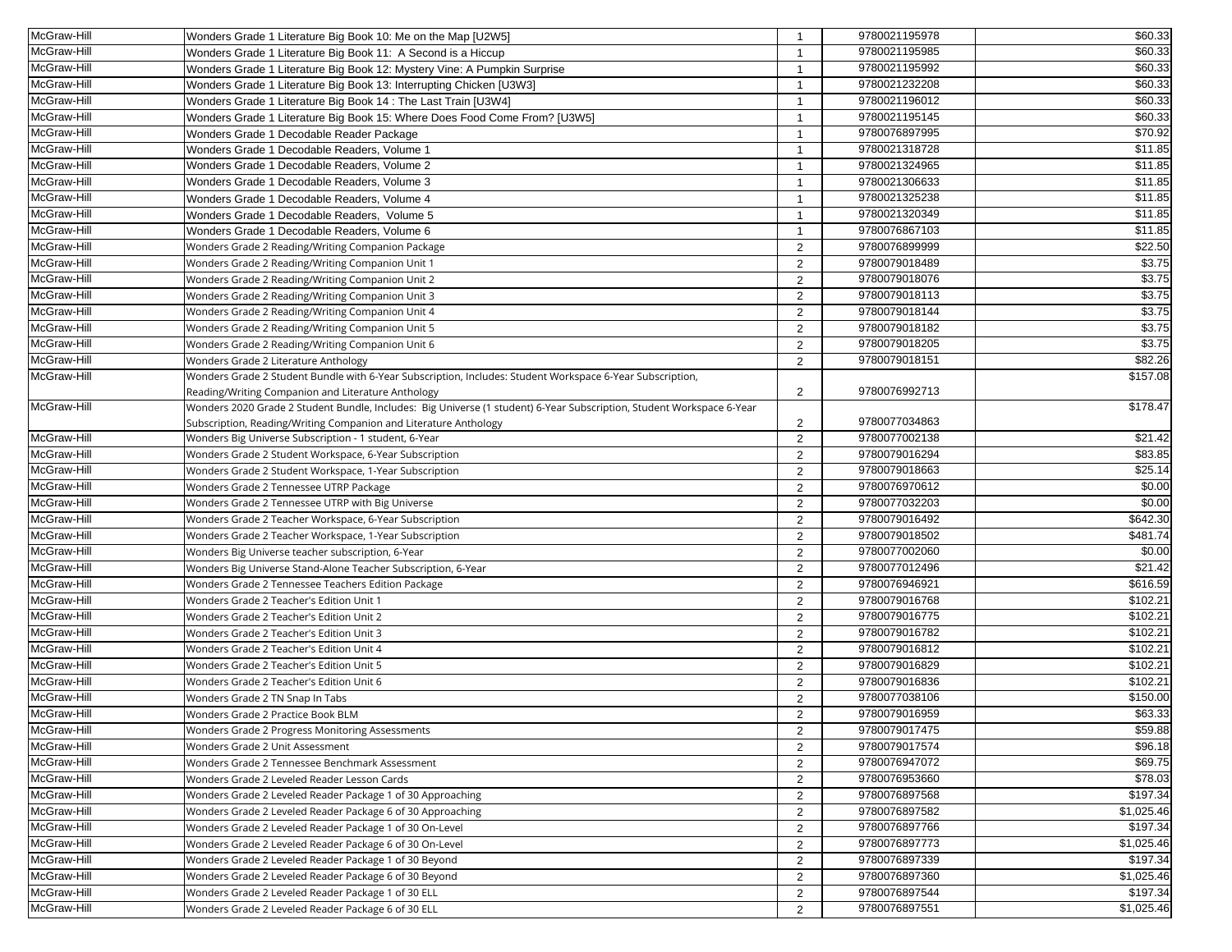| McGraw-Hill | Wonders Grade 1 Literature Big Book 10: Me on the Map [U2W5]                                                          | $\overline{1}$ | 9780021195978 | \$60.33             |
|-------------|-----------------------------------------------------------------------------------------------------------------------|----------------|---------------|---------------------|
| McGraw-Hill | Wonders Grade 1 Literature Big Book 11: A Second is a Hiccup                                                          | -1             | 9780021195985 | \$60.33             |
| McGraw-Hill | Wonders Grade 1 Literature Big Book 12: Mystery Vine: A Pumpkin Surprise                                              | $\overline{1}$ | 9780021195992 | \$60.33             |
| McGraw-Hill | Wonders Grade 1 Literature Big Book 13: Interrupting Chicken [U3W3]                                                   | $\overline{1}$ | 9780021232208 | \$60.33             |
| McGraw-Hill | Wonders Grade 1 Literature Big Book 14 : The Last Train [U3W4]                                                        | $\overline{1}$ | 9780021196012 | \$60.33             |
| McGraw-Hill | Wonders Grade 1 Literature Big Book 15: Where Does Food Come From? [U3W5]                                             | $\overline{1}$ | 9780021195145 | \$60.33             |
| McGraw-Hill | Wonders Grade 1 Decodable Reader Package                                                                              | $\overline{1}$ | 9780076897995 | \$70.92             |
| McGraw-Hill | Wonders Grade 1 Decodable Readers, Volume 1                                                                           | $\overline{1}$ | 9780021318728 | \$11.85             |
| McGraw-Hill | Wonders Grade 1 Decodable Readers, Volume 2                                                                           | $\overline{1}$ | 9780021324965 | $\overline{$11.85}$ |
| McGraw-Hill | Wonders Grade 1 Decodable Readers, Volume 3                                                                           | $\overline{1}$ | 9780021306633 | \$11.85             |
| McGraw-Hill | Wonders Grade 1 Decodable Readers, Volume 4                                                                           | $\overline{1}$ | 9780021325238 | \$11.85             |
| McGraw-Hill | Wonders Grade 1 Decodable Readers, Volume 5                                                                           | $\overline{1}$ | 9780021320349 | \$11.85             |
| McGraw-Hill | Wonders Grade 1 Decodable Readers, Volume 6                                                                           | $\overline{1}$ | 9780076867103 | \$11.85             |
| McGraw-Hill | Wonders Grade 2 Reading/Writing Companion Package                                                                     | 2              | 9780076899999 | \$22.50             |
| McGraw-Hill | Wonders Grade 2 Reading/Writing Companion Unit 1                                                                      | $\overline{2}$ | 9780079018489 | \$3.75              |
| McGraw-Hill | Wonders Grade 2 Reading/Writing Companion Unit 2                                                                      | 2              | 9780079018076 | \$3.75              |
| McGraw-Hill | Wonders Grade 2 Reading/Writing Companion Unit 3                                                                      | $\overline{2}$ | 9780079018113 | \$3.75              |
| McGraw-Hill | Wonders Grade 2 Reading/Writing Companion Unit 4                                                                      | 2              | 9780079018144 | \$3.75              |
| McGraw-Hill | Wonders Grade 2 Reading/Writing Companion Unit 5                                                                      | $\overline{2}$ | 9780079018182 | \$3.75              |
| McGraw-Hill | Wonders Grade 2 Reading/Writing Companion Unit 6                                                                      | 2              | 9780079018205 | \$3.75              |
| McGraw-Hill | Wonders Grade 2 Literature Anthology                                                                                  | 2              | 9780079018151 | \$82.26             |
| McGraw-Hill | Wonders Grade 2 Student Bundle with 6-Year Subscription, Includes: Student Workspace 6-Year Subscription,             |                |               | \$157.08            |
|             | Reading/Writing Companion and Literature Anthology                                                                    | 2              | 9780076992713 |                     |
| McGraw-Hill | Wonders 2020 Grade 2 Student Bundle, Includes: Big Universe (1 student) 6-Year Subscription, Student Workspace 6-Year |                |               | \$178.47            |
|             | Subscription, Reading/Writing Companion and Literature Anthology                                                      | $\overline{2}$ | 9780077034863 |                     |
| McGraw-Hill | Wonders Big Universe Subscription - 1 student, 6-Year                                                                 | 2              | 9780077002138 | \$21.42             |
| McGraw-Hill | Wonders Grade 2 Student Workspace, 6-Year Subscription                                                                | 2              | 9780079016294 | \$83.85             |
| McGraw-Hill | Wonders Grade 2 Student Workspace, 1-Year Subscription                                                                | 2              | 9780079018663 | \$25.14             |
| McGraw-Hill | Wonders Grade 2 Tennessee UTRP Package                                                                                | $\overline{2}$ | 9780076970612 | \$0.00              |
| McGraw-Hill | Wonders Grade 2 Tennessee UTRP with Big Universe                                                                      | 2              | 9780077032203 | \$0.00              |
| McGraw-Hill | Wonders Grade 2 Teacher Workspace, 6-Year Subscription                                                                | $\overline{2}$ | 9780079016492 | \$642.30            |
| McGraw-Hill | Wonders Grade 2 Teacher Workspace, 1-Year Subscription                                                                | 2              | 9780079018502 | \$481.74            |
| McGraw-Hill | Wonders Big Universe teacher subscription, 6-Year                                                                     | 2              | 9780077002060 | \$0.00              |
| McGraw-Hill | Wonders Big Universe Stand-Alone Teacher Subscription, 6-Year                                                         | 2              | 9780077012496 | \$21.42             |
| McGraw-Hill | Wonders Grade 2 Tennessee Teachers Edition Package                                                                    | $\overline{2}$ | 9780076946921 | \$616.59            |
| McGraw-Hill | Wonders Grade 2 Teacher's Edition Unit 1                                                                              | 2              | 9780079016768 | \$102.21            |
| McGraw-Hill | Wonders Grade 2 Teacher's Edition Unit 2                                                                              | 2              | 9780079016775 | \$102.21            |
| McGraw-Hill | Wonders Grade 2 Teacher's Edition Unit 3                                                                              | 2              | 9780079016782 | \$102.21            |
| McGraw-Hill | Wonders Grade 2 Teacher's Edition Unit 4                                                                              | 2              | 9780079016812 | \$102.21            |
| McGraw-Hill | Wonders Grade 2 Teacher's Edition Unit 5                                                                              | 2              | 9780079016829 | \$102.21            |
| McGraw-Hill | Wonders Grade 2 Teacher's Edition Unit 6                                                                              | 2              | 9780079016836 | \$102.21            |
| McGraw-Hill | Wonders Grade 2 TN Snap In Tabs                                                                                       | 2              | 9780077038106 | \$150.00            |
| McGraw-Hill | Wonders Grade 2 Practice Book BLM                                                                                     | $\overline{2}$ | 9780079016959 | \$63.33             |
| McGraw-Hill | Wonders Grade 2 Progress Monitoring Assessments                                                                       | 2              | 9780079017475 | \$59.88             |
| McGraw-Hill | Wonders Grade 2 Unit Assessment                                                                                       | 2              | 9780079017574 | \$96.18             |
| McGraw-Hill | Wonders Grade 2 Tennessee Benchmark Assessment                                                                        | 2              | 9780076947072 | \$69.75             |
| McGraw-Hill | Wonders Grade 2 Leveled Reader Lesson Cards                                                                           | 2              | 9780076953660 | \$78.03             |
| McGraw-Hill | Wonders Grade 2 Leveled Reader Package 1 of 30 Approaching                                                            | $\overline{2}$ | 9780076897568 | \$197.34            |
| McGraw-Hill | Wonders Grade 2 Leveled Reader Package 6 of 30 Approaching                                                            | 2              | 9780076897582 | \$1,025.46          |
| McGraw-Hill | Wonders Grade 2 Leveled Reader Package 1 of 30 On-Level                                                               | 2              | 9780076897766 | \$197.34            |
| McGraw-Hill | Wonders Grade 2 Leveled Reader Package 6 of 30 On-Level                                                               | 2              | 9780076897773 | \$1,025.46          |
| McGraw-Hill | Wonders Grade 2 Leveled Reader Package 1 of 30 Beyond                                                                 | $\overline{2}$ | 9780076897339 | \$197.34            |
| McGraw-Hill | Wonders Grade 2 Leveled Reader Package 6 of 30 Beyond                                                                 | 2              | 9780076897360 | \$1,025.46          |
| McGraw-Hill | Wonders Grade 2 Leveled Reader Package 1 of 30 ELL                                                                    | $\overline{2}$ | 9780076897544 | \$197.34            |
| McGraw-Hill | Wonders Grade 2 Leveled Reader Package 6 of 30 ELL                                                                    | 2              | 9780076897551 | \$1,025.46          |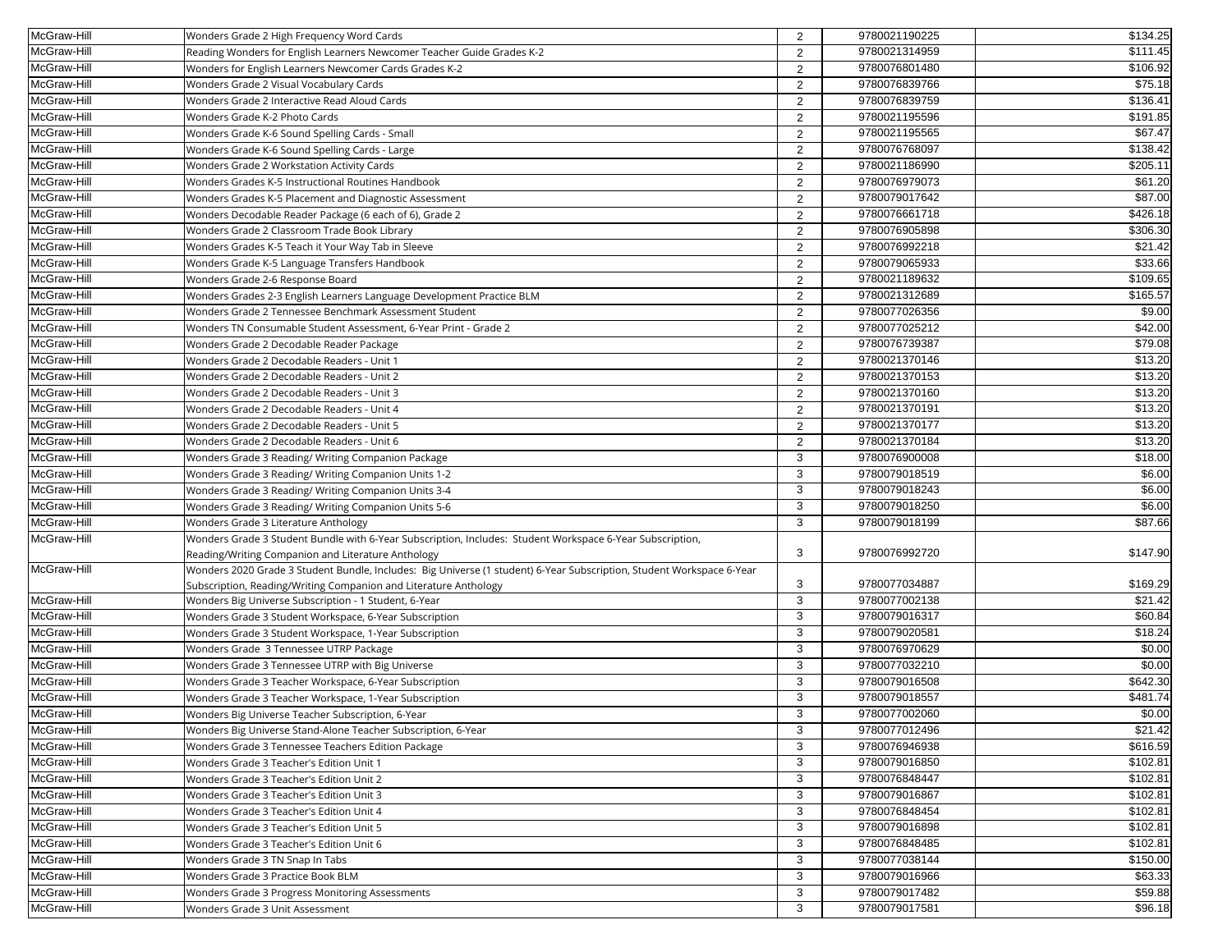| McGraw-Hill | Wonders Grade 2 High Frequency Word Cards                                                                             | 2              | 9780021190225 | \$134.25 |
|-------------|-----------------------------------------------------------------------------------------------------------------------|----------------|---------------|----------|
| McGraw-Hill | Reading Wonders for English Learners Newcomer Teacher Guide Grades K-2                                                | 2              | 9780021314959 | \$111.45 |
| McGraw-Hill | Wonders for English Learners Newcomer Cards Grades K-2                                                                | 2              | 9780076801480 | \$106.92 |
| McGraw-Hill | Wonders Grade 2 Visual Vocabulary Cards                                                                               | 2              | 9780076839766 | \$75.18  |
| McGraw-Hill | Wonders Grade 2 Interactive Read Aloud Cards                                                                          | 2              | 9780076839759 | \$136.41 |
| McGraw-Hill | Wonders Grade K-2 Photo Cards                                                                                         | 2              | 9780021195596 | \$191.85 |
| McGraw-Hill | Wonders Grade K-6 Sound Spelling Cards - Small                                                                        | 2              | 9780021195565 | \$67.47  |
| McGraw-Hill | Wonders Grade K-6 Sound Spelling Cards - Large                                                                        | 2              | 9780076768097 | \$138.42 |
| McGraw-Hill | Wonders Grade 2 Workstation Activity Cards                                                                            | 2              | 9780021186990 | \$205.11 |
| McGraw-Hill | Wonders Grades K-5 Instructional Routines Handbook                                                                    | 2              | 9780076979073 | \$61.20  |
| McGraw-Hill | Wonders Grades K-5 Placement and Diagnostic Assessment                                                                | 2              | 9780079017642 | \$87.00  |
| McGraw-Hill | Wonders Decodable Reader Package (6 each of 6), Grade 2                                                               | 2              | 9780076661718 | \$426.18 |
| McGraw-Hill | Wonders Grade 2 Classroom Trade Book Library                                                                          | 2              | 9780076905898 | \$306.30 |
| McGraw-Hill | Wonders Grades K-5 Teach it Your Way Tab in Sleeve                                                                    | 2              | 9780076992218 | \$21.42  |
| McGraw-Hill | Wonders Grade K-5 Language Transfers Handbook                                                                         | 2              | 9780079065933 | \$33.66  |
| McGraw-Hill | Wonders Grade 2-6 Response Board                                                                                      | 2              | 9780021189632 | \$109.65 |
| McGraw-Hill | Wonders Grades 2-3 English Learners Language Development Practice BLM                                                 | 2              | 9780021312689 | \$165.57 |
| McGraw-Hill | Wonders Grade 2 Tennessee Benchmark Assessment Student                                                                | 2              | 9780077026356 | \$9.00   |
| McGraw-Hill | Wonders TN Consumable Student Assessment, 6-Year Print - Grade 2                                                      | $\overline{2}$ | 9780077025212 | \$42.00  |
| McGraw-Hill | Wonders Grade 2 Decodable Reader Package                                                                              | 2              | 9780076739387 | \$79.08  |
| McGraw-Hill | Wonders Grade 2 Decodable Readers - Unit 1                                                                            | 2              | 9780021370146 | \$13.20  |
| McGraw-Hill | Wonders Grade 2 Decodable Readers - Unit 2                                                                            | 2              | 9780021370153 | \$13.20  |
| McGraw-Hill | Wonders Grade 2 Decodable Readers - Unit 3                                                                            | 2              | 9780021370160 | \$13.20  |
| McGraw-Hill | Wonders Grade 2 Decodable Readers - Unit 4                                                                            | 2              | 9780021370191 | \$13.20  |
| McGraw-Hill | Wonders Grade 2 Decodable Readers - Unit 5                                                                            | 2              | 9780021370177 | \$13.20  |
| McGraw-Hill | Wonders Grade 2 Decodable Readers - Unit 6                                                                            | 2              | 9780021370184 | \$13.20  |
| McGraw-Hill | Wonders Grade 3 Reading/ Writing Companion Package                                                                    | 3              | 9780076900008 | \$18.00  |
| McGraw-Hill | Wonders Grade 3 Reading/ Writing Companion Units 1-2                                                                  | 3              | 9780079018519 | \$6.00   |
| McGraw-Hill | Wonders Grade 3 Reading/ Writing Companion Units 3-4                                                                  | 3              | 9780079018243 | \$6.00   |
| McGraw-Hill | Wonders Grade 3 Reading/ Writing Companion Units 5-6                                                                  | 3              | 9780079018250 | \$6.00   |
| McGraw-Hill | Wonders Grade 3 Literature Anthology                                                                                  | 3              | 9780079018199 | \$87.66  |
| McGraw-Hill | Wonders Grade 3 Student Bundle with 6-Year Subscription, Includes: Student Workspace 6-Year Subscription,             |                |               |          |
|             | Reading/Writing Companion and Literature Anthology                                                                    | 3              | 9780076992720 | \$147.90 |
| McGraw-Hill | Wonders 2020 Grade 3 Student Bundle, Includes: Big Universe (1 student) 6-Year Subscription, Student Workspace 6-Year |                |               |          |
|             | Subscription, Reading/Writing Companion and Literature Anthology                                                      | 3              | 9780077034887 | \$169.29 |
| McGraw-Hill | Wonders Big Universe Subscription - 1 Student, 6-Year                                                                 | 3              | 9780077002138 | \$21.42  |
| McGraw-Hill | Wonders Grade 3 Student Workspace, 6-Year Subscription                                                                | 3              | 9780079016317 | \$60.84  |
| McGraw-Hill | Wonders Grade 3 Student Workspace, 1-Year Subscription                                                                | 3              | 9780079020581 | \$18.24  |
| McGraw-Hill | Wonders Grade 3 Tennessee UTRP Package                                                                                | 3              | 9780076970629 | \$0.00   |
| McGraw-Hill | Wonders Grade 3 Tennessee UTRP with Big Universe                                                                      | 3              | 9780077032210 | \$0.00   |
| McGraw-Hill | Wonders Grade 3 Teacher Workspace, 6-Year Subscription                                                                | 3              | 9780079016508 | \$642.30 |
| McGraw-Hill | Wonders Grade 3 Teacher Workspace, 1-Year Subscription                                                                | 3              | 9780079018557 | \$481.74 |
| McGraw-Hill | Wonders Big Universe Teacher Subscription, 6-Year                                                                     | 3              | 9780077002060 | \$0.00   |
| McGraw-Hill | Wonders Big Universe Stand-Alone Teacher Subscription, 6-Year                                                         | 3              | 9780077012496 | \$21.42  |
| McGraw-Hill | Wonders Grade 3 Tennessee Teachers Edition Package                                                                    | 3              | 9780076946938 | \$616.59 |
| McGraw-Hill | Wonders Grade 3 Teacher's Edition Unit 1                                                                              | 3              | 9780079016850 | \$102.81 |
| McGraw-Hill | Wonders Grade 3 Teacher's Edition Unit 2                                                                              | 3              | 9780076848447 | \$102.81 |
| McGraw-Hill | Wonders Grade 3 Teacher's Edition Unit 3                                                                              | 3              | 9780079016867 | \$102.81 |
| McGraw-Hill | Wonders Grade 3 Teacher's Edition Unit 4                                                                              | 3              | 9780076848454 | \$102.81 |
| McGraw-Hill | Wonders Grade 3 Teacher's Edition Unit 5                                                                              | 3              | 9780079016898 | \$102.81 |
| McGraw-Hill | Wonders Grade 3 Teacher's Edition Unit 6                                                                              | 3              | 9780076848485 | \$102.81 |
| McGraw-Hill | Wonders Grade 3 TN Snap In Tabs                                                                                       | 3              | 9780077038144 | \$150.00 |
| McGraw-Hill | Wonders Grade 3 Practice Book BLM                                                                                     | 3              | 9780079016966 | \$63.33  |
| McGraw-Hill | Wonders Grade 3 Progress Monitoring Assessments                                                                       | 3              | 9780079017482 | \$59.88  |
| McGraw-Hill | Wonders Grade 3 Unit Assessment                                                                                       | 3              | 9780079017581 | \$96.18  |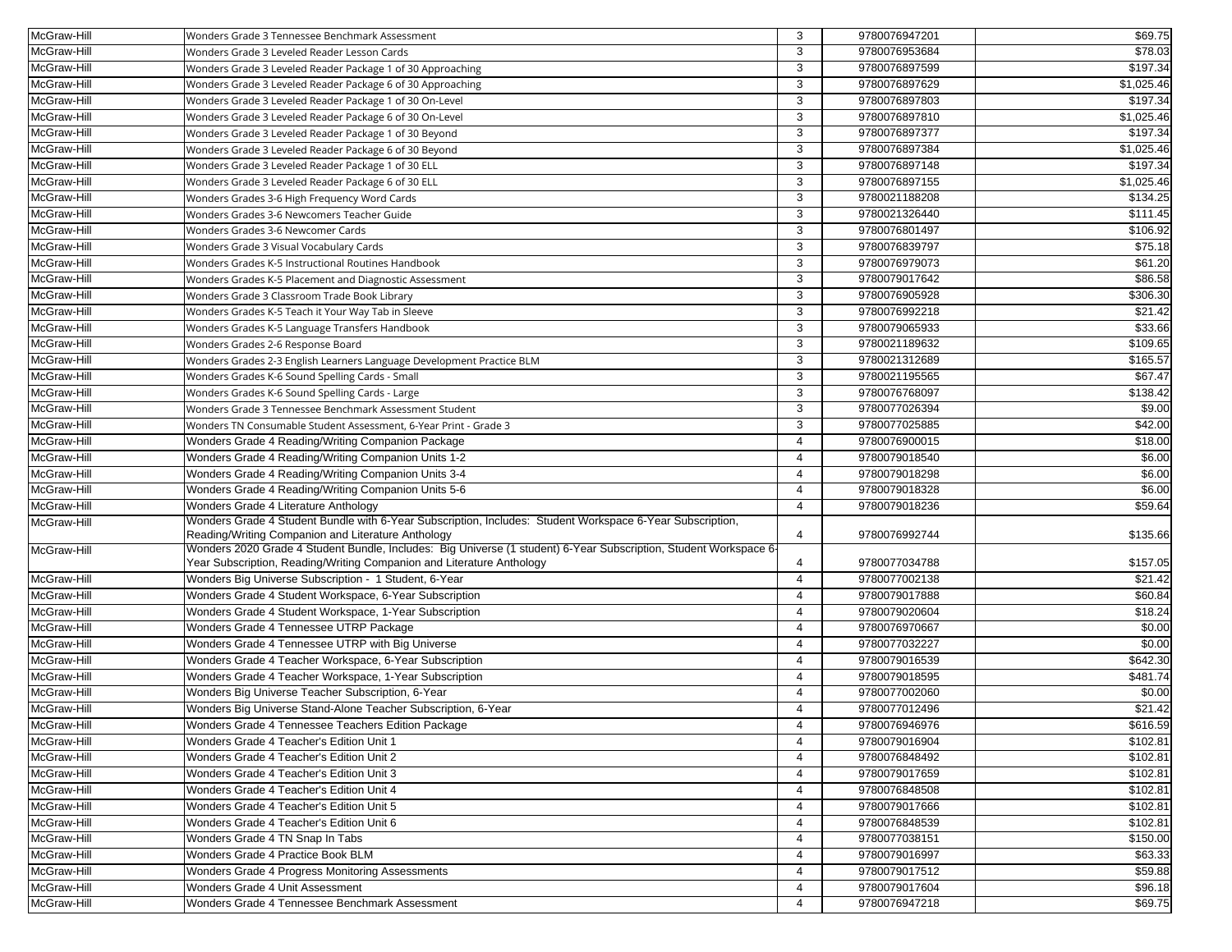| McGraw-Hill | Wonders Grade 3 Tennessee Benchmark Assessment                                                                   | 3              | 9780076947201 | \$69.75             |
|-------------|------------------------------------------------------------------------------------------------------------------|----------------|---------------|---------------------|
| McGraw-Hill | Wonders Grade 3 Leveled Reader Lesson Cards                                                                      | 3              | 9780076953684 | \$78.03             |
| McGraw-Hill | Wonders Grade 3 Leveled Reader Package 1 of 30 Approaching                                                       | 3              | 9780076897599 | \$197.34            |
| McGraw-Hill | Wonders Grade 3 Leveled Reader Package 6 of 30 Approaching                                                       | 3              | 9780076897629 | \$1,025.46          |
| McGraw-Hill | Wonders Grade 3 Leveled Reader Package 1 of 30 On-Level                                                          | 3              | 9780076897803 | \$197.34            |
| McGraw-Hill | Wonders Grade 3 Leveled Reader Package 6 of 30 On-Level                                                          | 3              | 9780076897810 | \$1,025.46          |
| McGraw-Hill | Wonders Grade 3 Leveled Reader Package 1 of 30 Beyond                                                            | 3              | 9780076897377 | \$197.34            |
| McGraw-Hill | Wonders Grade 3 Leveled Reader Package 6 of 30 Beyond                                                            | 3              | 9780076897384 | \$1,025.46          |
| McGraw-Hill | Wonders Grade 3 Leveled Reader Package 1 of 30 ELL                                                               | 3              | 9780076897148 | \$197.34            |
| McGraw-Hill | Wonders Grade 3 Leveled Reader Package 6 of 30 ELL                                                               | 3              | 9780076897155 | \$1,025.46          |
| McGraw-Hill | Wonders Grades 3-6 High Frequency Word Cards                                                                     | 3              | 9780021188208 | \$134.25            |
| McGraw-Hill | Wonders Grades 3-6 Newcomers Teacher Guide                                                                       | 3              | 9780021326440 | \$111.45            |
| McGraw-Hill | Wonders Grades 3-6 Newcomer Cards                                                                                | 3              | 9780076801497 | \$106.92            |
| McGraw-Hill | Wonders Grade 3 Visual Vocabulary Cards                                                                          | 3              | 9780076839797 | \$75.18             |
| McGraw-Hill | Wonders Grades K-5 Instructional Routines Handbook                                                               | 3              | 9780076979073 | \$61.20             |
| McGraw-Hill | Wonders Grades K-5 Placement and Diagnostic Assessment                                                           | 3              | 9780079017642 | \$86.58             |
| McGraw-Hill | Wonders Grade 3 Classroom Trade Book Library                                                                     | 3              | 9780076905928 | \$306.30            |
| McGraw-Hill | Wonders Grades K-5 Teach it Your Way Tab in Sleeve                                                               | 3              | 9780076992218 | \$21.42             |
| McGraw-Hill | Wonders Grades K-5 Language Transfers Handbook                                                                   | 3              | 9780079065933 | \$33.66             |
| McGraw-Hill | Wonders Grades 2-6 Response Board                                                                                | 3              | 9780021189632 | \$109.65            |
| McGraw-Hill | Wonders Grades 2-3 English Learners Language Development Practice BLM                                            | 3              | 9780021312689 | \$165.57            |
| McGraw-Hill | Wonders Grades K-6 Sound Spelling Cards - Small                                                                  | 3              | 9780021195565 | \$67.47             |
| McGraw-Hill | Wonders Grades K-6 Sound Spelling Cards - Large                                                                  | 3              | 9780076768097 | \$138.42            |
| McGraw-Hill | Wonders Grade 3 Tennessee Benchmark Assessment Student                                                           | 3              | 9780077026394 | \$9.00              |
| McGraw-Hill | Wonders TN Consumable Student Assessment, 6-Year Print - Grade 3                                                 | 3              | 9780077025885 | \$42.00             |
| McGraw-Hill | Wonders Grade 4 Reading/Writing Companion Package                                                                | $\overline{4}$ | 9780076900015 | \$18.00             |
| McGraw-Hill | Wonders Grade 4 Reading/Writing Companion Units 1-2                                                              | $\overline{4}$ | 9780079018540 | \$6.00              |
| McGraw-Hill | Wonders Grade 4 Reading/Writing Companion Units 3-4                                                              | $\overline{4}$ | 9780079018298 | \$6.00              |
| McGraw-Hill | Wonders Grade 4 Reading/Writing Companion Units 5-6                                                              | 4              | 9780079018328 | \$6.00              |
| McGraw-Hill | Wonders Grade 4 Literature Anthology                                                                             | $\overline{4}$ | 9780079018236 | \$59.64             |
| McGraw-Hill | Wonders Grade 4 Student Bundle with 6-Year Subscription, Includes: Student Workspace 6-Year Subscription,        |                |               |                     |
|             | Reading/Writing Companion and Literature Anthology                                                               | 4              | 9780076992744 | \$135.66            |
| McGraw-Hill | Wonders 2020 Grade 4 Student Bundle, Includes: Big Universe (1 student) 6-Year Subscription, Student Workspace 6 |                |               |                     |
|             | Year Subscription, Reading/Writing Companion and Literature Anthology                                            | 4              | 9780077034788 | \$157.05            |
| McGraw-Hill | Wonders Big Universe Subscription - 1 Student, 6-Year                                                            | $\overline{4}$ | 9780077002138 | \$21.42             |
| McGraw-Hill | Wonders Grade 4 Student Workspace, 6-Year Subscription                                                           | $\overline{4}$ | 9780079017888 | \$60.84             |
| McGraw-Hill | Wonders Grade 4 Student Workspace, 1-Year Subscription                                                           | $\overline{4}$ | 9780079020604 | \$18.24             |
| McGraw-Hill | Wonders Grade 4 Tennessee UTRP Package                                                                           | $\overline{4}$ | 9780076970667 | \$0.00              |
| McGraw-Hill | Wonders Grade 4 Tennessee UTRP with Big Universe                                                                 | $\overline{4}$ | 9780077032227 | \$0.00              |
| McGraw-Hill | Wonders Grade 4 Teacher Workspace, 6-Year Subscription                                                           | $\overline{4}$ | 9780079016539 | \$642.30            |
| McGraw-Hill | Wonders Grade 4 Teacher Workspace, 1-Year Subscription                                                           | $\overline{4}$ | 9780079018595 | \$481.74            |
| McGraw-Hill | Wonders Big Universe Teacher Subscription, 6-Year                                                                | $\overline{4}$ | 9780077002060 | \$0.00              |
| McGraw-Hill | Wonders Big Universe Stand-Alone Teacher Subscription, 6-Year                                                    | $\overline{4}$ | 9780077012496 | $\overline{$}21.42$ |
| McGraw-Hill | Wonders Grade 4 Tennessee Teachers Edition Package                                                               | 4              | 9780076946976 | \$616.59            |
| McGraw-Hill | Wonders Grade 4 Teacher's Edition Unit 1                                                                         | $\overline{4}$ | 9780079016904 | \$102.81            |
| McGraw-Hill | Wonders Grade 4 Teacher's Edition Unit 2                                                                         | $\overline{4}$ | 9780076848492 | \$102.81            |
| McGraw-Hill | Wonders Grade 4 Teacher's Edition Unit 3                                                                         | 4              | 9780079017659 | \$102.81            |
| McGraw-Hill | Wonders Grade 4 Teacher's Edition Unit 4                                                                         | 4              | 9780076848508 | \$102.81            |
| McGraw-Hill | Wonders Grade 4 Teacher's Edition Unit 5                                                                         | 4              | 9780079017666 | \$102.81            |
| McGraw-Hill | Wonders Grade 4 Teacher's Edition Unit 6                                                                         | 4              | 9780076848539 | \$102.81            |
| McGraw-Hill | Wonders Grade 4 TN Snap In Tabs                                                                                  | 4              | 9780077038151 | \$150.00            |
| McGraw-Hill | Wonders Grade 4 Practice Book BLM                                                                                | 4              | 9780079016997 | \$63.33             |
| McGraw-Hill | Wonders Grade 4 Progress Monitoring Assessments                                                                  | $\overline{a}$ | 9780079017512 | \$59.88             |
| McGraw-Hill | Wonders Grade 4 Unit Assessment                                                                                  | 4              | 9780079017604 | \$96.18             |
| McGraw-Hill | Wonders Grade 4 Tennessee Benchmark Assessment                                                                   | $\overline{4}$ | 9780076947218 | \$69.75             |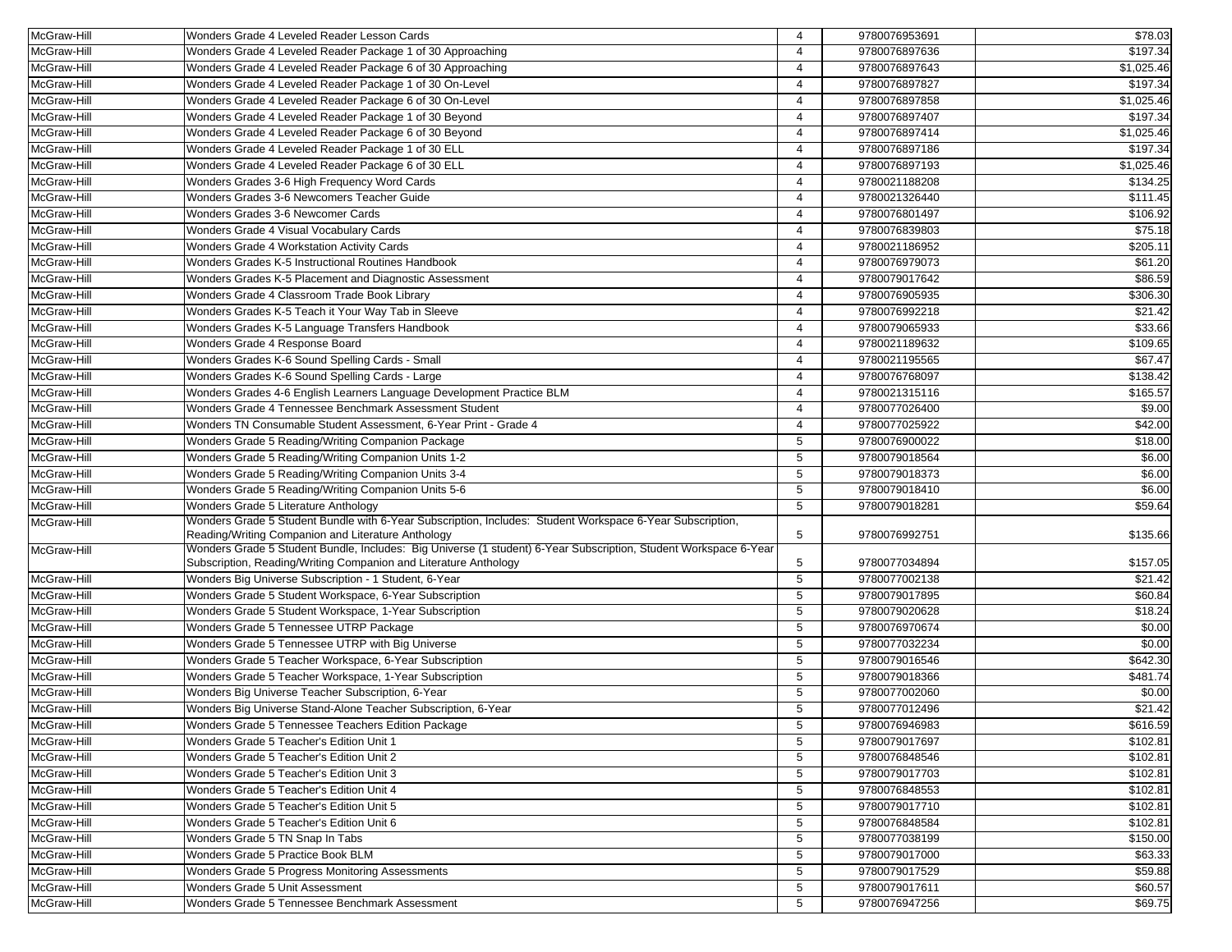| McGraw-Hill | Wonders Grade 4 Leveled Reader Lesson Cards                                                                      | 4              | 9780076953691 | \$78.03             |
|-------------|------------------------------------------------------------------------------------------------------------------|----------------|---------------|---------------------|
| McGraw-Hill | Wonders Grade 4 Leveled Reader Package 1 of 30 Approaching                                                       | $\overline{4}$ | 9780076897636 | \$197.34            |
| McGraw-Hill | Wonders Grade 4 Leveled Reader Package 6 of 30 Approaching                                                       | $\overline{4}$ | 9780076897643 | \$1,025.46          |
| McGraw-Hill | Wonders Grade 4 Leveled Reader Package 1 of 30 On-Level                                                          | $\overline{4}$ | 9780076897827 | \$197.34            |
| McGraw-Hill | Wonders Grade 4 Leveled Reader Package 6 of 30 On-Level                                                          | $\overline{4}$ | 9780076897858 | \$1,025.46          |
| McGraw-Hill | Wonders Grade 4 Leveled Reader Package 1 of 30 Beyond                                                            | $\overline{4}$ | 9780076897407 | \$197.34            |
| McGraw-Hill | Wonders Grade 4 Leveled Reader Package 6 of 30 Beyond                                                            | $\overline{4}$ | 9780076897414 | \$1,025.46          |
| McGraw-Hill | Wonders Grade 4 Leveled Reader Package 1 of 30 ELL                                                               | $\overline{4}$ | 9780076897186 | \$197.34            |
| McGraw-Hill | Wonders Grade 4 Leveled Reader Package 6 of 30 ELL                                                               | $\overline{4}$ | 9780076897193 | \$1,025.46          |
| McGraw-Hill | Wonders Grades 3-6 High Frequency Word Cards                                                                     | 4              | 9780021188208 | \$134.25            |
| McGraw-Hill | Wonders Grades 3-6 Newcomers Teacher Guide                                                                       | $\overline{4}$ | 9780021326440 | \$111.45            |
| McGraw-Hill | Wonders Grades 3-6 Newcomer Cards                                                                                | $\overline{4}$ | 9780076801497 | \$106.92            |
| McGraw-Hill | Wonders Grade 4 Visual Vocabulary Cards                                                                          | $\overline{4}$ | 9780076839803 | \$75.18             |
| McGraw-Hill | <b>Wonders Grade 4 Workstation Activity Cards</b>                                                                | 4              | 9780021186952 | \$205.11            |
| McGraw-Hill | Wonders Grades K-5 Instructional Routines Handbook                                                               | $\overline{4}$ | 9780076979073 | \$61.20             |
| McGraw-Hill | Wonders Grades K-5 Placement and Diagnostic Assessment                                                           | 4              | 9780079017642 | \$86.59             |
| McGraw-Hill | Wonders Grade 4 Classroom Trade Book Library                                                                     | $\overline{4}$ | 9780076905935 | \$306.30            |
| McGraw-Hill | Wonders Grades K-5 Teach it Your Way Tab in Sleeve                                                               | 4              | 9780076992218 | $\overline{$21.42}$ |
| McGraw-Hill | Wonders Grades K-5 Language Transfers Handbook                                                                   | $\overline{4}$ | 9780079065933 | \$33.66             |
| McGraw-Hill | Wonders Grade 4 Response Board                                                                                   | $\overline{4}$ | 9780021189632 | \$109.65            |
| McGraw-Hill | Wonders Grades K-6 Sound Spelling Cards - Small                                                                  | $\overline{4}$ | 9780021195565 | \$67.47             |
| McGraw-Hill | Wonders Grades K-6 Sound Spelling Cards - Large                                                                  | $\overline{a}$ | 9780076768097 | \$138.42            |
| McGraw-Hill | Wonders Grades 4-6 English Learners Language Development Practice BLM                                            | $\overline{4}$ | 9780021315116 | \$165.57            |
| McGraw-Hill | Wonders Grade 4 Tennessee Benchmark Assessment Student                                                           | $\overline{4}$ | 9780077026400 | \$9.00              |
| McGraw-Hill | Wonders TN Consumable Student Assessment, 6-Year Print - Grade 4                                                 | $\overline{4}$ | 9780077025922 | \$42.00             |
| McGraw-Hill | Wonders Grade 5 Reading/Writing Companion Package                                                                | 5              | 9780076900022 | \$18.00             |
| McGraw-Hill | Wonders Grade 5 Reading/Writing Companion Units 1-2                                                              | 5              | 9780079018564 | \$6.00              |
| McGraw-Hill | Wonders Grade 5 Reading/Writing Companion Units 3-4                                                              | 5              | 9780079018373 | \$6.00              |
| McGraw-Hill | Wonders Grade 5 Reading/Writing Companion Units 5-6                                                              | 5              | 9780079018410 | \$6.00              |
| McGraw-Hill | Wonders Grade 5 Literature Anthology                                                                             | 5              | 9780079018281 | \$59.64             |
| McGraw-Hill | Wonders Grade 5 Student Bundle with 6-Year Subscription, Includes: Student Workspace 6-Year Subscription,        |                |               |                     |
|             | Reading/Writing Companion and Literature Anthology                                                               | 5              | 9780076992751 | \$135.66            |
| McGraw-Hill | Wonders Grade 5 Student Bundle, Includes: Big Universe (1 student) 6-Year Subscription, Student Workspace 6-Year |                |               |                     |
|             | Subscription, Reading/Writing Companion and Literature Anthology                                                 | 5              | 9780077034894 | \$157.05            |
| McGraw-Hill | Wonders Big Universe Subscription - 1 Student, 6-Year                                                            | 5              | 9780077002138 | $\overline{$21.42}$ |
| McGraw-Hill | Wonders Grade 5 Student Workspace, 6-Year Subscription                                                           | 5              | 9780079017895 | \$60.84             |
| McGraw-Hill | Wonders Grade 5 Student Workspace, 1-Year Subscription                                                           | 5              | 9780079020628 | \$18.24             |
| McGraw-Hill | Wonders Grade 5 Tennessee UTRP Package                                                                           | 5              | 9780076970674 | \$0.00              |
| McGraw-Hill | Wonders Grade 5 Tennessee UTRP with Big Universe                                                                 | 5              | 9780077032234 | \$0.00              |
| McGraw-Hill | Wonders Grade 5 Teacher Workspace, 6-Year Subscription                                                           | 5              | 9780079016546 | \$642.30            |
| McGraw-Hill | Wonders Grade 5 Teacher Workspace, 1-Year Subscription                                                           | 5              | 9780079018366 | \$481.74            |
| McGraw-Hill | <b>Nonders Big Universe Teacher Subscription, 6-Year</b>                                                         | 5              | 9780077002060 | \$0.00              |
| McGraw-Hill | Wonders Big Universe Stand-Alone Teacher Subscription, 6-Year                                                    | 5              | 9780077012496 | \$21.42             |
| McGraw-Hill | Wonders Grade 5 Tennessee Teachers Edition Package                                                               | 5              | 9780076946983 | \$616.59            |
| McGraw-Hill | Wonders Grade 5 Teacher's Edition Unit 1                                                                         | 5              | 9780079017697 | \$102.81            |
| McGraw-Hill | Wonders Grade 5 Teacher's Edition Unit 2                                                                         | 5              | 9780076848546 | \$102.81            |
| McGraw-Hill | Wonders Grade 5 Teacher's Edition Unit 3                                                                         | 5              | 9780079017703 | \$102.81            |
| McGraw-Hill | Wonders Grade 5 Teacher's Edition Unit 4                                                                         | 5              | 9780076848553 | \$102.81            |
| McGraw-Hill | Wonders Grade 5 Teacher's Edition Unit 5                                                                         | 5              | 9780079017710 | \$102.81            |
| McGraw-Hill | Wonders Grade 5 Teacher's Edition Unit 6                                                                         | 5              | 9780076848584 | \$102.81            |
| McGraw-Hill | Wonders Grade 5 TN Snap In Tabs                                                                                  | 5              | 9780077038199 | \$150.00            |
| McGraw-Hill | Wonders Grade 5 Practice Book BLM                                                                                | 5              | 9780079017000 | \$63.33             |
| McGraw-Hill | Wonders Grade 5 Progress Monitoring Assessments                                                                  | 5              | 9780079017529 | \$59.88             |
| McGraw-Hill | Wonders Grade 5 Unit Assessment                                                                                  | 5              | 9780079017611 | \$60.57             |
| McGraw-Hill | Wonders Grade 5 Tennessee Benchmark Assessment                                                                   | 5              | 9780076947256 | \$69.75             |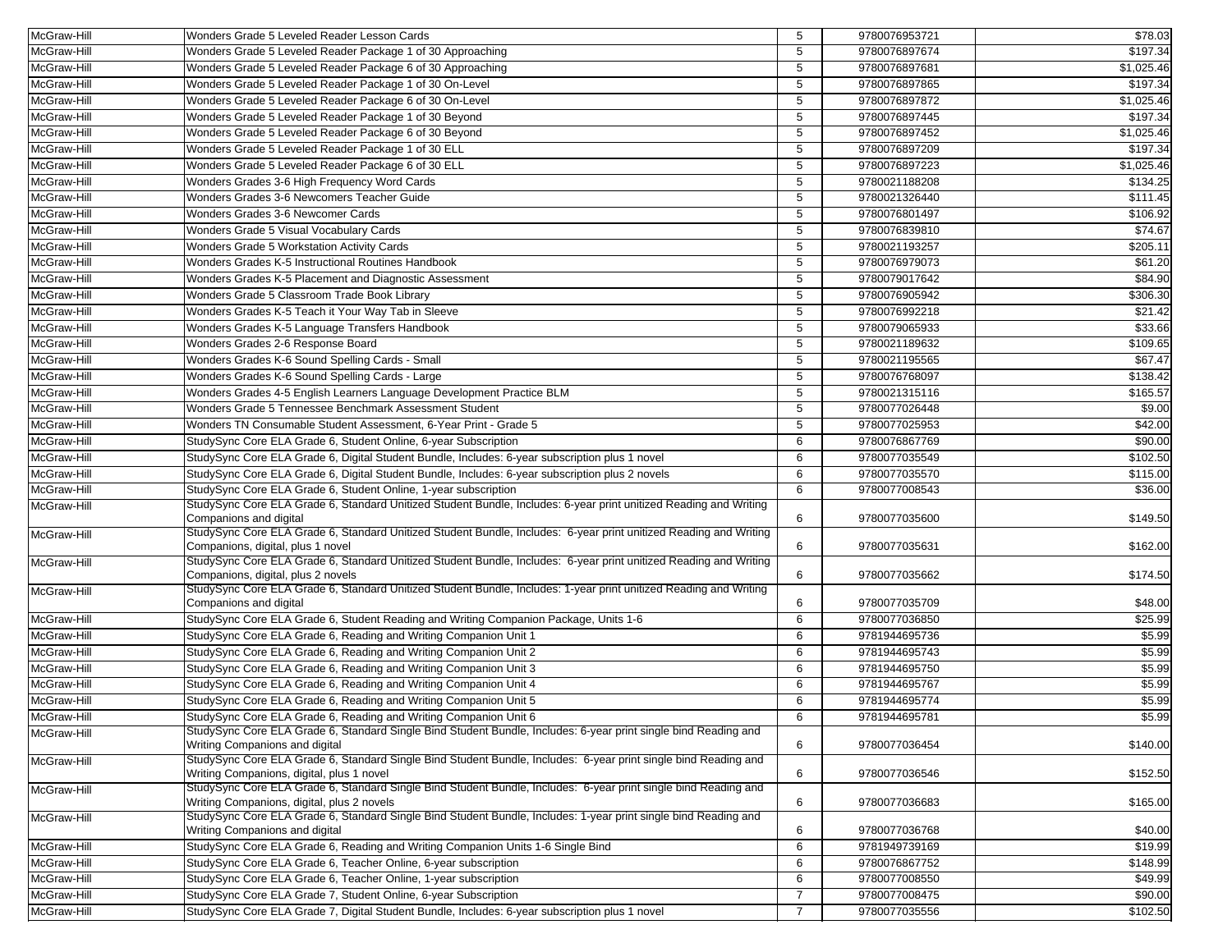| McGraw-Hill | Wonders Grade 5 Leveled Reader Lesson Cards                                                                                                                   | 5              | 9780076953721 | \$78.03    |
|-------------|---------------------------------------------------------------------------------------------------------------------------------------------------------------|----------------|---------------|------------|
| McGraw-Hill | Wonders Grade 5 Leveled Reader Package 1 of 30 Approaching                                                                                                    | 5              | 9780076897674 | \$197.34   |
| McGraw-Hill | Wonders Grade 5 Leveled Reader Package 6 of 30 Approaching                                                                                                    | 5              | 9780076897681 | \$1,025.46 |
| McGraw-Hill | Wonders Grade 5 Leveled Reader Package 1 of 30 On-Level                                                                                                       | 5              | 9780076897865 | \$197.34   |
| McGraw-Hill | Wonders Grade 5 Leveled Reader Package 6 of 30 On-Level                                                                                                       | 5              | 9780076897872 | \$1,025.46 |
| McGraw-Hill | Wonders Grade 5 Leveled Reader Package 1 of 30 Beyond                                                                                                         | 5              | 9780076897445 | \$197.34   |
| McGraw-Hill | Wonders Grade 5 Leveled Reader Package 6 of 30 Beyond                                                                                                         | 5              | 9780076897452 | \$1,025.46 |
| McGraw-Hill | Wonders Grade 5 Leveled Reader Package 1 of 30 ELL                                                                                                            | 5              | 9780076897209 | \$197.34   |
| McGraw-Hill | Wonders Grade 5 Leveled Reader Package 6 of 30 ELL                                                                                                            | 5              | 9780076897223 | \$1,025.46 |
| McGraw-Hill | Wonders Grades 3-6 High Frequency Word Cards                                                                                                                  | 5              | 9780021188208 | \$134.25   |
| McGraw-Hill | Wonders Grades 3-6 Newcomers Teacher Guide                                                                                                                    | 5              | 9780021326440 | \$111.45   |
| McGraw-Hill | Wonders Grades 3-6 Newcomer Cards                                                                                                                             | 5              | 9780076801497 | \$106.92   |
| McGraw-Hill | Wonders Grade 5 Visual Vocabulary Cards                                                                                                                       | 5              | 9780076839810 | \$74.67    |
| McGraw-Hill | Wonders Grade 5 Workstation Activity Cards                                                                                                                    | 5              | 9780021193257 | \$205.11   |
| McGraw-Hill | Wonders Grades K-5 Instructional Routines Handbook                                                                                                            | 5              | 9780076979073 | \$61.20    |
| McGraw-Hill | Wonders Grades K-5 Placement and Diagnostic Assessment                                                                                                        | 5              | 9780079017642 | \$84.90    |
| McGraw-Hill | Wonders Grade 5 Classroom Trade Book Library                                                                                                                  | 5              | 9780076905942 | \$306.30   |
| McGraw-Hill | Wonders Grades K-5 Teach it Your Way Tab in Sleeve                                                                                                            | 5              | 9780076992218 | \$21.42    |
| McGraw-Hill | Wonders Grades K-5 Language Transfers Handbook                                                                                                                | 5              | 9780079065933 | \$33.66    |
| McGraw-Hill | Wonders Grades 2-6 Response Board                                                                                                                             | 5              | 9780021189632 | \$109.65   |
| McGraw-Hill | Wonders Grades K-6 Sound Spelling Cards - Small                                                                                                               | 5              | 9780021195565 | \$67.47    |
| McGraw-Hill | Wonders Grades K-6 Sound Spelling Cards - Large                                                                                                               | 5              | 9780076768097 | \$138.42   |
| McGraw-Hill | Wonders Grades 4-5 English Learners Language Development Practice BLM                                                                                         | 5              | 9780021315116 | \$165.57   |
| McGraw-Hill | Wonders Grade 5 Tennessee Benchmark Assessment Student                                                                                                        | 5              | 9780077026448 | \$9.00     |
| McGraw-Hill | Wonders TN Consumable Student Assessment, 6-Year Print - Grade 5                                                                                              | 5              | 9780077025953 | \$42.00    |
| McGraw-Hill | StudySync Core ELA Grade 6, Student Online, 6-year Subscription                                                                                               | 6              | 9780076867769 | \$90.00    |
| McGraw-Hill | StudySync Core ELA Grade 6, Digital Student Bundle, Includes: 6-year subscription plus 1 novel                                                                | 6              | 9780077035549 | \$102.50   |
| McGraw-Hill | StudySync Core ELA Grade 6, Digital Student Bundle, Includes: 6-year subscription plus 2 novels                                                               | 6              | 9780077035570 | \$115.00   |
| McGraw-Hill | StudySync Core ELA Grade 6, Student Online, 1-year subscription                                                                                               | 6              | 9780077008543 | \$36.00    |
| McGraw-Hill | StudySync Core ELA Grade 6, Standard Unitized Student Bundle, Includes: 6-year print unitized Reading and Writing<br>Companions and digital                   | 6              | 9780077035600 | \$149.50   |
| McGraw-Hill | StudySync Core ELA Grade 6, Standard Unitized Student Bundle, Includes: 6-year print unitized Reading and Writing<br>Companions, digital, plus 1 novel        | 6              | 9780077035631 | \$162.00   |
| McGraw-Hill | StudySync Core ELA Grade 6, Standard Unitized Student Bundle, Includes: 6-year print unitized Reading and Writing<br>Companions, digital, plus 2 novels       | 6              | 9780077035662 | \$174.50   |
| McGraw-Hill | StudySync Core ELA Grade 6, Standard Unitized Student Bundle, Includes: 1-year print unitized Reading and Writing<br>Companions and digital                   | 6              | 9780077035709 | \$48.00    |
| McGraw-Hill | StudySync Core ELA Grade 6, Student Reading and Writing Companion Package, Units 1-6                                                                          | 6              | 9780077036850 | \$25.99    |
| McGraw-Hill | StudySync Core ELA Grade 6, Reading and Writing Companion Unit 1                                                                                              | 6              | 9781944695736 | \$5.99     |
| McGraw-Hill | StudySync Core ELA Grade 6, Reading and Writing Companion Unit 2                                                                                              | 6              | 9781944695743 | \$5.99     |
| McGraw-Hill | StudySync Core ELA Grade 6, Reading and Writing Companion Unit 3                                                                                              | 6              | 9781944695750 | \$5.99     |
| McGraw-Hill | StudySync Core ELA Grade 6, Reading and Writing Companion Unit 4                                                                                              | 6              | 9781944695767 | \$5.99     |
| McGraw-Hill | StudySync Core ELA Grade 6, Reading and Writing Companion Unit 5                                                                                              | 6              | 9781944695774 | \$5.99     |
| McGraw-Hill | StudySync Core ELA Grade 6, Reading and Writing Companion Unit 6                                                                                              | 6              | 9781944695781 | \$5.99     |
| McGraw-Hill | StudySync Core ELA Grade 6, Standard Single Bind Student Bundle, Includes: 6-year print single bind Reading and<br>Writing Companions and digital             | 6              | 9780077036454 | \$140.00   |
| McGraw-Hill | StudySync Core ELA Grade 6, Standard Single Bind Student Bundle, Includes: 6-year print single bind Reading and<br>Writing Companions, digital, plus 1 novel  | 6              | 9780077036546 | \$152.50   |
| McGraw-Hill | StudySync Core ELA Grade 6, Standard Single Bind Student Bundle, Includes: 6-year print single bind Reading and<br>Writing Companions, digital, plus 2 novels | 6              | 9780077036683 | \$165.00   |
| McGraw-Hill | StudySync Core ELA Grade 6, Standard Single Bind Student Bundle, Includes: 1-year print single bind Reading and<br>Writing Companions and digital             | 6              | 9780077036768 | \$40.00    |
| McGraw-Hill | StudySync Core ELA Grade 6, Reading and Writing Companion Units 1-6 Single Bind                                                                               | 6              | 9781949739169 | \$19.99    |
| McGraw-Hill | StudySync Core ELA Grade 6, Teacher Online, 6-year subscription                                                                                               | 6              | 9780076867752 | \$148.99   |
| McGraw-Hill | StudySync Core ELA Grade 6, Teacher Online, 1-year subscription                                                                                               | 6              | 9780077008550 | \$49.99    |
|             |                                                                                                                                                               | $\overline{7}$ | 9780077008475 | \$90.00    |
| McGraw-Hill | StudySync Core ELA Grade 7, Student Online, 6-year Subscription                                                                                               |                |               |            |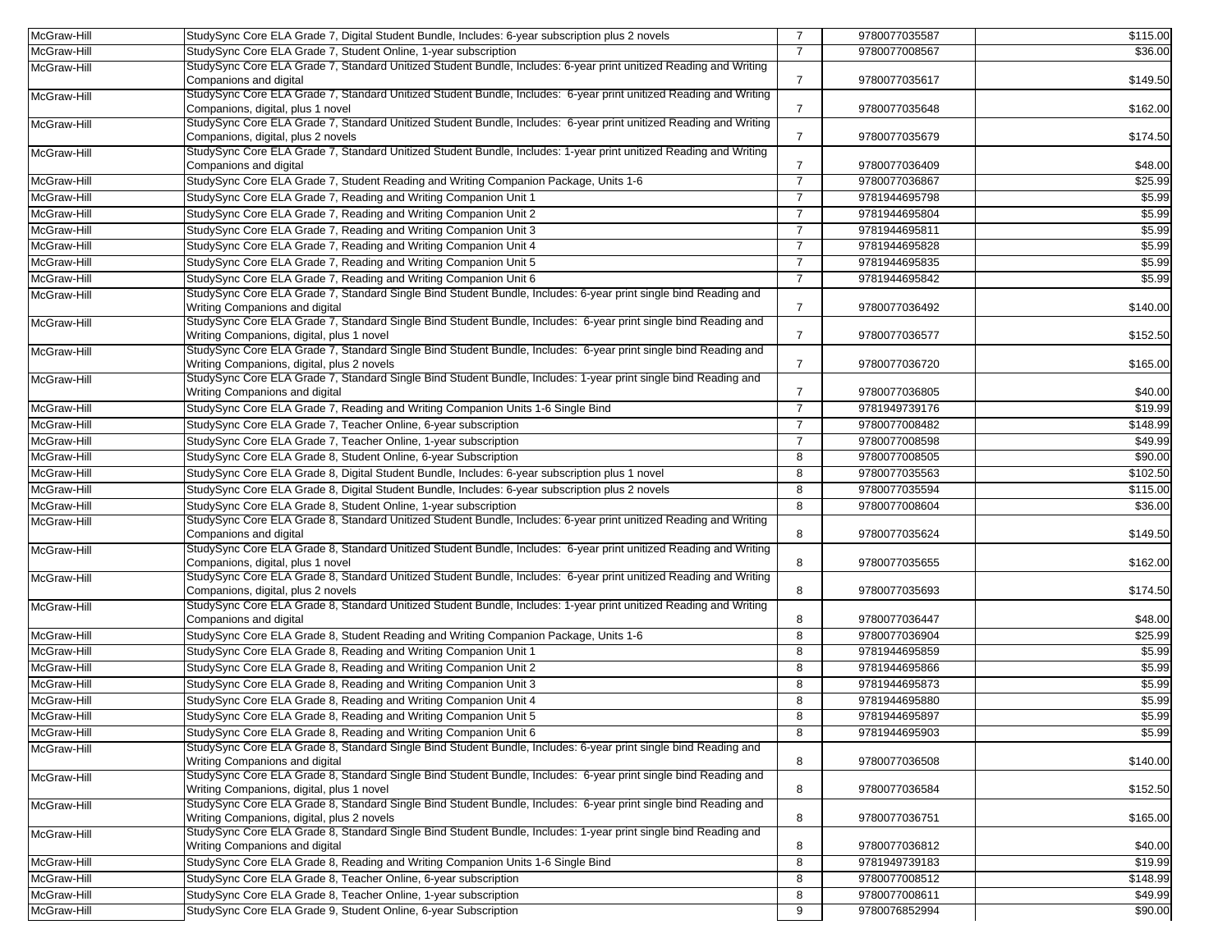| McGraw-Hill | StudySync Core ELA Grade 7, Digital Student Bundle, Includes: 6-year subscription plus 2 novels                                                               | $\overline{7}$ | 9780077035587 | \$115.00 |
|-------------|---------------------------------------------------------------------------------------------------------------------------------------------------------------|----------------|---------------|----------|
| McGraw-Hill | StudySync Core ELA Grade 7, Student Online, 1-year subscription                                                                                               | $\overline{7}$ | 9780077008567 | \$36.00  |
| McGraw-Hill | StudySync Core ELA Grade 7, Standard Unitized Student Bundle, Includes: 6-year print unitized Reading and Writing<br>Companions and digital                   | $\overline{7}$ | 9780077035617 | \$149.50 |
| McGraw-Hill | StudySync Core ELA Grade 7, Standard Unitized Student Bundle, Includes: 6-year print unitized Reading and Writing<br>Companions, digital, plus 1 novel        | $\overline{7}$ | 9780077035648 | \$162.00 |
| McGraw-Hill | StudySync Core ELA Grade 7, Standard Unitized Student Bundle, Includes: 6-year print unitized Reading and Writing<br>Companions, digital, plus 2 novels       | $\overline{7}$ | 9780077035679 | \$174.50 |
| McGraw-Hill | StudySync Core ELA Grade 7, Standard Unitized Student Bundle, Includes: 1-year print unitized Reading and Writing<br>Companions and digital                   | 7              | 9780077036409 | \$48.00  |
| McGraw-Hill | StudySync Core ELA Grade 7, Student Reading and Writing Companion Package, Units 1-6                                                                          | $\overline{7}$ | 9780077036867 | \$25.99  |
| McGraw-Hill | StudySync Core ELA Grade 7, Reading and Writing Companion Unit 1                                                                                              | $\overline{7}$ | 9781944695798 | \$5.99   |
| McGraw-Hill | StudySync Core ELA Grade 7, Reading and Writing Companion Unit 2                                                                                              | $\overline{7}$ | 9781944695804 | \$5.99   |
| McGraw-Hill | StudySync Core ELA Grade 7, Reading and Writing Companion Unit 3                                                                                              | $\overline{7}$ | 9781944695811 | \$5.99   |
| McGraw-Hill | StudySync Core ELA Grade 7, Reading and Writing Companion Unit 4                                                                                              | $\overline{7}$ | 9781944695828 | \$5.99   |
| McGraw-Hill | StudySync Core ELA Grade 7, Reading and Writing Companion Unit 5                                                                                              | $\overline{7}$ | 9781944695835 | \$5.99   |
| McGraw-Hill | StudySync Core ELA Grade 7, Reading and Writing Companion Unit 6                                                                                              | $\overline{7}$ | 9781944695842 | \$5.99   |
| McGraw-Hill | StudySync Core ELA Grade 7, Standard Single Bind Student Bundle, Includes: 6-year print single bind Reading and                                               |                |               |          |
|             | Writing Companions and digital<br>StudySync Core ELA Grade 7, Standard Single Bind Student Bundle, Includes: 6-year print single bind Reading and             | $\overline{7}$ | 9780077036492 | \$140.00 |
| McGraw-Hill | Writing Companions, digital, plus 1 novel                                                                                                                     | $\overline{7}$ | 9780077036577 | \$152.50 |
| McGraw-Hill | StudySync Core ELA Grade 7, Standard Single Bind Student Bundle, Includes: 6-year print single bind Reading and<br>Writing Companions, digital, plus 2 novels | $\overline{7}$ | 9780077036720 | \$165.00 |
| McGraw-Hill | StudySync Core ELA Grade 7, Standard Single Bind Student Bundle, Includes: 1-year print single bind Reading and<br>Writing Companions and digital             | $\overline{7}$ | 9780077036805 | \$40.00  |
| McGraw-Hill | StudySync Core ELA Grade 7, Reading and Writing Companion Units 1-6 Single Bind                                                                               | $\overline{7}$ | 9781949739176 | \$19.99  |
| McGraw-Hill | StudySync Core ELA Grade 7, Teacher Online, 6-year subscription                                                                                               | $\overline{7}$ | 9780077008482 | \$148.99 |
| McGraw-Hill | StudySync Core ELA Grade 7, Teacher Online, 1-year subscription                                                                                               | $\overline{7}$ | 9780077008598 | \$49.99  |
| McGraw-Hill | StudySync Core ELA Grade 8, Student Online, 6-year Subscription                                                                                               | 8              | 9780077008505 | \$90.00  |
| McGraw-Hill | StudySync Core ELA Grade 8, Digital Student Bundle, Includes: 6-year subscription plus 1 novel                                                                | 8              | 9780077035563 | \$102.50 |
| McGraw-Hill | StudySync Core ELA Grade 8, Digital Student Bundle, Includes: 6-year subscription plus 2 novels                                                               | 8              | 9780077035594 | \$115.00 |
| McGraw-Hill | StudySync Core ELA Grade 8, Student Online, 1-year subscription                                                                                               | 8              | 9780077008604 | \$36.00  |
| McGraw-Hill | StudySync Core ELA Grade 8, Standard Unitized Student Bundle, Includes: 6-year print unitized Reading and Writing<br>Companions and digital                   | 8              | 9780077035624 | \$149.50 |
| McGraw-Hill | StudySync Core ELA Grade 8, Standard Unitized Student Bundle, Includes: 6-year print unitized Reading and Writing<br>Companions, digital, plus 1 novel        | 8              | 9780077035655 | \$162.00 |
| McGraw-Hill | StudySync Core ELA Grade 8, Standard Unitized Student Bundle, Includes: 6-year print unitized Reading and Writing<br>Companions, digital, plus 2 novels       | 8              | 9780077035693 | \$174.50 |
| McGraw-Hill | StudySync Core ELA Grade 8, Standard Unitized Student Bundle, Includes: 1-year print unitized Reading and Writing<br>Companions and digital                   | 8              | 9780077036447 | \$48.00  |
| McGraw-Hill | StudySync Core ELA Grade 8, Student Reading and Writing Companion Package, Units 1-6                                                                          | 8              | 9780077036904 | \$25.99  |
| McGraw-Hill | StudySync Core ELA Grade 8, Reading and Writing Companion Unit 1                                                                                              | 8              | 9781944695859 | \$5.99   |
| McGraw-Hill | StudySync Core ELA Grade 8, Reading and Writing Companion Unit 2                                                                                              | 8              | 9781944695866 | \$5.99   |
| McGraw-Hill | StudySync Core ELA Grade 8, Reading and Writing Companion Unit 3                                                                                              | 8              | 9781944695873 | \$5.99   |
| McGraw-Hill | StudySync Core ELA Grade 8, Reading and Writing Companion Unit 4                                                                                              | 8              | 9781944695880 | \$5.99   |
| McGraw-Hill | StudySync Core ELA Grade 8, Reading and Writing Companion Unit 5                                                                                              | 8              | 9781944695897 | \$5.99   |
| McGraw-Hill | StudySync Core ELA Grade 8, Reading and Writing Companion Unit 6                                                                                              | 8              | 9781944695903 | \$5.99   |
| McGraw-Hill | StudySync Core ELA Grade 8, Standard Single Bind Student Bundle, Includes: 6-year print single bind Reading and<br>Writing Companions and digital             | 8              | 9780077036508 | \$140.00 |
| McGraw-Hill | StudySync Core ELA Grade 8, Standard Single Bind Student Bundle, Includes: 6-year print single bind Reading and<br>Writing Companions, digital, plus 1 novel  | 8              | 9780077036584 | \$152.50 |
| McGraw-Hill | StudySync Core ELA Grade 8, Standard Single Bind Student Bundle, Includes: 6-year print single bind Reading and<br>Writing Companions, digital, plus 2 novels | 8              | 9780077036751 | \$165.00 |
| McGraw-Hill | StudySync Core ELA Grade 8, Standard Single Bind Student Bundle, Includes: 1-year print single bind Reading and<br>Writing Companions and digital             | 8              | 9780077036812 | \$40.00  |
| McGraw-Hill | StudySync Core ELA Grade 8, Reading and Writing Companion Units 1-6 Single Bind                                                                               | 8              | 9781949739183 | \$19.99  |
| McGraw-Hill | StudySync Core ELA Grade 8, Teacher Online, 6-year subscription                                                                                               | 8              | 9780077008512 | \$148.99 |
| McGraw-Hill | StudySync Core ELA Grade 8, Teacher Online, 1-year subscription                                                                                               | 8              | 9780077008611 | \$49.99  |
| McGraw-Hill | StudySync Core ELA Grade 9, Student Online, 6-year Subscription                                                                                               | 9              | 9780076852994 | \$90.00  |
|             |                                                                                                                                                               |                |               |          |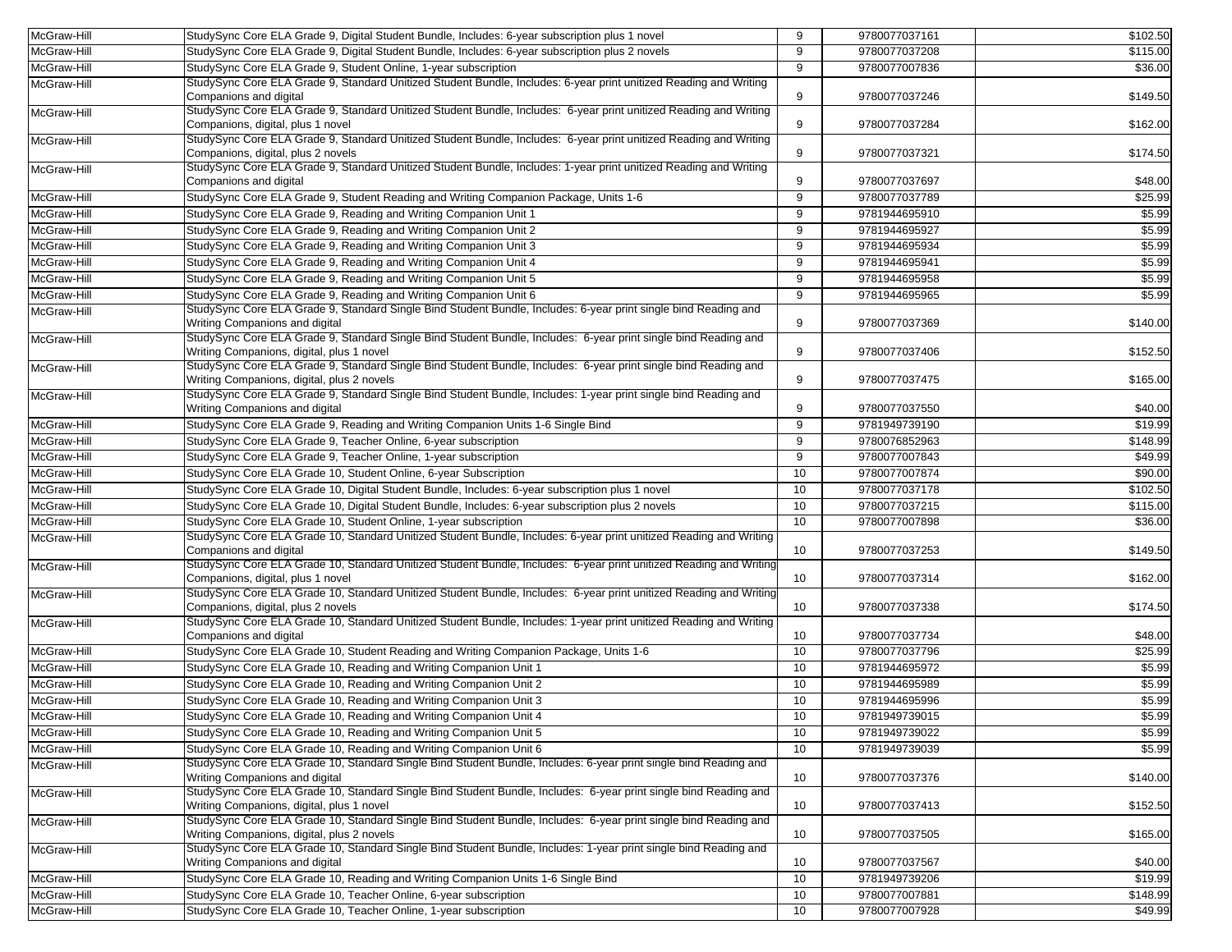| McGraw-Hill | StudySync Core ELA Grade 9, Digital Student Bundle, Includes: 6-year subscription plus 1 novel                                                                 | 9  | 9780077037161 | \$102.50 |
|-------------|----------------------------------------------------------------------------------------------------------------------------------------------------------------|----|---------------|----------|
| McGraw-Hill | StudySync Core ELA Grade 9, Digital Student Bundle, Includes: 6-year subscription plus 2 novels                                                                | 9  | 9780077037208 | \$115.00 |
| McGraw-Hill | StudySync Core ELA Grade 9, Student Online, 1-year subscription                                                                                                | 9  | 9780077007836 | \$36.00  |
| McGraw-Hill | StudySync Core ELA Grade 9, Standard Unitized Student Bundle, Includes: 6-year print unitized Reading and Writing                                              |    |               |          |
|             | Companions and digital                                                                                                                                         | 9  | 9780077037246 | \$149.50 |
| McGraw-Hill | StudySync Core ELA Grade 9, Standard Unitized Student Bundle, Includes: 6-year print unitized Reading and Writing<br>Companions, digital, plus 1 novel         | 9  | 9780077037284 | \$162.00 |
| McGraw-Hill | StudySync Core ELA Grade 9, Standard Unitized Student Bundle, Includes: 6-year print unitized Reading and Writing<br>Companions, digital, plus 2 novels        | 9  | 9780077037321 | \$174.50 |
| McGraw-Hill | StudySync Core ELA Grade 9, Standard Unitized Student Bundle, Includes: 1-year print unitized Reading and Writing<br>Companions and digital                    | 9  | 9780077037697 | \$48.00  |
| McGraw-Hill | StudySync Core ELA Grade 9, Student Reading and Writing Companion Package, Units 1-6                                                                           | 9  | 9780077037789 | \$25.99  |
| McGraw-Hill | StudySync Core ELA Grade 9, Reading and Writing Companion Unit 1                                                                                               | 9  | 9781944695910 | \$5.99   |
| McGraw-Hill | StudySync Core ELA Grade 9, Reading and Writing Companion Unit 2                                                                                               | 9  | 9781944695927 | \$5.99   |
| McGraw-Hill | StudySync Core ELA Grade 9, Reading and Writing Companion Unit 3                                                                                               | 9  | 9781944695934 | \$5.99   |
| McGraw-Hill | StudySync Core ELA Grade 9, Reading and Writing Companion Unit 4                                                                                               | 9  | 9781944695941 | \$5.99   |
| McGraw-Hill | StudySync Core ELA Grade 9, Reading and Writing Companion Unit 5                                                                                               | 9  | 9781944695958 | \$5.99   |
| McGraw-Hill | StudySync Core ELA Grade 9, Reading and Writing Companion Unit 6                                                                                               | 9  | 9781944695965 | \$5.99   |
| McGraw-Hill | StudySync Core ELA Grade 9, Standard Single Bind Student Bundle, Includes: 6-year print single bind Reading and                                                |    |               |          |
|             | Writing Companions and digital                                                                                                                                 | 9  | 9780077037369 | \$140.00 |
| McGraw-Hill | StudySync Core ELA Grade 9, Standard Single Bind Student Bundle, Includes: 6-year print single bind Reading and<br>Writing Companions, digital, plus 1 novel   | 9  | 9780077037406 | \$152.50 |
| McGraw-Hill | StudySync Core ELA Grade 9, Standard Single Bind Student Bundle, Includes: 6-year print single bind Reading and<br>Writing Companions, digital, plus 2 novels  | 9  | 9780077037475 | \$165.00 |
| McGraw-Hill | StudySync Core ELA Grade 9, Standard Single Bind Student Bundle, Includes: 1-year print single bind Reading and                                                |    |               |          |
|             | Writing Companions and digital                                                                                                                                 | 9  | 9780077037550 | \$40.00  |
| McGraw-Hill | StudySync Core ELA Grade 9, Reading and Writing Companion Units 1-6 Single Bind                                                                                | 9  | 9781949739190 | \$19.99  |
| McGraw-Hill | StudySync Core ELA Grade 9, Teacher Online, 6-year subscription                                                                                                | 9  | 9780076852963 | \$148.99 |
| McGraw-Hill | StudySync Core ELA Grade 9, Teacher Online, 1-year subscription                                                                                                | 9  | 9780077007843 | \$49.99  |
| McGraw-Hill | StudySync Core ELA Grade 10, Student Online, 6-year Subscription                                                                                               | 10 | 9780077007874 | \$90.00  |
| McGraw-Hill | StudySync Core ELA Grade 10, Digital Student Bundle, Includes: 6-year subscription plus 1 novel                                                                | 10 | 9780077037178 | \$102.50 |
| McGraw-Hill | StudySync Core ELA Grade 10, Digital Student Bundle, Includes: 6-year subscription plus 2 novels                                                               | 10 | 9780077037215 | \$115.00 |
| McGraw-Hill | StudySync Core ELA Grade 10, Student Online, 1-year subscription                                                                                               | 10 | 9780077007898 | \$36.00  |
| McGraw-Hill | StudySync Core ELA Grade 10, Standard Unitized Student Bundle, Includes: 6-year print unitized Reading and Writing<br>Companions and digital                   | 10 | 9780077037253 | \$149.50 |
| McGraw-Hill | StudySync Core ELA Grade 10, Standard Unitized Student Bundle, Includes: 6-year print unitized Reading and Writing<br>Companions, digital, plus 1 novel        | 10 | 9780077037314 | \$162.00 |
| McGraw-Hill | StudySync Core ELA Grade 10, Standard Unitized Student Bundle, Includes: 6-year print unitized Reading and Writing<br>Companions, digital, plus 2 novels       | 10 | 9780077037338 | \$174.50 |
| McGraw-Hill | StudySync Core ELA Grade 10, Standard Unitized Student Bundle, Includes: 1-year print unitized Reading and Writing                                             |    |               |          |
|             | Companions and digital                                                                                                                                         | 10 | 9780077037734 | \$48.00  |
| McGraw-Hill | StudySync Core ELA Grade 10, Student Reading and Writing Companion Package, Units 1-6                                                                          | 10 | 9780077037796 | \$25.99  |
| McGraw-Hill | StudySync Core ELA Grade 10, Reading and Writing Companion Unit 1                                                                                              | 10 | 9781944695972 | \$5.99   |
| McGraw-Hill | StudySync Core ELA Grade 10, Reading and Writing Companion Unit 2                                                                                              | 10 | 9781944695989 | \$5.99   |
| McGraw-Hill | StudySync Core ELA Grade 10, Reading and Writing Companion Unit 3                                                                                              | 10 | 9781944695996 | \$5.99   |
| McGraw-Hill | StudySync Core ELA Grade 10, Reading and Writing Companion Unit 4                                                                                              | 10 | 9781949739015 | \$5.99   |
| McGraw-Hill | StudySync Core ELA Grade 10, Reading and Writing Companion Unit 5                                                                                              | 10 | 9781949739022 | \$5.99   |
| McGraw-Hill | StudySync Core ELA Grade 10, Reading and Writing Companion Unit 6                                                                                              | 10 | 9781949739039 | \$5.99   |
| McGraw-Hill | StudySync Core ELA Grade 10, Standard Single Bind Student Bundle, Includes: 6-year print single bind Reading and                                               |    |               |          |
| McGraw-Hill | Writing Companions and digital<br>StudySync Core ELA Grade 10, Standard Single Bind Student Bundle, Includes: 6-year print single bind Reading and             | 10 | 9780077037376 | \$140.00 |
|             | Writing Companions, digital, plus 1 novel                                                                                                                      | 10 | 9780077037413 | \$152.50 |
| McGraw-Hill | StudySync Core ELA Grade 10, Standard Single Bind Student Bundle, Includes: 6-year print single bind Reading and<br>Writing Companions, digital, plus 2 novels | 10 | 9780077037505 | \$165.00 |
| McGraw-Hill | StudySync Core ELA Grade 10, Standard Single Bind Student Bundle, Includes: 1-year print single bind Reading and<br>Writing Companions and digital             | 10 | 9780077037567 | \$40.00  |
| McGraw-Hill | StudySync Core ELA Grade 10, Reading and Writing Companion Units 1-6 Single Bind                                                                               | 10 | 9781949739206 | \$19.99  |
| McGraw-Hill | StudySync Core ELA Grade 10, Teacher Online, 6-year subscription                                                                                               | 10 | 9780077007881 | \$148.99 |
| McGraw-Hill | StudySync Core ELA Grade 10, Teacher Online, 1-year subscription                                                                                               | 10 | 9780077007928 | \$49.99  |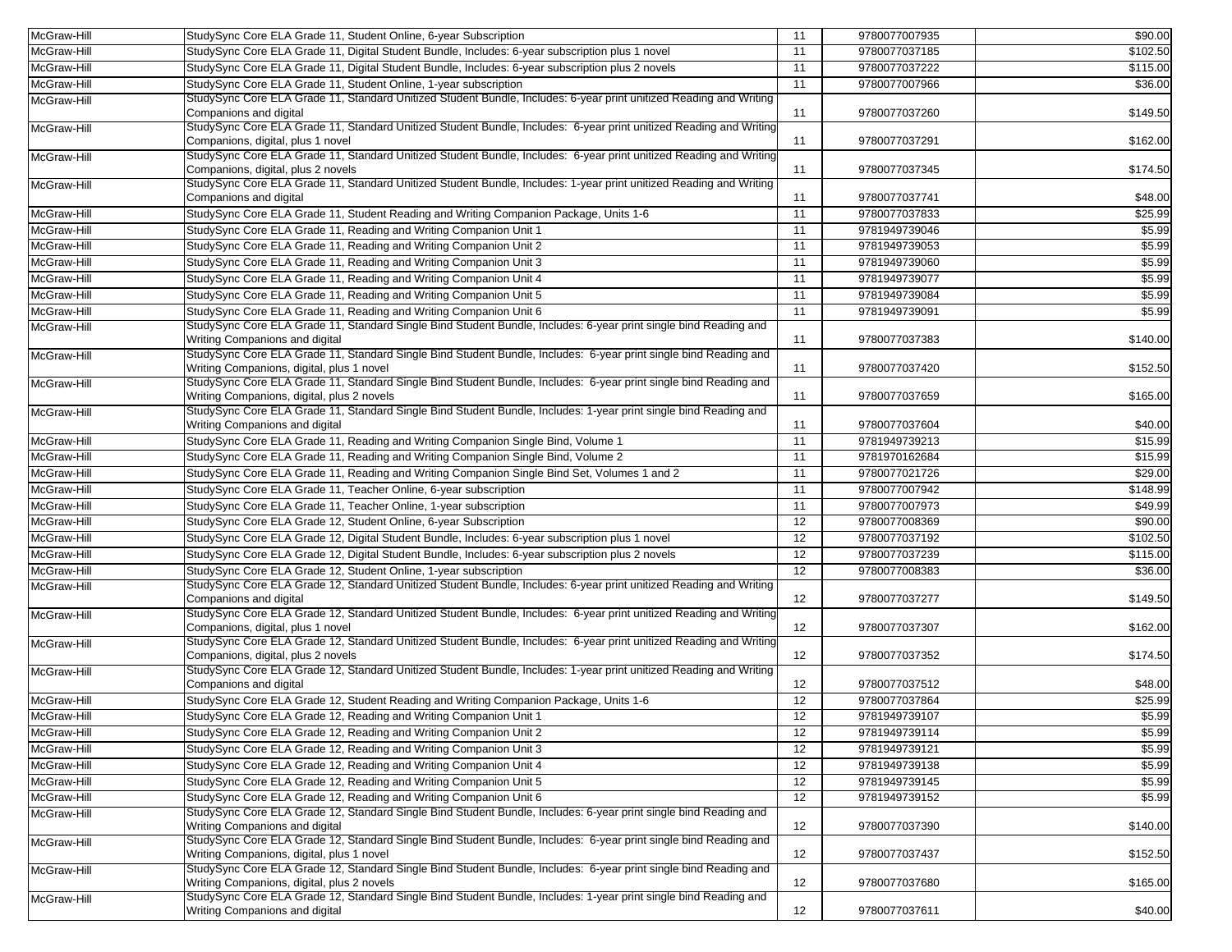| McGraw-Hill | StudySync Core ELA Grade 11, Student Online, 6-year Subscription                                                                                              | 11 | 9780077007935 | \$90.00  |
|-------------|---------------------------------------------------------------------------------------------------------------------------------------------------------------|----|---------------|----------|
| McGraw-Hill | StudySync Core ELA Grade 11, Digital Student Bundle, Includes: 6-year subscription plus 1 novel                                                               | 11 | 9780077037185 | \$102.50 |
| McGraw-Hill | StudySync Core ELA Grade 11, Digital Student Bundle, Includes: 6-year subscription plus 2 novels                                                              | 11 | 9780077037222 | \$115.00 |
| McGraw-Hill | StudySync Core ELA Grade 11, Student Online, 1-year subscription                                                                                              | 11 | 9780077007966 | \$36.00  |
| McGraw-Hill | StudySync Core ELA Grade 11, Standard Unitized Student Bundle, Includes: 6-year print unitized Reading and Writing                                            |    |               |          |
|             | Companions and digital<br>StudySync Core ELA Grade 11, Standard Unitized Student Bundle, Includes: 6-year print unitized Reading and Writing                  | 11 | 9780077037260 | \$149.50 |
| McGraw-Hill | Companions, digital, plus 1 novel                                                                                                                             | 11 | 9780077037291 | \$162.00 |
| McGraw-Hill | StudySync Core ELA Grade 11, Standard Unitized Student Bundle, Includes: 6-year print unitized Reading and Writing                                            |    |               |          |
|             | Companions, digital, plus 2 novels                                                                                                                            | 11 | 9780077037345 | \$174.50 |
| McGraw-Hill | StudySync Core ELA Grade 11, Standard Unitized Student Bundle, Includes: 1-year print unitized Reading and Writing                                            |    |               |          |
|             | Companions and digital                                                                                                                                        | 11 | 9780077037741 | \$48.00  |
| McGraw-Hill | StudySync Core ELA Grade 11, Student Reading and Writing Companion Package, Units 1-6                                                                         | 11 | 9780077037833 | \$25.99  |
| McGraw-Hill | StudySync Core ELA Grade 11, Reading and Writing Companion Unit 1                                                                                             | 11 | 9781949739046 | \$5.99   |
| McGraw-Hill | StudySync Core ELA Grade 11, Reading and Writing Companion Unit 2                                                                                             | 11 | 9781949739053 | \$5.99   |
| McGraw-Hill | StudySync Core ELA Grade 11, Reading and Writing Companion Unit 3                                                                                             | 11 | 9781949739060 | \$5.99   |
| McGraw-Hill | StudySync Core ELA Grade 11, Reading and Writing Companion Unit 4                                                                                             | 11 | 9781949739077 | \$5.99   |
| McGraw-Hill | StudySync Core ELA Grade 11, Reading and Writing Companion Unit 5                                                                                             | 11 | 9781949739084 | \$5.99   |
| McGraw-Hill | StudySync Core ELA Grade 11, Reading and Writing Companion Unit 6                                                                                             | 11 | 9781949739091 | \$5.99   |
| McGraw-Hill | StudySync Core ELA Grade 11, Standard Single Bind Student Bundle, Includes: 6-year print single bind Reading and                                              |    |               |          |
|             | Writing Companions and digital                                                                                                                                | 11 | 9780077037383 | \$140.00 |
| McGraw-Hill | StudySync Core ELA Grade 11, Standard Single Bind Student Bundle, Includes: 6-year print single bind Reading and                                              |    |               |          |
|             | Writing Companions, digital, plus 1 novel                                                                                                                     | 11 | 9780077037420 | \$152.50 |
| McGraw-Hill | StudySync Core ELA Grade 11, Standard Single Bind Student Bundle, Includes: 6-year print single bind Reading and                                              |    |               |          |
|             | Writing Companions, digital, plus 2 novels                                                                                                                    | 11 | 9780077037659 | \$165.00 |
| McGraw-Hill | StudySync Core ELA Grade 11, Standard Single Bind Student Bundle, Includes: 1-year print single bind Reading and                                              |    |               |          |
|             | Writing Companions and digital                                                                                                                                | 11 | 9780077037604 | \$40.00  |
| McGraw-Hill | StudySync Core ELA Grade 11, Reading and Writing Companion Single Bind, Volume 1                                                                              | 11 | 9781949739213 | \$15.99  |
| McGraw-Hill | StudySync Core ELA Grade 11, Reading and Writing Companion Single Bind, Volume 2                                                                              | 11 | 9781970162684 | \$15.99  |
| McGraw-Hill | StudySync Core ELA Grade 11, Reading and Writing Companion Single Bind Set, Volumes 1 and 2                                                                   | 11 | 9780077021726 | \$29.00  |
| McGraw-Hill | StudySync Core ELA Grade 11, Teacher Online, 6-year subscription                                                                                              | 11 | 9780077007942 | \$148.99 |
| McGraw-Hill | StudySync Core ELA Grade 11, Teacher Online, 1-year subscription                                                                                              | 11 | 9780077007973 | \$49.99  |
| McGraw-Hill | StudySync Core ELA Grade 12, Student Online, 6-year Subscription                                                                                              | 12 | 9780077008369 | \$90.00  |
| McGraw-Hill | StudySync Core ELA Grade 12, Digital Student Bundle, Includes: 6-year subscription plus 1 novel                                                               | 12 | 9780077037192 | \$102.50 |
| McGraw-Hill | StudySync Core ELA Grade 12, Digital Student Bundle, Includes: 6-year subscription plus 2 novels                                                              | 12 | 9780077037239 | \$115.00 |
| McGraw-Hill | StudySync Core ELA Grade 12, Student Online, 1-year subscription                                                                                              | 12 | 9780077008383 | \$36.00  |
| McGraw-Hill | StudySync Core ELA Grade 12, Standard Unitized Student Bundle, Includes: 6-year print unitized Reading and Writing                                            |    |               |          |
|             | Companions and digital                                                                                                                                        | 12 | 9780077037277 | \$149.50 |
| McGraw-Hill | StudySync Core ELA Grade 12, Standard Unitized Student Bundle, Includes: 6-year print unitized Reading and Writing                                            |    |               |          |
|             | Companions, digital, plus 1 novel                                                                                                                             | 12 | 9780077037307 | \$162.00 |
| McGraw-Hill | StudySync Core ELA Grade 12, Standard Unitized Student Bundle, Includes: 6-year print unitized Reading and Writing                                            |    |               |          |
|             | Companions, digital, plus 2 novels                                                                                                                            | 12 | 9780077037352 | \$174.50 |
| McGraw-Hill | StudySync Core ELA Grade 12, Standard Unitized Student Bundle, Includes: 1-year print unitized Reading and Writing                                            |    |               |          |
|             | Companions and digital                                                                                                                                        | 12 | 9780077037512 | \$48.00  |
| McGraw-Hill | StudySync Core ELA Grade 12, Student Reading and Writing Companion Package, Units 1-6                                                                         | 12 | 9780077037864 | \$25.99  |
| McGraw-Hill | StudySync Core ELA Grade 12, Reading and Writing Companion Unit 1                                                                                             | 12 | 9781949739107 | \$5.99   |
| McGraw-Hill | StudySync Core ELA Grade 12, Reading and Writing Companion Unit 2                                                                                             | 12 | 9781949739114 | \$5.99   |
| McGraw-Hill | StudySync Core ELA Grade 12, Reading and Writing Companion Unit 3                                                                                             | 12 | 9781949739121 | \$5.99   |
| McGraw-Hill | StudySync Core ELA Grade 12, Reading and Writing Companion Unit 4                                                                                             | 12 | 9781949739138 | \$5.99   |
| McGraw-Hill | StudySync Core ELA Grade 12, Reading and Writing Companion Unit 5                                                                                             | 12 | 9781949739145 | \$5.99   |
| McGraw-Hill | StudySync Core ELA Grade 12, Reading and Writing Companion Unit 6                                                                                             | 12 | 9781949739152 | \$5.99   |
| McGraw-Hill | StudySync Core ELA Grade 12, Standard Single Bind Student Bundle, Includes: 6-year print single bind Reading and                                              |    |               |          |
|             | Writing Companions and digital                                                                                                                                | 12 | 9780077037390 | \$140.00 |
| McGraw-Hill | StudySync Core ELA Grade 12, Standard Single Bind Student Bundle, Includes: 6-year print single bind Reading and                                              |    |               |          |
| McGraw-Hill | Writing Companions, digital, plus 1 novel<br>StudySync Core ELA Grade 12, Standard Single Bind Student Bundle, Includes: 6-year print single bind Reading and | 12 | 9780077037437 | \$152.50 |
|             | Writing Companions, digital, plus 2 novels                                                                                                                    | 12 | 9780077037680 | \$165.00 |
| McGraw-Hill | StudySync Core ELA Grade 12, Standard Single Bind Student Bundle, Includes: 1-year print single bind Reading and                                              |    |               |          |
|             | Writing Companions and digital                                                                                                                                | 12 | 9780077037611 | \$40.00  |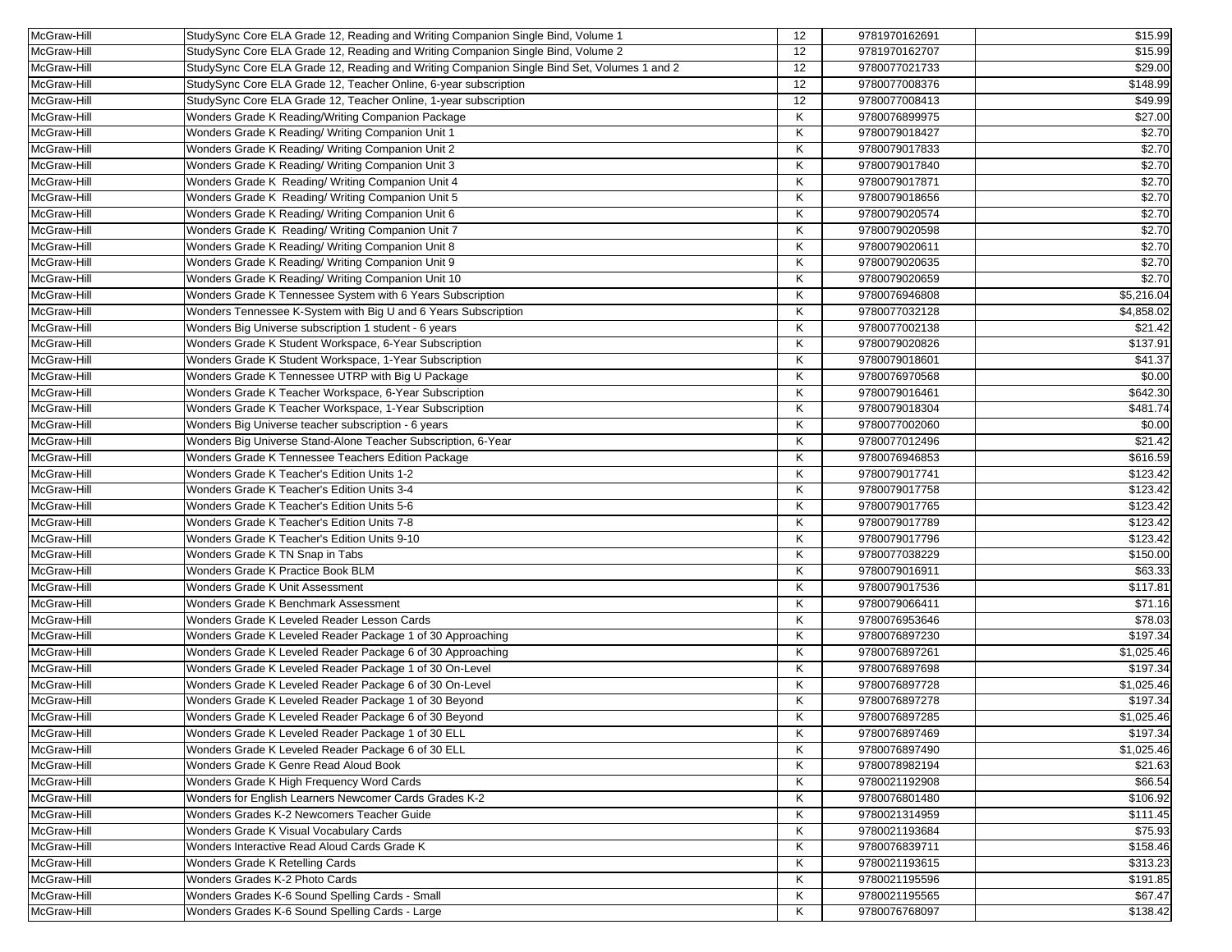| McGraw-Hill | StudySync Core ELA Grade 12, Reading and Writing Companion Single Bind, Volume 1            | 12 | 9781970162691 | \$15.99    |
|-------------|---------------------------------------------------------------------------------------------|----|---------------|------------|
| McGraw-Hill | StudySync Core ELA Grade 12, Reading and Writing Companion Single Bind, Volume 2            | 12 | 9781970162707 | \$15.99    |
| McGraw-Hill | StudySync Core ELA Grade 12, Reading and Writing Companion Single Bind Set, Volumes 1 and 2 | 12 | 9780077021733 | \$29.00    |
|             | StudySync Core ELA Grade 12, Teacher Online, 6-year subscription                            | 12 | 9780077008376 | \$148.99   |
| McGraw-Hill |                                                                                             | 12 |               | \$49.99    |
| McGraw-Hill | StudySync Core ELA Grade 12, Teacher Online, 1-year subscription                            |    | 9780077008413 |            |
| McGraw-Hill | Wonders Grade K Reading/Writing Companion Package                                           | Κ  | 9780076899975 | \$27.00    |
| McGraw-Hill | Wonders Grade K Reading/ Writing Companion Unit 1                                           | Κ  | 9780079018427 | \$2.70     |
| McGraw-Hill | Wonders Grade K Reading/ Writing Companion Unit 2                                           | Κ  | 9780079017833 | \$2.70     |
| McGraw-Hill | Wonders Grade K Reading/ Writing Companion Unit 3                                           | Κ  | 9780079017840 | \$2.70     |
| McGraw-Hill | Wonders Grade K Reading/ Writing Companion Unit 4                                           | Κ  | 9780079017871 | \$2.70     |
| McGraw-Hill | Wonders Grade K Reading/ Writing Companion Unit 5                                           | Κ  | 9780079018656 | \$2.70     |
| McGraw-Hill | Wonders Grade K Reading/ Writing Companion Unit 6                                           | Κ  | 9780079020574 | \$2.70     |
| McGraw-Hill | Wonders Grade K Reading/ Writing Companion Unit 7                                           | Κ  | 9780079020598 | \$2.70     |
| McGraw-Hill | Wonders Grade K Reading/ Writing Companion Unit 8                                           | Κ  | 9780079020611 | \$2.70     |
| McGraw-Hill | Wonders Grade K Reading/ Writing Companion Unit 9                                           | Κ  | 9780079020635 | \$2.70     |
| McGraw-Hill | Wonders Grade K Reading/ Writing Companion Unit 10                                          | Κ  | 9780079020659 | \$2.70     |
| McGraw-Hill | Wonders Grade K Tennessee System with 6 Years Subscription                                  | Κ  | 9780076946808 | \$5,216.04 |
| McGraw-Hill | Wonders Tennessee K-System with Big U and 6 Years Subscription                              | Κ  | 9780077032128 | \$4,858.02 |
| McGraw-Hill | Wonders Big Universe subscription 1 student - 6 years                                       | Κ  | 9780077002138 | \$21.42    |
| McGraw-Hill | Wonders Grade K Student Workspace, 6-Year Subscription                                      | Κ  | 9780079020826 | \$137.91   |
| McGraw-Hill | Wonders Grade K Student Workspace, 1-Year Subscription                                      | Κ  | 9780079018601 | \$41.37    |
| McGraw-Hill | Wonders Grade K Tennessee UTRP with Big U Package                                           | Κ  | 9780076970568 | \$0.00     |
| McGraw-Hill | Wonders Grade K Teacher Workspace, 6-Year Subscription                                      | Κ  | 9780079016461 | \$642.30   |
| McGraw-Hill | Wonders Grade K Teacher Workspace, 1-Year Subscription                                      | Κ  | 9780079018304 | \$481.74   |
| McGraw-Hill | Wonders Big Universe teacher subscription - 6 years                                         | Κ  | 9780077002060 | \$0.00     |
| McGraw-Hill | Wonders Big Universe Stand-Alone Teacher Subscription, 6-Year                               | Κ  | 9780077012496 | \$21.42    |
| McGraw-Hill | Wonders Grade K Tennessee Teachers Edition Package                                          | Κ  | 9780076946853 | \$616.59   |
| McGraw-Hill | Wonders Grade K Teacher's Edition Units 1-2                                                 | Κ  | 9780079017741 | \$123.42   |
| McGraw-Hill | Wonders Grade K Teacher's Edition Units 3-4                                                 | Κ  | 9780079017758 | \$123.42   |
| McGraw-Hill | Wonders Grade K Teacher's Edition Units 5-6                                                 | Κ  | 9780079017765 | \$123.42   |
| McGraw-Hill | Wonders Grade K Teacher's Edition Units 7-8                                                 | Κ  | 9780079017789 | \$123.42   |
| McGraw-Hill | Wonders Grade K Teacher's Edition Units 9-10                                                | Κ  | 9780079017796 | \$123.42   |
| McGraw-Hill | Wonders Grade K TN Snap in Tabs                                                             | Κ  | 9780077038229 | \$150.00   |
| McGraw-Hill | Wonders Grade K Practice Book BLM                                                           | Κ  | 9780079016911 | \$63.33    |
| McGraw-Hill | Wonders Grade K Unit Assessment                                                             | Κ  | 9780079017536 | \$117.81   |
| McGraw-Hill | Wonders Grade K Benchmark Assessment                                                        | Κ  | 9780079066411 | \$71.16    |
| McGraw-Hill | Wonders Grade K Leveled Reader Lesson Cards                                                 | Κ  | 9780076953646 | \$78.03    |
| McGraw-Hill | Wonders Grade K Leveled Reader Package 1 of 30 Approaching                                  | Κ  | 9780076897230 | \$197.34   |
| McGraw-Hill | Wonders Grade K Leveled Reader Package 6 of 30 Approaching                                  | Κ  | 9780076897261 | \$1,025.46 |
| McGraw-Hill | Wonders Grade K Leveled Reader Package 1 of 30 On-Level                                     | Κ  | 9780076897698 | \$197.34   |
| McGraw-Hill | Wonders Grade K Leveled Reader Package 6 of 30 On-Level                                     | Κ  | 9780076897728 | \$1,025.46 |
| McGraw-Hill | Wonders Grade K Leveled Reader Package 1 of 30 Beyond                                       | Κ  | 9780076897278 | \$197.34   |
| McGraw-Hill | Wonders Grade K Leveled Reader Package 6 of 30 Beyond                                       | K  | 9780076897285 | \$1,025.46 |
| McGraw-Hill | Wonders Grade K Leveled Reader Package 1 of 30 ELL                                          | Κ  | 9780076897469 | \$197.34   |
| McGraw-Hill | Wonders Grade K Leveled Reader Package 6 of 30 ELL                                          | Κ  | 9780076897490 | \$1,025.46 |
| McGraw-Hill | Wonders Grade K Genre Read Aloud Book                                                       | Κ  | 9780078982194 | \$21.63    |
| McGraw-Hill | Wonders Grade K High Frequency Word Cards                                                   | Κ  | 9780021192908 | \$66.54    |
| McGraw-Hill | Wonders for English Learners Newcomer Cards Grades K-2                                      | Κ  | 9780076801480 | \$106.92   |
| McGraw-Hill | Wonders Grades K-2 Newcomers Teacher Guide                                                  | Κ  | 9780021314959 | \$111.45   |
| McGraw-Hill | Wonders Grade K Visual Vocabulary Cards                                                     | Κ  | 9780021193684 | \$75.93    |
| McGraw-Hill | Wonders Interactive Read Aloud Cards Grade K                                                | Κ  | 9780076839711 | \$158.46   |
| McGraw-Hill | Wonders Grade K Retelling Cards                                                             | Κ  | 9780021193615 | \$313.23   |
| McGraw-Hill | Wonders Grades K-2 Photo Cards                                                              | Κ  | 9780021195596 | \$191.85   |
| McGraw-Hill | Wonders Grades K-6 Sound Spelling Cards - Small                                             | Κ  | 9780021195565 | \$67.47    |
| McGraw-Hill | Wonders Grades K-6 Sound Spelling Cards - Large                                             | Κ  | 9780076768097 | \$138.42   |
|             |                                                                                             |    |               |            |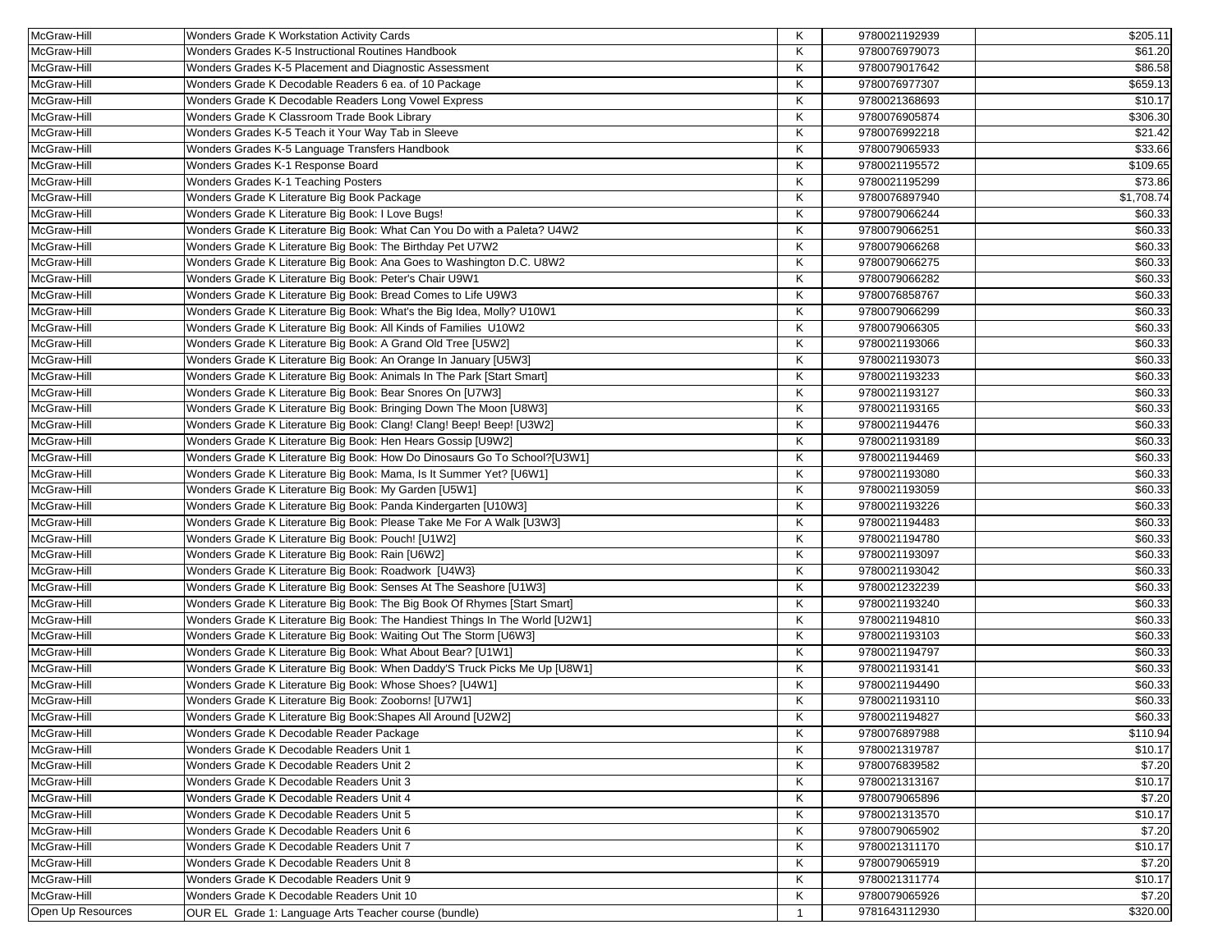| McGraw-Hill       | Wonders Grade K Workstation Activity Cards                                   | Κ            | 9780021192939 | \$205.11   |
|-------------------|------------------------------------------------------------------------------|--------------|---------------|------------|
| McGraw-Hill       | Wonders Grades K-5 Instructional Routines Handbook                           | Κ            | 9780076979073 | \$61.20    |
| McGraw-Hill       | Wonders Grades K-5 Placement and Diagnostic Assessment                       | Κ            | 9780079017642 | \$86.58    |
| McGraw-Hill       | Wonders Grade K Decodable Readers 6 ea. of 10 Package                        | Κ            | 9780076977307 | \$659.13   |
| McGraw-Hill       | Wonders Grade K Decodable Readers Long Vowel Express                         | Κ            | 9780021368693 | \$10.17    |
| McGraw-Hill       | Wonders Grade K Classroom Trade Book Library                                 | Κ            | 9780076905874 | \$306.30   |
| McGraw-Hill       | Wonders Grades K-5 Teach it Your Way Tab in Sleeve                           | Κ            | 9780076992218 | \$21.42    |
| McGraw-Hill       | Wonders Grades K-5 Language Transfers Handbook                               | Κ            | 9780079065933 | \$33.66    |
| McGraw-Hill       | Wonders Grades K-1 Response Board                                            | Κ            | 9780021195572 | \$109.65   |
| McGraw-Hill       | Wonders Grades K-1 Teaching Posters                                          | Κ            | 9780021195299 | \$73.86    |
| McGraw-Hill       | Wonders Grade K Literature Big Book Package                                  | Κ            | 9780076897940 | \$1,708.74 |
| McGraw-Hill       | Wonders Grade K Literature Big Book: I Love Bugs!                            | Κ            | 9780079066244 | \$60.33    |
| McGraw-Hill       | Wonders Grade K Literature Big Book: What Can You Do with a Paleta? U4W2     | Κ            | 9780079066251 | \$60.33    |
| McGraw-Hill       | Wonders Grade K Literature Big Book: The Birthday Pet U7W2                   | Κ            | 9780079066268 | \$60.33    |
| McGraw-Hill       | Wonders Grade K Literature Big Book: Ana Goes to Washington D.C. U8W2        | Κ            | 9780079066275 | \$60.33    |
| McGraw-Hill       | Wonders Grade K Literature Big Book: Peter's Chair U9W1                      | Κ            | 9780079066282 | \$60.33    |
| McGraw-Hill       | Wonders Grade K Literature Big Book: Bread Comes to Life U9W3                | Κ            | 9780076858767 | \$60.33    |
| McGraw-Hill       | Wonders Grade K Literature Big Book: What's the Big Idea, Molly? U10W1       | Κ            | 9780079066299 | \$60.33    |
| McGraw-Hill       | Wonders Grade K Literature Big Book: All Kinds of Families U10W2             | Κ            | 9780079066305 | \$60.33    |
| McGraw-Hill       | Wonders Grade K Literature Big Book: A Grand Old Tree [U5W2]                 | Κ            | 9780021193066 | \$60.33    |
| McGraw-Hill       | Wonders Grade K Literature Big Book: An Orange In January [U5W3]             | Κ            | 9780021193073 | \$60.33    |
| McGraw-Hill       | Wonders Grade K Literature Big Book: Animals In The Park [Start Smart]       | Κ            | 9780021193233 | \$60.33    |
| McGraw-Hill       | Wonders Grade K Literature Big Book: Bear Snores On [U7W3]                   | Κ            | 9780021193127 | \$60.33    |
| McGraw-Hill       | Wonders Grade K Literature Big Book: Bringing Down The Moon [U8W3]           | Κ            | 9780021193165 | \$60.33    |
| McGraw-Hill       | Wonders Grade K Literature Big Book: Clang! Clang! Beep! Beep! [U3W2]        | Κ            | 9780021194476 | \$60.33    |
| McGraw-Hill       | Wonders Grade K Literature Big Book: Hen Hears Gossip [U9W2]                 | Κ            | 9780021193189 | \$60.33    |
| McGraw-Hill       | Wonders Grade K Literature Big Book: How Do Dinosaurs Go To School?[U3W1]    | Κ            | 9780021194469 | \$60.33    |
| McGraw-Hill       | Wonders Grade K Literature Big Book: Mama, Is It Summer Yet? [U6W1]          | Κ            | 9780021193080 | \$60.33    |
| McGraw-Hill       | Wonders Grade K Literature Big Book: My Garden [U5W1]                        | Κ            | 9780021193059 | \$60.33    |
| McGraw-Hill       | Wonders Grade K Literature Big Book: Panda Kindergarten [U10W3]              | Κ            | 9780021193226 | \$60.33    |
| McGraw-Hill       | Wonders Grade K Literature Big Book: Please Take Me For A Walk [U3W3]        | Κ            | 9780021194483 | \$60.33    |
| McGraw-Hill       | Wonders Grade K Literature Big Book: Pouch! [U1W2]                           | Κ            | 9780021194780 | \$60.33    |
| McGraw-Hill       | Wonders Grade K Literature Big Book: Rain [U6W2]                             | Κ            | 9780021193097 | \$60.33    |
| McGraw-Hill       | Wonders Grade K Literature Big Book: Roadwork [U4W3]                         | Κ            | 9780021193042 | \$60.33    |
| McGraw-Hill       | Wonders Grade K Literature Big Book: Senses At The Seashore [U1W3]           | Κ            | 9780021232239 | \$60.33    |
| McGraw-Hill       | Wonders Grade K Literature Big Book: The Big Book Of Rhymes [Start Smart]    | Κ            | 9780021193240 | \$60.33    |
| McGraw-Hill       | Wonders Grade K Literature Big Book: The Handiest Things In The World [U2W1] | Κ            | 9780021194810 | \$60.33    |
| McGraw-Hill       | Wonders Grade K Literature Big Book: Waiting Out The Storm [U6W3]            | Κ            | 9780021193103 | \$60.33    |
| McGraw-Hill       | Wonders Grade K Literature Big Book: What About Bear? [U1W1]                 | Κ            | 9780021194797 | \$60.33    |
| McGraw-Hill       | Wonders Grade K Literature Big Book: When Daddy'S Truck Picks Me Up [U8W1]   | Κ            | 9780021193141 | \$60.33    |
| McGraw-Hill       | Wonders Grade K Literature Big Book: Whose Shoes? [U4W1]                     | Κ            | 9780021194490 | \$60.33    |
| McGraw-Hill       | Wonders Grade K Literature Big Book: Zooborns! [U7W1]                        | Κ            | 9780021193110 | \$60.33    |
| McGraw-Hill       | Wonders Grade K Literature Big Book: Shapes All Around [U2W2]                | Κ            | 9780021194827 | \$60.33    |
| McGraw-Hill       | Wonders Grade K Decodable Reader Package                                     | Κ            | 9780076897988 | \$110.94   |
| McGraw-Hill       | Wonders Grade K Decodable Readers Unit 1                                     | Κ            | 9780021319787 | \$10.17    |
| McGraw-Hill       | Wonders Grade K Decodable Readers Unit 2                                     | Κ            | 9780076839582 | \$7.20     |
| McGraw-Hill       | Wonders Grade K Decodable Readers Unit 3                                     | Κ            | 9780021313167 | \$10.17    |
| McGraw-Hill       | Wonders Grade K Decodable Readers Unit 4                                     | Κ            | 9780079065896 | \$7.20     |
| McGraw-Hill       | Wonders Grade K Decodable Readers Unit 5                                     | Κ            | 9780021313570 | \$10.17    |
| McGraw-Hill       | Wonders Grade K Decodable Readers Unit 6                                     | Κ            | 9780079065902 | \$7.20     |
| McGraw-Hill       | Wonders Grade K Decodable Readers Unit 7                                     | Κ            | 9780021311170 | \$10.17    |
| McGraw-Hill       | Wonders Grade K Decodable Readers Unit 8                                     | Κ            | 9780079065919 | \$7.20     |
| McGraw-Hill       | Wonders Grade K Decodable Readers Unit 9                                     | Κ            | 9780021311774 | \$10.17    |
| McGraw-Hill       | Wonders Grade K Decodable Readers Unit 10                                    | Κ            | 9780079065926 | \$7.20     |
| Open Up Resources | OUR EL Grade 1: Language Arts Teacher course (bundle)                        | $\mathbf{1}$ | 9781643112930 | \$320.00   |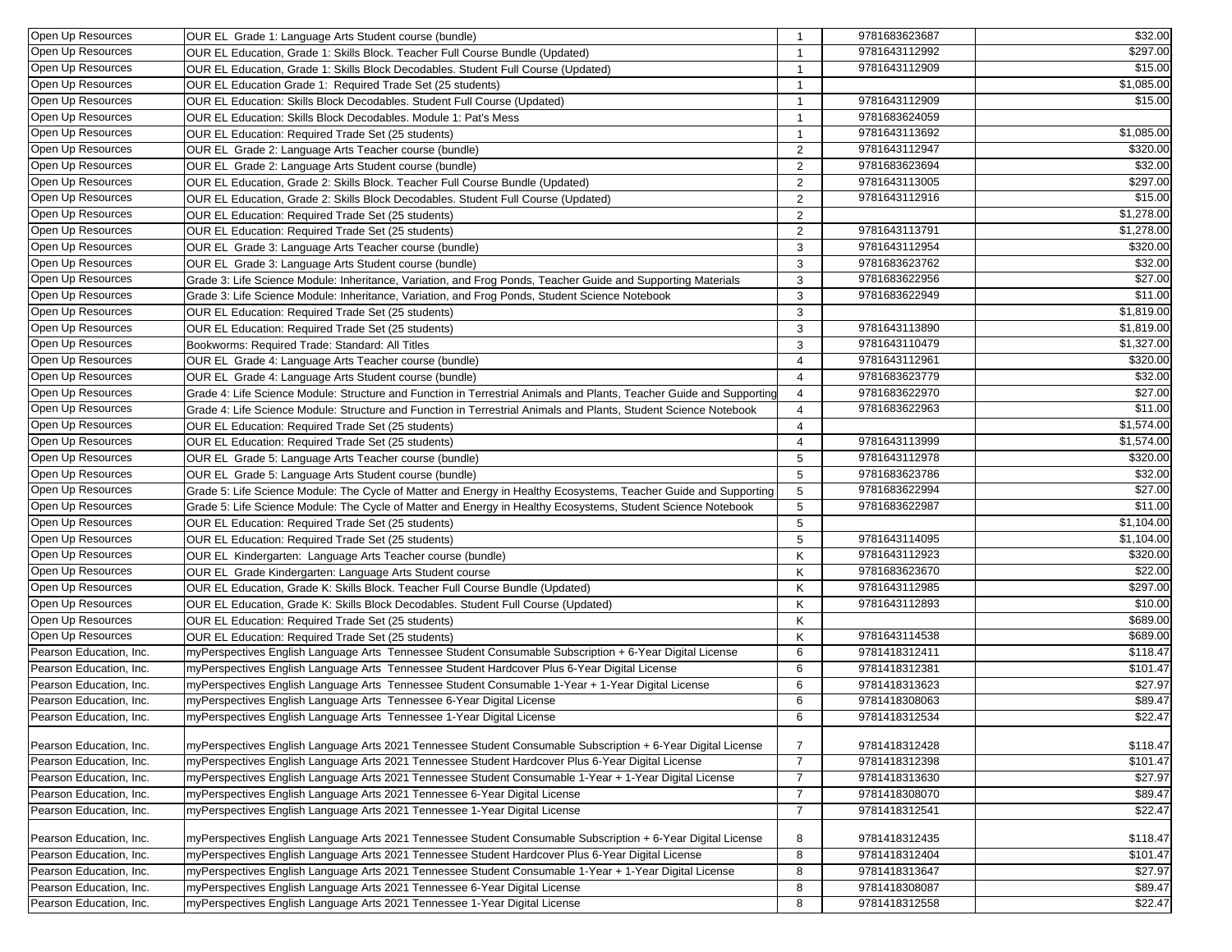| Open Up Resources       | OUR EL Grade 1: Language Arts Student course (bundle)                                                                | $\overline{1}$  | 9781683623687 | \$32.00                |
|-------------------------|----------------------------------------------------------------------------------------------------------------------|-----------------|---------------|------------------------|
| Open Up Resources       | OUR EL Education, Grade 1: Skills Block. Teacher Full Course Bundle (Updated)                                        | $\overline{1}$  | 9781643112992 | \$297.00               |
| Open Up Resources       | OUR EL Education, Grade 1: Skills Block Decodables. Student Full Course (Updated)                                    | -1              | 9781643112909 | \$15.00                |
| Open Up Resources       | OUR EL Education Grade 1: Required Trade Set (25 students)                                                           | $\mathbf{1}$    |               | \$1,085.00             |
| Open Up Resources       | OUR EL Education: Skills Block Decodables. Student Full Course (Updated)                                             | $\overline{1}$  | 9781643112909 | \$15.00                |
| Open Up Resources       | OUR EL Education: Skills Block Decodables. Module 1: Pat's Mess                                                      | $\overline{1}$  | 9781683624059 |                        |
| Open Up Resources       | OUR EL Education: Required Trade Set (25 students)                                                                   | $\overline{1}$  | 9781643113692 | \$1,085.00             |
| Open Up Resources       | OUR EL Grade 2: Language Arts Teacher course (bundle)                                                                | 2               | 9781643112947 | \$320.00               |
| Open Up Resources       | OUR EL Grade 2: Language Arts Student course (bundle)                                                                | 2               | 9781683623694 | \$32.00                |
| Open Up Resources       | OUR EL Education, Grade 2: Skills Block. Teacher Full Course Bundle (Updated)                                        | 2               | 9781643113005 | \$297.00               |
| Open Up Resources       | OUR EL Education, Grade 2: Skills Block Decodables. Student Full Course (Updated)                                    | 2               | 9781643112916 | \$15.00                |
| Open Up Resources       | OUR EL Education: Required Trade Set (25 students)                                                                   | 2               |               | \$1,278.00             |
| Open Up Resources       | OUR EL Education: Required Trade Set (25 students)                                                                   | 2               | 9781643113791 | \$1,278.00             |
| Open Up Resources       | OUR EL Grade 3: Language Arts Teacher course (bundle)                                                                | 3               | 9781643112954 | \$320.00               |
| Open Up Resources       | OUR EL Grade 3: Language Arts Student course (bundle)                                                                | 3               | 9781683623762 | \$32.00                |
| Open Up Resources       | Grade 3: Life Science Module: Inheritance, Variation, and Frog Ponds, Teacher Guide and Supporting Materials         | 3               | 9781683622956 | \$27.00                |
| Open Up Resources       | Grade 3: Life Science Module: Inheritance, Variation, and Frog Ponds, Student Science Notebook                       | 3               | 9781683622949 | \$11.00                |
| Open Up Resources       | OUR EL Education: Required Trade Set (25 students)                                                                   | 3               |               | \$1,819.00             |
| Open Up Resources       | OUR EL Education: Required Trade Set (25 students)                                                                   | 3               | 9781643113890 | \$1,819.00             |
| Open Up Resources       |                                                                                                                      |                 | 9781643110479 | \$1,327.00             |
| Open Up Resources       | Bookworms: Required Trade: Standard: All Titles                                                                      | 3               | 9781643112961 | \$320.00               |
|                         | OUR EL Grade 4: Language Arts Teacher course (bundle)                                                                | $\overline{4}$  |               |                        |
| Open Up Resources       | OUR EL Grade 4: Language Arts Student course (bundle)                                                                | $\overline{4}$  | 9781683623779 | \$32.00                |
| Open Up Resources       | Grade 4: Life Science Module: Structure and Function in Terrestrial Animals and Plants, Teacher Guide and Supporting | $\overline{4}$  | 9781683622970 | \$27.00                |
| Open Up Resources       | Grade 4: Life Science Module: Structure and Function in Terrestrial Animals and Plants, Student Science Notebook     | 4               | 9781683622963 | \$11.00                |
| Open Up Resources       | OUR EL Education: Required Trade Set (25 students)                                                                   | $\overline{4}$  |               | \$1,574.00             |
| Open Up Resources       | OUR EL Education: Required Trade Set (25 students)                                                                   | $\overline{4}$  | 9781643113999 | \$1,574.00             |
| Open Up Resources       | OUR EL Grade 5: Language Arts Teacher course (bundle)                                                                | 5               | 9781643112978 | \$320.00               |
| Open Up Resources       | OUR EL Grade 5: Language Arts Student course (bundle)                                                                | $\sqrt{5}$      | 9781683623786 | \$32.00                |
| Open Up Resources       | Grade 5: Life Science Module: The Cycle of Matter and Energy in Healthy Ecosystems, Teacher Guide and Supporting     | $5\phantom{.0}$ | 9781683622994 | \$27.00                |
| Open Up Resources       | Grade 5: Life Science Module: The Cycle of Matter and Energy in Healthy Ecosystems, Student Science Notebook         | $5\phantom{.0}$ | 9781683622987 | \$11.00                |
| Open Up Resources       | OUR EL Education: Required Trade Set (25 students)                                                                   | 5               |               | \$1,104.00             |
| Open Up Resources       | OUR EL Education: Required Trade Set (25 students)                                                                   | $5\phantom{.0}$ | 9781643114095 | $\overline{$1,104.00}$ |
| Open Up Resources       | OUR EL Kindergarten: Language Arts Teacher course (bundle)                                                           | K               | 9781643112923 | \$320.00               |
| Open Up Resources       | OUR EL Grade Kindergarten: Language Arts Student course                                                              | Κ               | 9781683623670 | \$22.00                |
| Open Up Resources       | OUR EL Education, Grade K: Skills Block. Teacher Full Course Bundle (Updated)                                        | Κ               | 9781643112985 | \$297.00               |
| Open Up Resources       | OUR EL Education, Grade K: Skills Block Decodables. Student Full Course (Updated)                                    | Κ               | 9781643112893 | \$10.00                |
| Open Up Resources       | OUR EL Education: Required Trade Set (25 students)                                                                   | Κ               |               | \$689.00               |
| Open Up Resources       | OUR EL Education: Required Trade Set (25 students)                                                                   | Κ               | 9781643114538 | \$689.00               |
| Pearson Education, Inc. | myPerspectives English Language Arts Tennessee Student Consumable Subscription + 6-Year Digital License              | 6               | 9781418312411 | \$118.47               |
| Pearson Education, Inc. | myPerspectives English Language Arts Tennessee Student Hardcover Plus 6-Year Digital License                         | 6               | 9781418312381 | \$101.47               |
| Pearson Education, Inc. | myPerspectives English Language Arts Tennessee Student Consumable 1-Year + 1-Year Digital License                    | 6               | 9781418313623 | \$27.97                |
| Pearson Education, Inc. | myPerspectives English Language Arts Tennessee 6-Year Digital License                                                | 6               | 9781418308063 | \$89.47                |
| Pearson Education, Inc. | myPerspectives English Language Arts Tennessee 1-Year Digital License                                                | 6               | 9781418312534 | \$22.47                |
| Pearson Education, Inc. | myPerspectives English Language Arts 2021 Tennessee Student Consumable Subscription + 6-Year Digital License         | $\overline{7}$  | 9781418312428 | \$118.47               |
| Pearson Education, Inc. | myPerspectives English Language Arts 2021 Tennessee Student Hardcover Plus 6-Year Digital License                    | $\overline{7}$  | 9781418312398 | \$101.47               |
| Pearson Education, Inc. | myPerspectives English Language Arts 2021 Tennessee Student Consumable 1-Year + 1-Year Digital License               | $\overline{7}$  | 9781418313630 | \$27.97                |
| Pearson Education, Inc. | myPerspectives English Language Arts 2021 Tennessee 6-Year Digital License                                           | $\overline{7}$  | 9781418308070 | \$89.47                |
| Pearson Education, Inc. | myPerspectives English Language Arts 2021 Tennessee 1-Year Digital License                                           | $\overline{7}$  | 9781418312541 | \$22.47                |
|                         |                                                                                                                      |                 |               |                        |
| Pearson Education, Inc. | myPerspectives English Language Arts 2021 Tennessee Student Consumable Subscription + 6-Year Digital License         | 8               | 9781418312435 | \$118.47               |
| Pearson Education, Inc. | myPerspectives English Language Arts 2021 Tennessee Student Hardcover Plus 6-Year Digital License                    | 8               | 9781418312404 | \$101.47               |
| Pearson Education, Inc. | myPerspectives English Language Arts 2021 Tennessee Student Consumable 1-Year + 1-Year Digital License               | 8               | 9781418313647 | \$27.97                |
| Pearson Education, Inc. | myPerspectives English Language Arts 2021 Tennessee 6-Year Digital License                                           | 8               | 9781418308087 | \$89.47                |
| Pearson Education, Inc. | myPerspectives English Language Arts 2021 Tennessee 1-Year Digital License                                           | 8               | 9781418312558 | \$22.47                |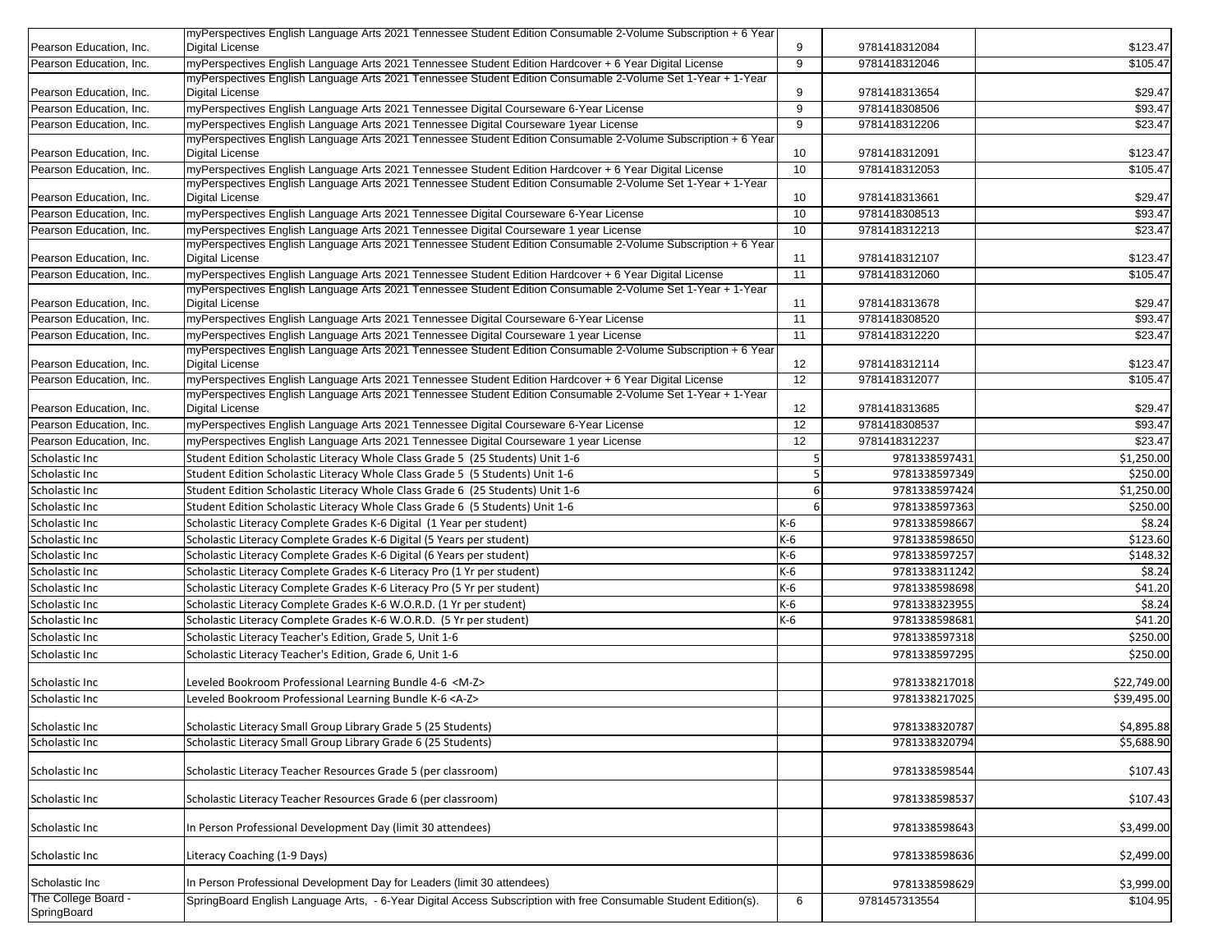|                                    | myPerspectives English Language Arts 2021 Tennessee Student Edition Consumable 2-Volume Subscription + 6 Year                                                                                                         |                 |               |             |
|------------------------------------|-----------------------------------------------------------------------------------------------------------------------------------------------------------------------------------------------------------------------|-----------------|---------------|-------------|
| Pearson Education, Inc.            | <b>Digital License</b>                                                                                                                                                                                                | 9               | 9781418312084 | \$123.47    |
| Pearson Education, Inc.            | myPerspectives English Language Arts 2021 Tennessee Student Edition Hardcover + 6 Year Digital License                                                                                                                | 9               | 9781418312046 | \$105.47    |
|                                    | myPerspectives English Language Arts 2021 Tennessee Student Edition Consumable 2-Volume Set 1-Year + 1-Year                                                                                                           |                 |               |             |
| Pearson Education, Inc.            | <b>Digital License</b>                                                                                                                                                                                                | 9               | 9781418313654 | \$29.47     |
| Pearson Education, Inc.            | myPerspectives English Language Arts 2021 Tennessee Digital Courseware 6-Year License                                                                                                                                 | 9               | 9781418308506 | \$93.47     |
| Pearson Education, Inc.            | myPerspectives English Language Arts 2021 Tennessee Digital Courseware 1year License                                                                                                                                  | 9               | 9781418312206 | \$23.47     |
|                                    | myPerspectives English Language Arts 2021 Tennessee Student Edition Consumable 2-Volume Subscription + 6 Year                                                                                                         |                 |               |             |
| Pearson Education, Inc.            | Digital License                                                                                                                                                                                                       | 10              | 9781418312091 | \$123.47    |
| Pearson Education, Inc.            | myPerspectives English Language Arts 2021 Tennessee Student Edition Hardcover + 6 Year Digital License<br>myPerspectives English Language Arts 2021 Tennessee Student Edition Consumable 2-Volume Set 1-Year + 1-Year | 10              | 9781418312053 | \$105.47    |
| Pearson Education, Inc.            | <b>Digital License</b>                                                                                                                                                                                                | 10              | 9781418313661 | \$29.47     |
| Pearson Education. Inc.            | myPerspectives English Language Arts 2021 Tennessee Digital Courseware 6-Year License                                                                                                                                 | 10              | 9781418308513 | \$93.47     |
| Pearson Education. Inc.            | myPerspectives English Language Arts 2021 Tennessee Digital Courseware 1 year License                                                                                                                                 | 10              | 9781418312213 | \$23.47     |
|                                    | myPerspectives English Language Arts 2021 Tennessee Student Edition Consumable 2-Volume Subscription + 6 Year                                                                                                         |                 |               |             |
| Pearson Education, Inc.            | <b>Digital License</b>                                                                                                                                                                                                | 11              | 9781418312107 | \$123.47    |
| Pearson Education, Inc.            | myPerspectives English Language Arts 2021 Tennessee Student Edition Hardcover + 6 Year Digital License                                                                                                                | 11              | 9781418312060 | \$105.47    |
|                                    | myPerspectives English Language Arts 2021 Tennessee Student Edition Consumable 2-Volume Set 1-Year + 1-Year                                                                                                           |                 |               |             |
| Pearson Education, Inc.            | Digital License                                                                                                                                                                                                       | 11              | 9781418313678 | \$29.47     |
| Pearson Education, Inc.            | myPerspectives English Language Arts 2021 Tennessee Digital Courseware 6-Year License                                                                                                                                 | 11              | 9781418308520 | \$93.47     |
| Pearson Education, Inc.            | myPerspectives English Language Arts 2021 Tennessee Digital Courseware 1 year License                                                                                                                                 | 11              | 9781418312220 | \$23.47     |
|                                    | myPerspectives English Language Arts 2021 Tennessee Student Edition Consumable 2-Volume Subscription + 6 Year                                                                                                         |                 |               |             |
| Pearson Education, Inc.            | Digital License                                                                                                                                                                                                       | 12              | 9781418312114 | \$123.47    |
| Pearson Education, Inc.            | myPerspectives English Language Arts 2021 Tennessee Student Edition Hardcover + 6 Year Digital License<br>myPerspectives English Language Arts 2021 Tennessee Student Edition Consumable 2-Volume Set 1-Year + 1-Year | 12              | 9781418312077 | \$105.47    |
| Pearson Education, Inc.            | Digital License                                                                                                                                                                                                       | 12              | 9781418313685 | \$29.47     |
| Pearson Education, Inc.            | myPerspectives English Language Arts 2021 Tennessee Digital Courseware 6-Year License                                                                                                                                 | $\overline{12}$ | 9781418308537 | \$93.47     |
| Pearson Education, Inc.            | myPerspectives English Language Arts 2021 Tennessee Digital Courseware 1 year License                                                                                                                                 | 12              | 9781418312237 | \$23.47     |
| Scholastic Inc                     | Student Edition Scholastic Literacy Whole Class Grade 5 (25 Students) Unit 1-6                                                                                                                                        | 5               | 9781338597431 | \$1,250.00  |
| Scholastic Inc                     | Student Edition Scholastic Literacy Whole Class Grade 5 (5 Students) Unit 1-6                                                                                                                                         | 5 <sup>1</sup>  | 9781338597349 | \$250.00    |
| Scholastic Inc                     | Student Edition Scholastic Literacy Whole Class Grade 6 (25 Students) Unit 1-6                                                                                                                                        | 6               | 9781338597424 | \$1,250.00  |
| Scholastic Inc                     | Student Edition Scholastic Literacy Whole Class Grade 6 (5 Students) Unit 1-6                                                                                                                                         | 6               | 9781338597363 | \$250.00    |
| Scholastic Inc                     | Scholastic Literacy Complete Grades K-6 Digital (1 Year per student)                                                                                                                                                  | K-6             | 9781338598667 | \$8.24      |
| Scholastic Inc                     | Scholastic Literacy Complete Grades K-6 Digital (5 Years per student)                                                                                                                                                 | K-6             | 9781338598650 | \$123.60    |
| Scholastic Inc                     | Scholastic Literacy Complete Grades K-6 Digital (6 Years per student)                                                                                                                                                 | $K-6$           | 9781338597257 | \$148.32    |
| Scholastic Inc                     | Scholastic Literacy Complete Grades K-6 Literacy Pro (1 Yr per student)                                                                                                                                               | $K-6$           | 9781338311242 | \$8.24      |
| Scholastic Inc                     | Scholastic Literacy Complete Grades K-6 Literacy Pro (5 Yr per student)                                                                                                                                               | $K-6$           | 9781338598698 | \$41.20     |
| Scholastic Inc                     | Scholastic Literacy Complete Grades K-6 W.O.R.D. (1 Yr per student)                                                                                                                                                   | K-6             | 9781338323955 | \$8.24      |
| Scholastic Inc                     | Scholastic Literacy Complete Grades K-6 W.O.R.D. (5 Yr per student)                                                                                                                                                   | K-6             | 9781338598681 | \$41.20     |
| Scholastic Inc                     | Scholastic Literacy Teacher's Edition, Grade 5, Unit 1-6                                                                                                                                                              |                 | 9781338597318 | \$250.00    |
| Scholastic Inc                     | Scholastic Literacy Teacher's Edition, Grade 6, Unit 1-6                                                                                                                                                              |                 | 9781338597295 | \$250.00    |
|                                    |                                                                                                                                                                                                                       |                 |               |             |
| Scholastic Inc                     | Leveled Bookroom Professional Learning Bundle 4-6 <m-z></m-z>                                                                                                                                                         |                 | 9781338217018 | \$22,749.00 |
| Scholastic Inc                     | Leveled Bookroom Professional Learning Bundle K-6 <a-z></a-z>                                                                                                                                                         |                 | 9781338217025 | \$39,495.00 |
|                                    |                                                                                                                                                                                                                       |                 |               |             |
| Scholastic Inc                     | Scholastic Literacy Small Group Library Grade 5 (25 Students)                                                                                                                                                         |                 | 9781338320787 | \$4,895.88  |
| Scholastic Inc                     | Scholastic Literacy Small Group Library Grade 6 (25 Students)                                                                                                                                                         |                 | 9781338320794 | \$5,688.90  |
| Scholastic Inc                     | Scholastic Literacy Teacher Resources Grade 5 (per classroom)                                                                                                                                                         |                 | 9781338598544 | \$107.43    |
| Scholastic Inc                     | Scholastic Literacy Teacher Resources Grade 6 (per classroom)                                                                                                                                                         |                 | 9781338598537 | \$107.43    |
| Scholastic Inc                     | In Person Professional Development Day (limit 30 attendees)                                                                                                                                                           |                 | 9781338598643 | \$3,499.00  |
| Scholastic Inc                     | Literacy Coaching (1-9 Days)                                                                                                                                                                                          |                 | 9781338598636 | \$2,499.00  |
| Scholastic Inc                     | In Person Professional Development Day for Leaders (limit 30 attendees)                                                                                                                                               |                 | 9781338598629 | \$3,999.00  |
| The College Board -<br>SpringBoard | SpringBoard English Language Arts, - 6-Year Digital Access Subscription with free Consumable Student Edition(s).                                                                                                      | 6               | 9781457313554 | \$104.95    |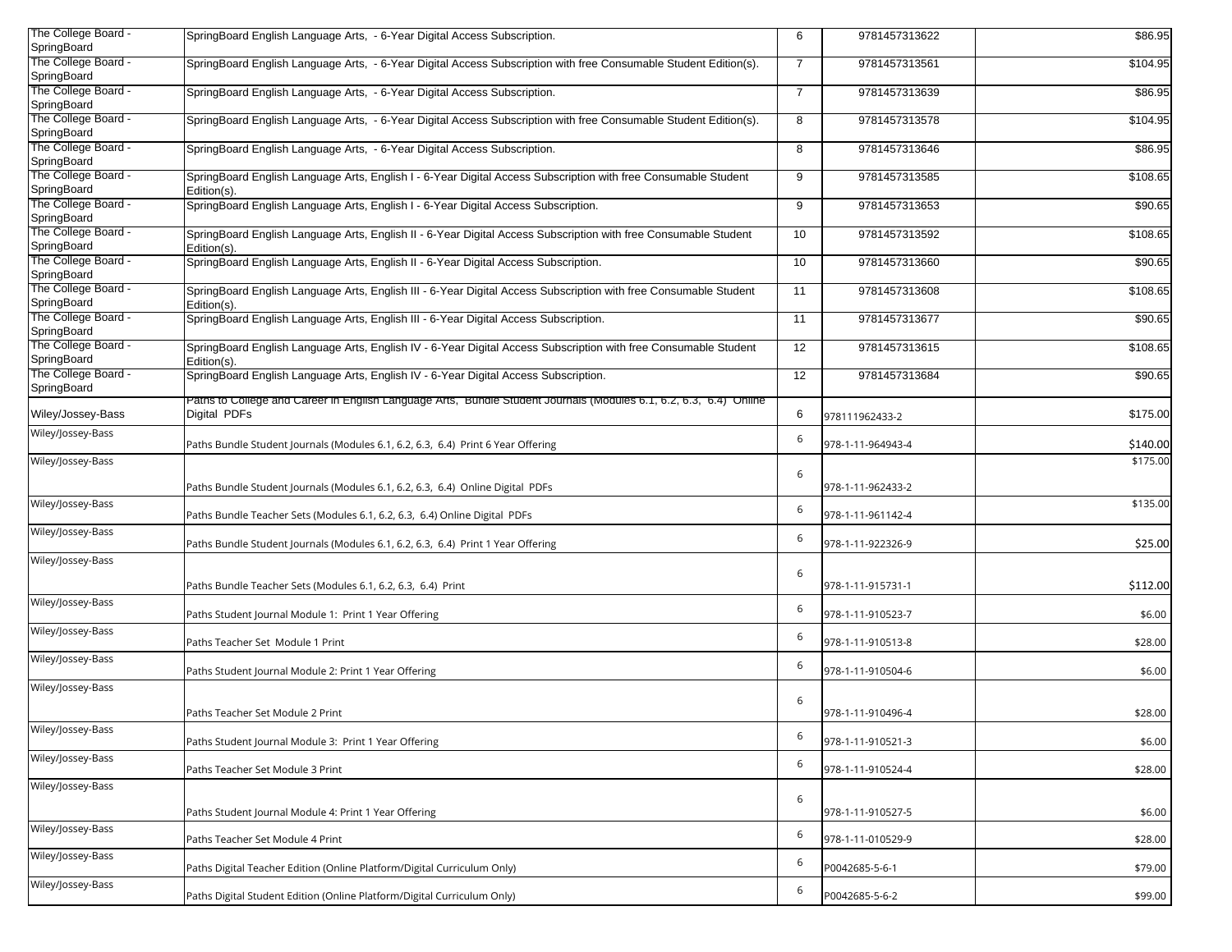| The College Board - |                                                                                                                   |                |                   |          |
|---------------------|-------------------------------------------------------------------------------------------------------------------|----------------|-------------------|----------|
| SpringBoard         | SpringBoard English Language Arts, - 6-Year Digital Access Subscription.                                          | 6              | 9781457313622     | \$86.95  |
| The College Board - | SpringBoard English Language Arts, - 6-Year Digital Access Subscription with free Consumable Student Edition(s).  | $\overline{7}$ | 9781457313561     | \$104.95 |
| SpringBoard         |                                                                                                                   |                |                   |          |
| The College Board - | SpringBoard English Language Arts, - 6-Year Digital Access Subscription.                                          | $\overline{7}$ | 9781457313639     | \$86.95  |
| SpringBoard         |                                                                                                                   |                |                   |          |
| The College Board - |                                                                                                                   |                | 9781457313578     |          |
| SpringBoard         | SpringBoard English Language Arts, - 6-Year Digital Access Subscription with free Consumable Student Edition(s).  | 8              |                   | \$104.95 |
| The College Board - |                                                                                                                   |                |                   |          |
|                     | SpringBoard English Language Arts, - 6-Year Digital Access Subscription.                                          | 8              | 9781457313646     | \$86.95  |
| SpringBoard         |                                                                                                                   |                |                   |          |
| The College Board - | SpringBoard English Language Arts, English I - 6-Year Digital Access Subscription with free Consumable Student    | 9              | 9781457313585     | \$108.65 |
| SpringBoard         | Edition(s).                                                                                                       |                |                   |          |
| The College Board - | SpringBoard English Language Arts, English I - 6-Year Digital Access Subscription.                                | 9              | 9781457313653     | \$90.65  |
| SpringBoard         |                                                                                                                   |                |                   |          |
| The College Board - | SpringBoard English Language Arts, English II - 6-Year Digital Access Subscription with free Consumable Student   | 10             | 9781457313592     | \$108.65 |
| SpringBoard         | Edition(s).                                                                                                       |                |                   |          |
| The College Board - | SpringBoard English Language Arts, English II - 6-Year Digital Access Subscription.                               | 10             | 9781457313660     | \$90.65  |
| SpringBoard         |                                                                                                                   |                |                   |          |
| The College Board - | SpringBoard English Language Arts, English III - 6-Year Digital Access Subscription with free Consumable Student  | 11             | 9781457313608     | \$108.65 |
| SpringBoard         | Edition(s).                                                                                                       |                |                   |          |
| The College Board - |                                                                                                                   |                |                   |          |
|                     | SpringBoard English Language Arts, English III - 6-Year Digital Access Subscription.                              | 11             | 9781457313677     | \$90.65  |
| SpringBoard         |                                                                                                                   |                |                   |          |
| The College Board - | SpringBoard English Language Arts, English IV - 6-Year Digital Access Subscription with free Consumable Student   | 12             | 9781457313615     | \$108.65 |
| SpringBoard         | Edition(s).                                                                                                       |                |                   |          |
| The College Board - | SpringBoard English Language Arts, English IV - 6-Year Digital Access Subscription.                               | 12             | 9781457313684     | \$90.65  |
| SpringBoard         |                                                                                                                   |                |                   |          |
|                     | Paths to College and Career in English Language Arts, Bundle Student Journals (Modules 6.1, 6.2, 6.3, 6.4) Online |                |                   |          |
| Wiley/Jossey-Bass   | Digital PDFs                                                                                                      | 6              | 978111962433-2    | \$175.00 |
| Wiley/Jossey-Bass   |                                                                                                                   |                |                   |          |
|                     | Paths Bundle Student Journals (Modules 6.1, 6.2, 6.3, 6.4) Print 6 Year Offering                                  | 6              | 978-1-11-964943-4 | \$140.00 |
|                     |                                                                                                                   |                |                   | \$175.00 |
| Wiley/Jossey-Bass   |                                                                                                                   | 6              |                   |          |
|                     | Paths Bundle Student Journals (Modules 6.1, 6.2, 6.3, 6.4) Online Digital PDFs                                    |                | 978-1-11-962433-2 |          |
|                     |                                                                                                                   |                |                   |          |
| Wiley/Jossey-Bass   |                                                                                                                   | 6              |                   | \$135.00 |
|                     | Paths Bundle Teacher Sets (Modules 6.1, 6.2, 6.3, 6.4) Online Digital PDFs                                        |                | 978-1-11-961142-4 |          |
| Wiley/Jossey-Bass   |                                                                                                                   | 6              |                   |          |
|                     | Paths Bundle Student Journals (Modules 6.1, 6.2, 6.3, 6.4) Print 1 Year Offering                                  |                | 978-1-11-922326-9 | \$25.00  |
| Wiley/Jossey-Bass   |                                                                                                                   |                |                   |          |
|                     |                                                                                                                   | 6              |                   |          |
|                     | Paths Bundle Teacher Sets (Modules 6.1, 6.2, 6.3, 6.4) Print                                                      |                | 978-1-11-915731-1 | \$112.00 |
| Wiley/Jossey-Bass   |                                                                                                                   |                |                   |          |
|                     | Paths Student Journal Module 1: Print 1 Year Offering                                                             | 6              | 978-1-11-910523-7 | \$6.00   |
| Wiley/Jossey-Bass   |                                                                                                                   |                |                   |          |
|                     | Paths Teacher Set Module 1 Print                                                                                  | 6              | 978-1-11-910513-8 | \$28.00  |
| Wiley/Jossey-Bass   |                                                                                                                   |                |                   |          |
|                     | Paths Student Journal Module 2: Print 1 Year Offering                                                             | 6              | 978-1-11-910504-6 | \$6.00   |
|                     |                                                                                                                   |                |                   |          |
| Wiley/Jossey-Bass   |                                                                                                                   |                |                   |          |
|                     |                                                                                                                   | 6              |                   |          |
|                     | Paths Teacher Set Module 2 Print                                                                                  |                | 978-1-11-910496-4 | \$28.00  |
| Wiley/Jossey-Bass   |                                                                                                                   | 6              |                   |          |
|                     | Paths Student Journal Module 3: Print 1 Year Offering                                                             |                | 978-1-11-910521-3 | \$6.00   |
| Wiley/Jossey-Bass   |                                                                                                                   |                |                   |          |
|                     | Paths Teacher Set Module 3 Print                                                                                  | 6              | 978-1-11-910524-4 | \$28.00  |
| Wiley/Jossey-Bass   |                                                                                                                   |                |                   |          |
|                     |                                                                                                                   | 6              |                   |          |
|                     | Paths Student Journal Module 4: Print 1 Year Offering                                                             |                | 978-1-11-910527-5 | \$6.00   |
| Wiley/Jossey-Bass   |                                                                                                                   |                |                   |          |
|                     | Paths Teacher Set Module 4 Print                                                                                  | 6              | 978-1-11-010529-9 | \$28.00  |
|                     |                                                                                                                   |                |                   |          |
| Wiley/Jossey-Bass   | Paths Digital Teacher Edition (Online Platform/Digital Curriculum Only)                                           | 6              |                   |          |
|                     |                                                                                                                   |                | P0042685-5-6-1    | \$79.00  |
| Wiley/Jossey-Bass   |                                                                                                                   | 6              |                   |          |
|                     | Paths Digital Student Edition (Online Platform/Digital Curriculum Only)                                           |                | P0042685-5-6-2    | \$99.00  |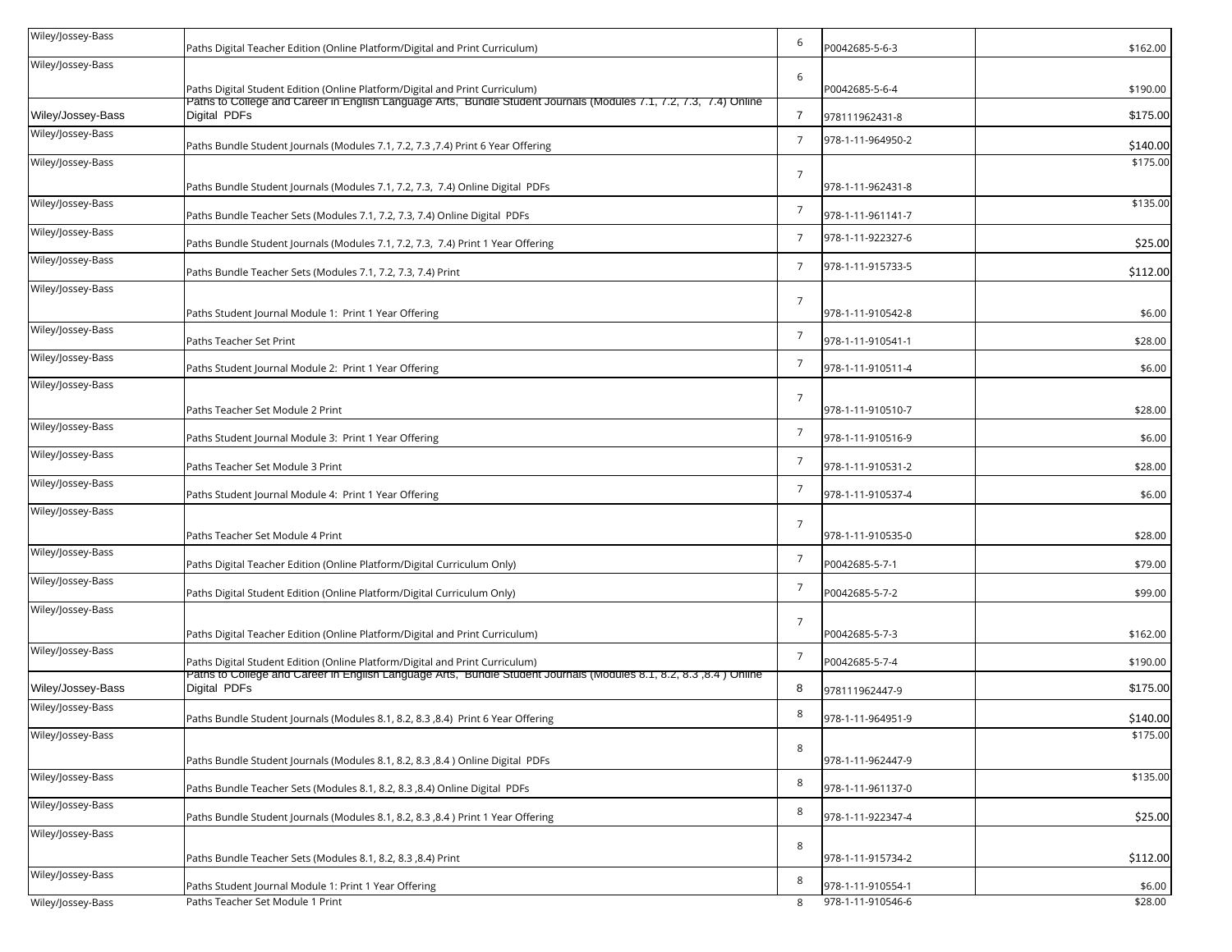| Wiley/Jossey-Bass | Paths Digital Teacher Edition (Online Platform/Digital and Print Curriculum)                                                       | 6               | P0042685-5-6-3                         | \$162.00          |
|-------------------|------------------------------------------------------------------------------------------------------------------------------------|-----------------|----------------------------------------|-------------------|
| Wiley/Jossey-Bass |                                                                                                                                    |                 |                                        |                   |
|                   | Paths Digital Student Edition (Online Platform/Digital and Print Curriculum)                                                       | 6               | P0042685-5-6-4                         | \$190.00          |
| Wiley/Jossey-Bass | Paths to College and Career in English Language Arts, Bundle Student Journals (Modules 7.1, 7.2, 7.3, 7.4) Online<br>Digital PDFs  | $\overline{7}$  | 978111962431-8                         | \$175.00          |
| Wiley/Jossey-Bass | Paths Bundle Student Journals (Modules 7.1, 7.2, 7.3 , 7.4) Print 6 Year Offering                                                  | 7               | 978-1-11-964950-2                      | \$140.00          |
| Wiley/Jossey-Bass |                                                                                                                                    |                 |                                        | \$175.00          |
|                   | Paths Bundle Student Journals (Modules 7.1, 7.2, 7.3,  7.4) Online Digital  PDFs                                                   | $7\overline{ }$ | 978-1-11-962431-8                      |                   |
| Wiley/Jossey-Bass | Paths Bundle Teacher Sets (Modules 7.1, 7.2, 7.3, 7.4) Online Digital  PDFs                                                        | $\overline{7}$  | 978-1-11-961141-7                      | \$135.00          |
| Wiley/Jossey-Bass | Paths Bundle Student Journals (Modules 7.1, 7.2, 7.3,  7.4) Print 1 Year Offering                                                  | $\overline{7}$  | 978-1-11-922327-6                      | \$25.00           |
| Wiley/Jossey-Bass | Paths Bundle Teacher Sets (Modules 7.1, 7.2, 7.3, 7.4) Print                                                                       | $\overline{7}$  | 978-1-11-915733-5                      | \$112.00          |
| Wiley/Jossey-Bass |                                                                                                                                    |                 |                                        |                   |
|                   | Paths Student Journal Module 1: Print 1 Year Offering                                                                              | $\overline{7}$  | 978-1-11-910542-8                      | \$6.00            |
| Wiley/Jossey-Bass | Paths Teacher Set Print                                                                                                            | $\overline{7}$  | 978-1-11-910541-1                      | \$28.00           |
| Wiley/Jossey-Bass | Paths Student Journal Module 2: Print 1 Year Offering                                                                              | $\overline{7}$  | 978-1-11-910511-4                      | \$6.00            |
| Wiley/Jossey-Bass |                                                                                                                                    |                 |                                        |                   |
|                   | Paths Teacher Set Module 2 Print                                                                                                   | $7\overline{ }$ | 978-1-11-910510-7                      | \$28.00           |
| Wiley/Jossey-Bass | Paths Student Journal Module 3: Print 1 Year Offering                                                                              | $\overline{7}$  | 978-1-11-910516-9                      | \$6.00            |
| Wiley/Jossey-Bass | Paths Teacher Set Module 3 Print                                                                                                   | $\overline{7}$  | 978-1-11-910531-2                      | \$28.00           |
| Wiley/Jossey-Bass | Paths Student Journal Module 4: Print 1 Year Offering                                                                              | $\overline{7}$  | 978-1-11-910537-4                      | \$6.00            |
| Wiley/Jossey-Bass |                                                                                                                                    |                 |                                        |                   |
|                   | Paths Teacher Set Module 4 Print                                                                                                   | $7\overline{ }$ | 978-1-11-910535-0                      | \$28.00           |
| Wiley/Jossey-Bass | Paths Digital Teacher Edition (Online Platform/Digital Curriculum Only)                                                            | $\overline{7}$  | P0042685-5-7-1                         | \$79.00           |
| Wiley/Jossey-Bass | Paths Digital Student Edition (Online Platform/Digital Curriculum Only)                                                            | $\overline{7}$  | P0042685-5-7-2                         | \$99.00           |
| Wiley/Jossey-Bass |                                                                                                                                    | $7\overline{ }$ |                                        |                   |
|                   | Paths Digital Teacher Edition (Online Platform/Digital and Print Curriculum)                                                       |                 | P0042685-5-7-3                         | \$162.00          |
| Wiley/Jossey-Bass | Paths Digital Student Edition (Online Platform/Digital and Print Curriculum)                                                       | $\overline{7}$  | P0042685-5-7-4                         | \$190.00          |
| Wiley/Jossey-Bass | Paths to College and Career in English Language Arts, Bundle Student Journals (Modules 8.1, 8.2, 8.3 ,8.4 ) Online<br>Digital PDFs | 8               | 978111962447-9                         | \$175.00          |
| Wiley/Jossey-Bass | Paths Bundle Student Journals (Modules 8.1, 8.2, 8.3, 8.4) Print 6 Year Offering                                                   | 8               | 978-1-11-964951-9                      | \$140.00          |
| Wiley/Jossey-Bass |                                                                                                                                    |                 |                                        | \$175.00          |
|                   | Paths Bundle Student Journals (Modules 8.1, 8.2, 8.3 ,8.4 ) Online Digital PDFs                                                    | 8               | 978-1-11-962447-9                      |                   |
| Wiley/Jossey-Bass | Paths Bundle Teacher Sets (Modules 8.1, 8.2, 8.3 ,8.4) Online Digital PDFs                                                         | 8               | 978-1-11-961137-0                      | \$135.00          |
| Wiley/Jossey-Bass |                                                                                                                                    | 8               |                                        |                   |
| Wiley/Jossey-Bass | Paths Bundle Student Journals (Modules 8.1, 8.2, 8.3 ,8.4 ) Print 1 Year Offering                                                  |                 | 978-1-11-922347-4                      | \$25.00           |
|                   | Paths Bundle Teacher Sets (Modules 8.1, 8.2, 8.3 ,8.4) Print                                                                       | 8               | 978-1-11-915734-2                      | \$112.00          |
| Wiley/Jossey-Bass |                                                                                                                                    | 8               |                                        |                   |
| Wiley/Jossey-Bass | Paths Student Journal Module 1: Print 1 Year Offering<br>Paths Teacher Set Module 1 Print                                          | 8               | 978-1-11-910554-1<br>978-1-11-910546-6 | \$6.00<br>\$28.00 |
|                   |                                                                                                                                    |                 |                                        |                   |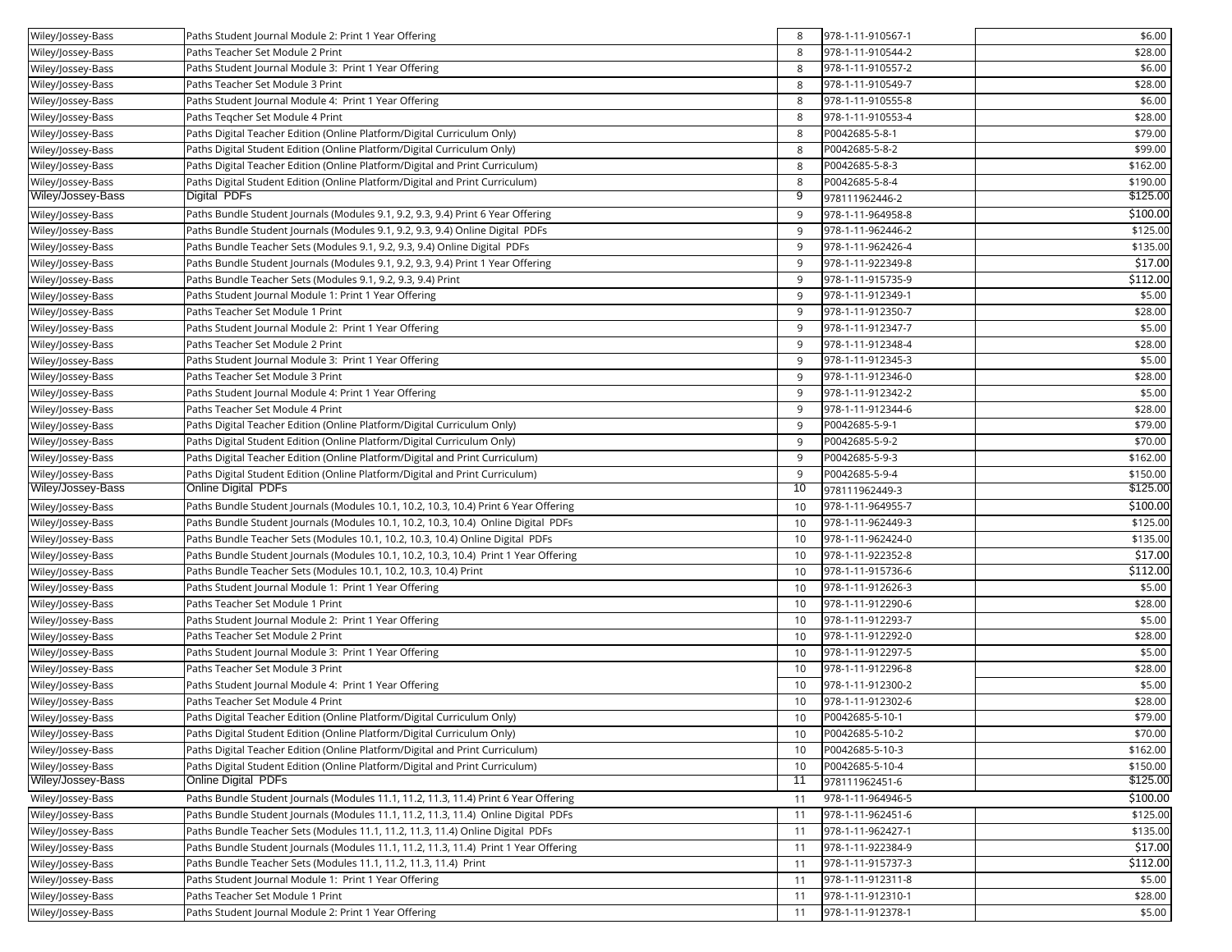| Wiley/Jossey-Bass | Paths Student Journal Module 2: Print 1 Year Offering                                | 8  | 978-1-11-910567-1 | \$6.00   |
|-------------------|--------------------------------------------------------------------------------------|----|-------------------|----------|
| Wiley/Jossey-Bass | Paths Teacher Set Module 2 Print                                                     | 8  | 978-1-11-910544-2 | \$28.00  |
| Wiley/Jossey-Bass | Paths Student Journal Module 3: Print 1 Year Offering                                | 8  | 978-1-11-910557-2 | \$6.00   |
| Wiley/Jossey-Bass | Paths Teacher Set Module 3 Print                                                     | 8  | 978-1-11-910549-7 | \$28.00  |
| Wiley/Jossey-Bass | Paths Student Journal Module 4: Print 1 Year Offering                                | 8  | 978-1-11-910555-8 | \$6.00   |
| Wiley/Jossey-Bass | Paths Tegcher Set Module 4 Print                                                     | 8  | 978-1-11-910553-4 | \$28.00  |
| Wiley/Jossey-Bass | Paths Digital Teacher Edition (Online Platform/Digital Curriculum Only)              | 8  | P0042685-5-8-1    | \$79.00  |
| Wiley/Jossey-Bass | Paths Digital Student Edition (Online Platform/Digital Curriculum Only)              | 8  | P0042685-5-8-2    | \$99.00  |
| Wiley/Jossey-Bass | Paths Digital Teacher Edition (Online Platform/Digital and Print Curriculum)         | 8  | P0042685-5-8-3    | \$162.00 |
| Wiley/Jossey-Bass | Paths Digital Student Edition (Online Platform/Digital and Print Curriculum)         | 8  | P0042685-5-8-4    | \$190.00 |
| Wiley/Jossey-Bass | Digital PDFs                                                                         | 9  | 978111962446-2    | \$125.00 |
| Wiley/Jossey-Bass | Paths Bundle Student Journals (Modules 9.1, 9.2, 9.3, 9.4) Print 6 Year Offering     | 9  | 978-1-11-964958-8 | \$100.00 |
| Wiley/Jossey-Bass | Paths Bundle Student Journals (Modules 9.1, 9.2, 9.3, 9.4) Online Digital PDFs       | 9  | 978-1-11-962446-2 | \$125.00 |
| Wiley/Jossey-Bass | Paths Bundle Teacher Sets (Modules 9.1, 9.2, 9.3, 9.4) Online Digital PDFs           | 9  | 978-1-11-962426-4 | \$135.00 |
| Wiley/Jossey-Bass | Paths Bundle Student Journals (Modules 9.1, 9.2, 9.3, 9.4) Print 1 Year Offering     | 9  | 978-1-11-922349-8 | \$17.00  |
| Wiley/Jossey-Bass | Paths Bundle Teacher Sets (Modules 9.1, 9.2, 9.3, 9.4) Print                         | 9  | 978-1-11-915735-9 | \$112.00 |
| Wiley/Jossey-Bass | Paths Student Journal Module 1: Print 1 Year Offering                                | 9  | 978-1-11-912349-1 | \$5.00   |
| Wiley/Jossey-Bass | Paths Teacher Set Module 1 Print                                                     | 9  | 978-1-11-912350-7 | \$28.00  |
| Wiley/Jossey-Bass | Paths Student Journal Module 2: Print 1 Year Offering                                | 9  | 978-1-11-912347-7 | \$5.00   |
| Wiley/Jossey-Bass | Paths Teacher Set Module 2 Print                                                     | 9  | 978-1-11-912348-4 | \$28.00  |
| Wiley/Jossey-Bass | Paths Student Journal Module 3: Print 1 Year Offering                                | 9  | 978-1-11-912345-3 | \$5.00   |
| Wiley/Jossey-Bass | Paths Teacher Set Module 3 Print                                                     | 9  | 978-1-11-912346-0 | \$28.00  |
| Wiley/Jossey-Bass | Paths Student Journal Module 4: Print 1 Year Offering                                | 9  | 978-1-11-912342-2 | \$5.00   |
| Wiley/Jossey-Bass | Paths Teacher Set Module 4 Print                                                     | 9  | 978-1-11-912344-6 | \$28.00  |
| Wiley/Jossey-Bass | Paths Digital Teacher Edition (Online Platform/Digital Curriculum Only)              | 9  | P0042685-5-9-1    | \$79.00  |
| Wiley/Jossey-Bass | Paths Digital Student Edition (Online Platform/Digital Curriculum Only)              | 9  | P0042685-5-9-2    | \$70.00  |
| Wiley/Jossey-Bass | Paths Digital Teacher Edition (Online Platform/Digital and Print Curriculum)         | 9  | P0042685-5-9-3    | \$162.00 |
| Wiley/Jossey-Bass | Paths Digital Student Edition (Online Platform/Digital and Print Curriculum)         | 9  | P0042685-5-9-4    | \$150.00 |
| Wiley/Jossey-Bass | <b>Online Digital PDFs</b>                                                           | 10 | 978111962449-3    | \$125.00 |
| Wiley/Jossey-Bass | Paths Bundle Student Journals (Modules 10.1, 10.2, 10.3, 10.4) Print 6 Year Offering | 10 | 978-1-11-964955-7 | \$100.00 |
| Wiley/Jossey-Bass | Paths Bundle Student Journals (Modules 10.1, 10.2, 10.3, 10.4) Online Digital PDFs   | 10 | 978-1-11-962449-3 | \$125.00 |
| Wiley/Jossey-Bass | Paths Bundle Teacher Sets (Modules 10.1, 10.2, 10.3, 10.4) Online Digital PDFs       | 10 | 978-1-11-962424-0 | \$135.00 |
| Wiley/Jossey-Bass | Paths Bundle Student Journals (Modules 10.1, 10.2, 10.3, 10.4) Print 1 Year Offering | 10 | 978-1-11-922352-8 | \$17.00  |
| Wiley/Jossey-Bass | Paths Bundle Teacher Sets (Modules 10.1, 10.2, 10.3, 10.4) Print                     | 10 | 978-1-11-915736-6 | \$112.00 |
| Wiley/Jossey-Bass | Paths Student Journal Module 1: Print 1 Year Offering                                | 10 | 978-1-11-912626-3 | \$5.00   |
| Wiley/Jossey-Bass | Paths Teacher Set Module 1 Print                                                     | 10 | 978-1-11-912290-6 | \$28.00  |
| Wiley/Jossey-Bass | Paths Student Journal Module 2: Print 1 Year Offering                                | 10 | 978-1-11-912293-7 | \$5.00   |
| Wiley/Jossey-Bass | Paths Teacher Set Module 2 Print                                                     | 10 | 978-1-11-912292-0 | \$28.00  |
| Wiley/Jossey-Bass | Paths Student Journal Module 3: Print 1 Year Offering                                | 10 | 978-1-11-912297-5 | \$5.00   |
| Wiley/Jossey-Bass | Paths Teacher Set Module 3 Print                                                     | 10 | 978-1-11-912296-8 | \$28.00  |
| Wiley/Jossey-Bass | Paths Student Journal Module 4: Print 1 Year Offering                                | 10 | 978-1-11-912300-2 | \$5.00   |
| Wiley/Jossey-Bass | Paths Teacher Set Module 4 Print                                                     | 10 | 978-1-11-912302-6 | \$28.00  |
| Wiley/Jossey-Bass | Paths Digital Teacher Edition (Online Platform/Digital Curriculum Only)              | 10 | P0042685-5-10-1   | \$79.00  |
| Wiley/Jossey-Bass | Paths Digital Student Edition (Online Platform/Digital Curriculum Only)              | 10 | P0042685-5-10-2   | \$70.00  |
| Wiley/Jossey-Bass | Paths Digital Teacher Edition (Online Platform/Digital and Print Curriculum)         | 10 | P0042685-5-10-3   | \$162.00 |
| Wiley/Jossey-Bass | Paths Digital Student Edition (Online Platform/Digital and Print Curriculum)         | 10 | P0042685-5-10-4   | \$150.00 |
| Wiley/Jossey-Bass | <b>Online Digital PDFs</b>                                                           | 11 | 978111962451-6    | \$125.00 |
| Wiley/Jossey-Bass | Paths Bundle Student Journals (Modules 11.1, 11.2, 11.3, 11.4) Print 6 Year Offering | 11 | 978-1-11-964946-5 | \$100.00 |
| Wiley/Jossey-Bass | Paths Bundle Student Journals (Modules 11.1, 11.2, 11.3, 11.4) Online Digital PDFs   | 11 | 978-1-11-962451-6 | \$125.00 |
| Wiley/Jossey-Bass | Paths Bundle Teacher Sets (Modules 11.1, 11.2, 11.3, 11.4) Online Digital PDFs       | 11 | 978-1-11-962427-1 | \$135.00 |
| Wiley/Jossey-Bass | Paths Bundle Student Journals (Modules 11.1, 11.2, 11.3, 11.4) Print 1 Year Offering | 11 | 978-1-11-922384-9 | \$17.00  |
| Wiley/Jossey-Bass | Paths Bundle Teacher Sets (Modules 11.1, 11.2, 11.3, 11.4) Print                     | 11 | 978-1-11-915737-3 | \$112.00 |
| Wiley/Jossey-Bass | Paths Student Journal Module 1: Print 1 Year Offering                                | 11 | 978-1-11-912311-8 | \$5.00   |
| Wiley/Jossey-Bass | Paths Teacher Set Module 1 Print                                                     | 11 | 978-1-11-912310-1 | \$28.00  |
| Wiley/Jossey-Bass | Paths Student Journal Module 2: Print 1 Year Offering                                | 11 | 978-1-11-912378-1 | \$5.00   |